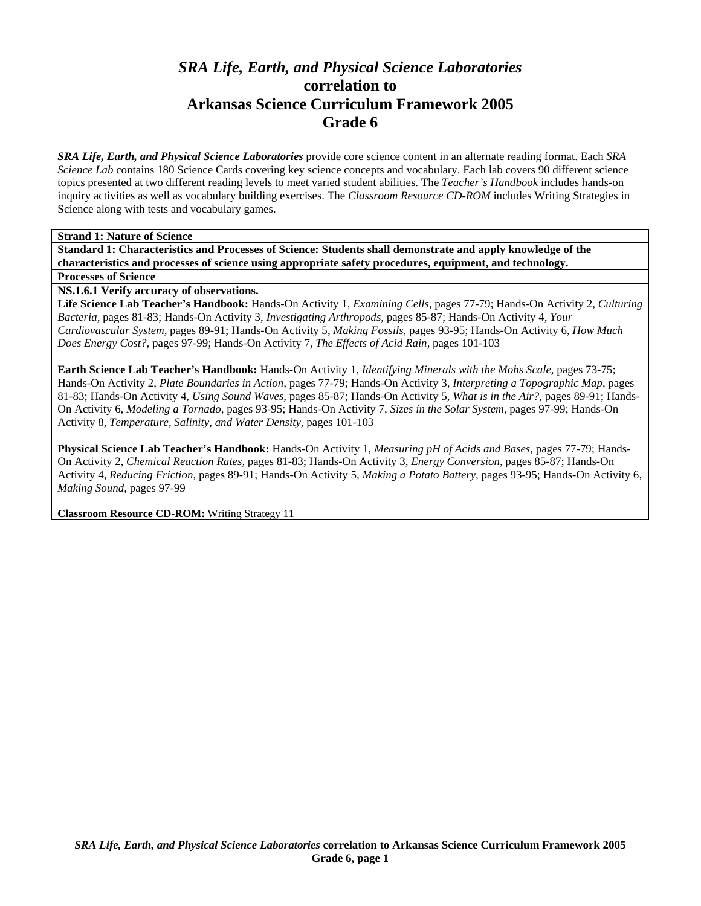# *SRA Life, Earth, and Physical Science Laboratories*  **correlation to Arkansas Science Curriculum Framework 2005 Grade 6**

*SRA Life, Earth, and Physical Science Laboratories* provide core science content in an alternate reading format. Each *SRA Science Lab* contains 180 Science Cards covering key science concepts and vocabulary. Each lab covers 90 different science topics presented at two different reading levels to meet varied student abilities. The *Teacher's Handbook* includes hands-on inquiry activities as well as vocabulary building exercises. The *Classroom Resource CD-ROM* includes Writing Strategies in Science along with tests and vocabulary games.

**Strand 1: Nature of Science** 

**Standard 1: Characteristics and Processes of Science: Students shall demonstrate and apply knowledge of the characteristics and processes of science using appropriate safety procedures, equipment, and technology.** 

**Processes of Science** 

**NS.1.6.1 Verify accuracy of observations.** 

**Life Science Lab Teacher's Handbook:** Hands-On Activity 1, *Examining Cells,* pages 77-79; Hands-On Activity 2, *Culturing Bacteria,* pages 81-83; Hands-On Activity 3, *Investigating Arthropods,* pages 85-87; Hands-On Activity 4, *Your Cardiovascular System,* pages 89-91; Hands-On Activity 5, *Making Fossils,* pages 93-95; Hands-On Activity 6, *How Much Does Energy Cost?,* pages 97-99; Hands-On Activity 7, *The Effects of Acid Rain,* pages 101-103

**Earth Science Lab Teacher's Handbook:** Hands-On Activity 1, *Identifying Minerals with the Mohs Scale,* pages 73-75; Hands-On Activity 2, *Plate Boundaries in Action,* pages 77-79; Hands-On Activity 3, *Interpreting a Topographic Map,* pages 81-83; Hands-On Activity 4, *Using Sound Waves,* pages 85-87; Hands-On Activity 5, *What is in the Air?,* pages 89-91; Hands-On Activity 6, *Modeling a Tornado,* pages 93-95; Hands-On Activity 7, *Sizes in the Solar System,* pages 97-99; Hands-On Activity 8, *Temperature, Salinity, and Water Density,* pages 101-103

**Physical Science Lab Teacher's Handbook:** Hands-On Activity 1, *Measuring pH of Acids and Bases,* pages 77-79; Hands-On Activity 2, *Chemical Reaction Rates,* pages 81-83; Hands-On Activity 3, *Energy Conversion,* pages 85-87; Hands-On Activity 4, *Reducing Friction,* pages 89-91; Hands-On Activity 5, *Making a Potato Battery,* pages 93-95; Hands-On Activity 6, *Making Sound,* pages 97-99

**Classroom Resource CD-ROM:** Writing Strategy 11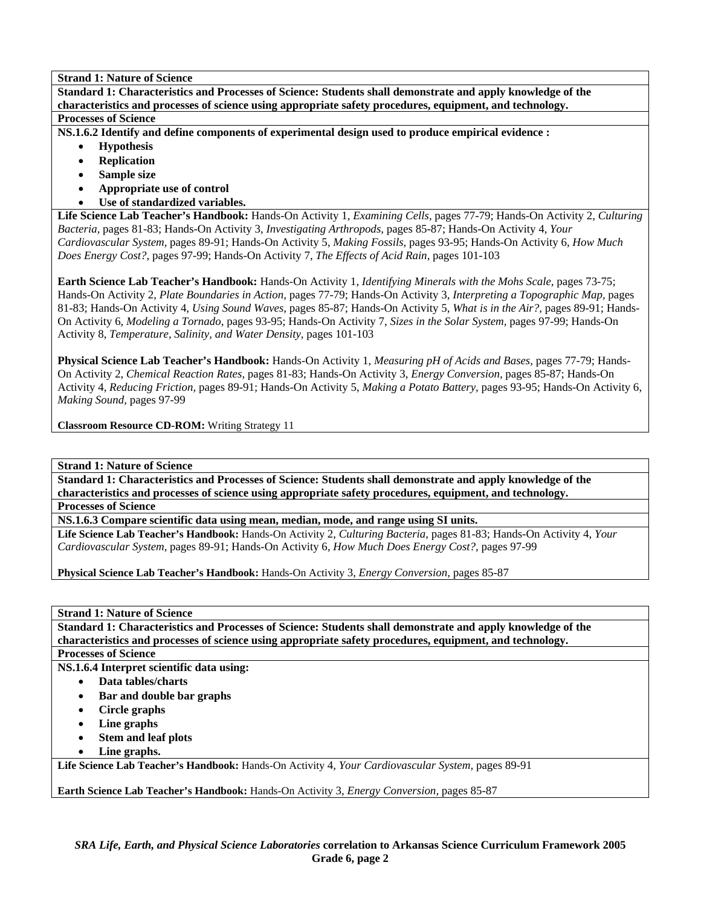**Standard 1: Characteristics and Processes of Science: Students shall demonstrate and apply knowledge of the characteristics and processes of science using appropriate safety procedures, equipment, and technology. Processes of Science** 

**NS.1.6.2 Identify and define components of experimental design used to produce empirical evidence :** 

- **Hypothesis**
- **Replication**
- **Sample size**
- **Appropriate use of control**
- **Use of standardized variables.**

**Life Science Lab Teacher's Handbook:** Hands-On Activity 1, *Examining Cells,* pages 77-79; Hands-On Activity 2, *Culturing Bacteria,* pages 81-83; Hands-On Activity 3, *Investigating Arthropods,* pages 85-87; Hands-On Activity 4, *Your Cardiovascular System,* pages 89-91; Hands-On Activity 5, *Making Fossils,* pages 93-95; Hands-On Activity 6, *How Much Does Energy Cost?,* pages 97-99; Hands-On Activity 7, *The Effects of Acid Rain,* pages 101-103

**Earth Science Lab Teacher's Handbook:** Hands-On Activity 1, *Identifying Minerals with the Mohs Scale,* pages 73-75; Hands-On Activity 2, *Plate Boundaries in Action,* pages 77-79; Hands-On Activity 3, *Interpreting a Topographic Map,* pages 81-83; Hands-On Activity 4, *Using Sound Waves,* pages 85-87; Hands-On Activity 5, *What is in the Air?,* pages 89-91; Hands-On Activity 6, *Modeling a Tornado,* pages 93-95; Hands-On Activity 7, *Sizes in the Solar System,* pages 97-99; Hands-On Activity 8, *Temperature, Salinity, and Water Density,* pages 101-103

**Physical Science Lab Teacher's Handbook:** Hands-On Activity 1, *Measuring pH of Acids and Bases,* pages 77-79; Hands-On Activity 2, *Chemical Reaction Rates,* pages 81-83; Hands-On Activity 3, *Energy Conversion,* pages 85-87; Hands-On Activity 4, *Reducing Friction,* pages 89-91; Hands-On Activity 5, *Making a Potato Battery,* pages 93-95; Hands-On Activity 6, *Making Sound,* pages 97-99

**Classroom Resource CD-ROM:** Writing Strategy 11

**Strand 1: Nature of Science** 

**Standard 1: Characteristics and Processes of Science: Students shall demonstrate and apply knowledge of the characteristics and processes of science using appropriate safety procedures, equipment, and technology.** 

**Processes of Science** 

**NS.1.6.3 Compare scientific data using mean, median, mode, and range using SI units.** 

**Life Science Lab Teacher's Handbook:** Hands-On Activity 2, *Culturing Bacteria,* pages 81-83; Hands-On Activity 4, *Your Cardiovascular System,* pages 89-91; Hands-On Activity 6, *How Much Does Energy Cost?,* pages 97-99

**Physical Science Lab Teacher's Handbook:** Hands-On Activity 3, *Energy Conversion,* pages 85-87

**Strand 1: Nature of Science** 

**Standard 1: Characteristics and Processes of Science: Students shall demonstrate and apply knowledge of the characteristics and processes of science using appropriate safety procedures, equipment, and technology.** 

**Processes of Science** 

**NS.1.6.4 Interpret scientific data using:** 

- **Data tables/charts**
- **Bar and double bar graphs**
- **Circle graphs**
- **Line graphs**
- **Stem and leaf plots**
- **Line graphs.**

**Life Science Lab Teacher's Handbook:** Hands-On Activity 4, *Your Cardiovascular System,* pages 89-91

**Earth Science Lab Teacher's Handbook:** Hands-On Activity 3, *Energy Conversion,* pages 85-87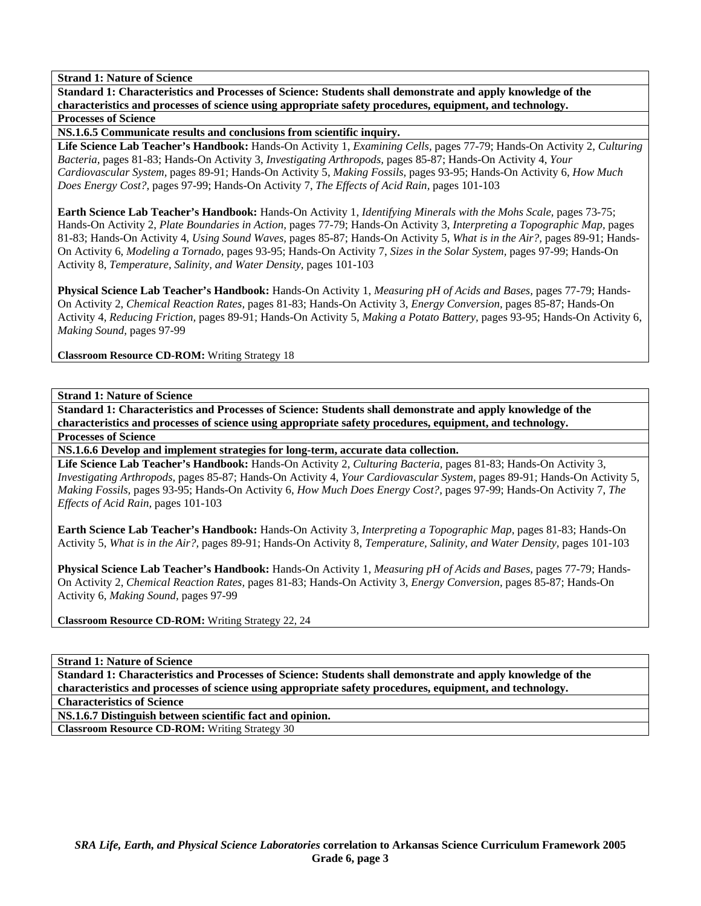**Standard 1: Characteristics and Processes of Science: Students shall demonstrate and apply knowledge of the characteristics and processes of science using appropriate safety procedures, equipment, and technology. Processes of Science** 

**NS.1.6.5 Communicate results and conclusions from scientific inquiry.** 

**Life Science Lab Teacher's Handbook:** Hands-On Activity 1, *Examining Cells,* pages 77-79; Hands-On Activity 2, *Culturing Bacteria,* pages 81-83; Hands-On Activity 3, *Investigating Arthropods,* pages 85-87; Hands-On Activity 4, *Your Cardiovascular System,* pages 89-91; Hands-On Activity 5, *Making Fossils,* pages 93-95; Hands-On Activity 6, *How Much Does Energy Cost?,* pages 97-99; Hands-On Activity 7, *The Effects of Acid Rain,* pages 101-103

**Earth Science Lab Teacher's Handbook:** Hands-On Activity 1, *Identifying Minerals with the Mohs Scale,* pages 73-75; Hands-On Activity 2, *Plate Boundaries in Action,* pages 77-79; Hands-On Activity 3, *Interpreting a Topographic Map,* pages 81-83; Hands-On Activity 4, *Using Sound Waves,* pages 85-87; Hands-On Activity 5, *What is in the Air?,* pages 89-91; Hands-On Activity 6, *Modeling a Tornado,* pages 93-95; Hands-On Activity 7, *Sizes in the Solar System,* pages 97-99; Hands-On Activity 8, *Temperature, Salinity, and Water Density,* pages 101-103

**Physical Science Lab Teacher's Handbook:** Hands-On Activity 1, *Measuring pH of Acids and Bases,* pages 77-79; Hands-On Activity 2, *Chemical Reaction Rates,* pages 81-83; Hands-On Activity 3, *Energy Conversion,* pages 85-87; Hands-On Activity 4, *Reducing Friction,* pages 89-91; Hands-On Activity 5, *Making a Potato Battery,* pages 93-95; Hands-On Activity 6, *Making Sound,* pages 97-99

**Classroom Resource CD-ROM:** Writing Strategy 18

**Strand 1: Nature of Science** 

**Standard 1: Characteristics and Processes of Science: Students shall demonstrate and apply knowledge of the characteristics and processes of science using appropriate safety procedures, equipment, and technology. Processes of Science** 

**NS.1.6.6 Develop and implement strategies for long-term, accurate data collection.** 

**Life Science Lab Teacher's Handbook:** Hands-On Activity 2, *Culturing Bacteria,* pages 81-83; Hands-On Activity 3, *Investigating Arthropods,* pages 85-87; Hands-On Activity 4, *Your Cardiovascular System,* pages 89-91; Hands-On Activity 5, *Making Fossils,* pages 93-95; Hands-On Activity 6, *How Much Does Energy Cost?,* pages 97-99; Hands-On Activity 7, *The Effects of Acid Rain,* pages 101-103

**Earth Science Lab Teacher's Handbook:** Hands-On Activity 3, *Interpreting a Topographic Map,* pages 81-83; Hands-On Activity 5, *What is in the Air?,* pages 89-91; Hands-On Activity 8, *Temperature, Salinity, and Water Density,* pages 101-103

**Physical Science Lab Teacher's Handbook:** Hands-On Activity 1, *Measuring pH of Acids and Bases,* pages 77-79; Hands-On Activity 2, *Chemical Reaction Rates,* pages 81-83; Hands-On Activity 3, *Energy Conversion,* pages 85-87; Hands-On Activity 6, *Making Sound,* pages 97-99

**Classroom Resource CD-ROM:** Writing Strategy 22, 24

**Strand 1: Nature of Science** 

**Standard 1: Characteristics and Processes of Science: Students shall demonstrate and apply knowledge of the characteristics and processes of science using appropriate safety procedures, equipment, and technology.** 

**Characteristics of Science** 

**NS.1.6.7 Distinguish between scientific fact and opinion.** 

**Classroom Resource CD-ROM:** Writing Strategy 30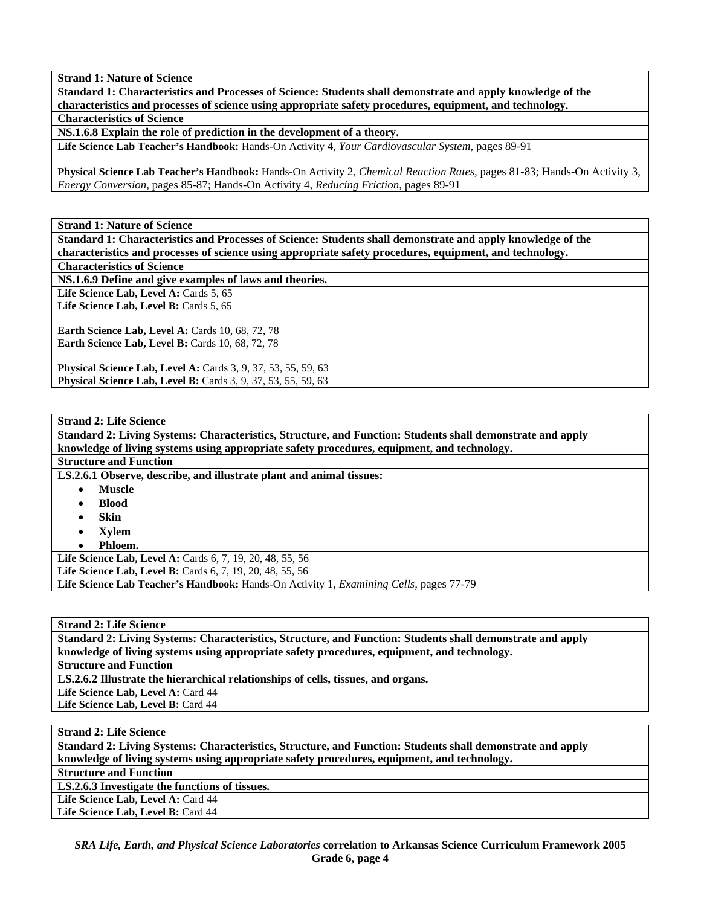**Standard 1: Characteristics and Processes of Science: Students shall demonstrate and apply knowledge of the characteristics and processes of science using appropriate safety procedures, equipment, and technology. Characteristics of Science** 

**NS.1.6.8 Explain the role of prediction in the development of a theory.** 

**Life Science Lab Teacher's Handbook:** Hands-On Activity 4, *Your Cardiovascular System,* pages 89-91

**Physical Science Lab Teacher's Handbook:** Hands-On Activity 2, *Chemical Reaction Rates,* pages 81-83; Hands-On Activity 3, *Energy Conversion,* pages 85-87; Hands-On Activity 4, *Reducing Friction,* pages 89-91

**Strand 1: Nature of Science** 

**Standard 1: Characteristics and Processes of Science: Students shall demonstrate and apply knowledge of the characteristics and processes of science using appropriate safety procedures, equipment, and technology.** 

**Characteristics of Science** 

**NS.1.6.9 Define and give examples of laws and theories.** 

Life Science Lab, Level A: Cards 5, 65 Life Science Lab, Level B: Cards 5, 65

**Earth Science Lab, Level A: Cards 10, 68, 72, 78 Earth Science Lab, Level B: Cards 10, 68, 72, 78** 

**Physical Science Lab, Level A: Cards 3, 9, 37, 53, 55, 59, 63 Physical Science Lab, Level B:** Cards 3, 9, 37, 53, 55, 59, 63

**Strand 2: Life Science** 

**Standard 2: Living Systems: Characteristics, Structure, and Function: Students shall demonstrate and apply knowledge of living systems using appropriate safety procedures, equipment, and technology.** 

#### **Structure and Function**

**LS.2.6.1 Observe, describe, and illustrate plant and animal tissues:** 

- **Muscle**
- **Blood**
- **Skin**
- **Xylem**
- **Phloem.**

**Life Science Lab, Level A:** Cards 6, 7, 19, 20, 48, 55, 56

**Life Science Lab, Level B:** Cards 6, 7, 19, 20, 48, 55, 56

**Life Science Lab Teacher's Handbook:** Hands-On Activity 1, *Examining Cells,* pages 77-79

**Strand 2: Life Science** 

**Standard 2: Living Systems: Characteristics, Structure, and Function: Students shall demonstrate and apply knowledge of living systems using appropriate safety procedures, equipment, and technology.** 

**Structure and Function** 

**LS.2.6.2 Illustrate the hierarchical relationships of cells, tissues, and organs.** 

Life Science Lab, Level A: Card 44

Life Science Lab, Level B: Card 44

**Strand 2: Life Science** 

**Standard 2: Living Systems: Characteristics, Structure, and Function: Students shall demonstrate and apply knowledge of living systems using appropriate safety procedures, equipment, and technology.** 

**Structure and Function** 

**LS.2.6.3 Investigate the functions of tissues.** 

Life Science Lab, Level A: Card 44

Life Science Lab, Level B: Card 44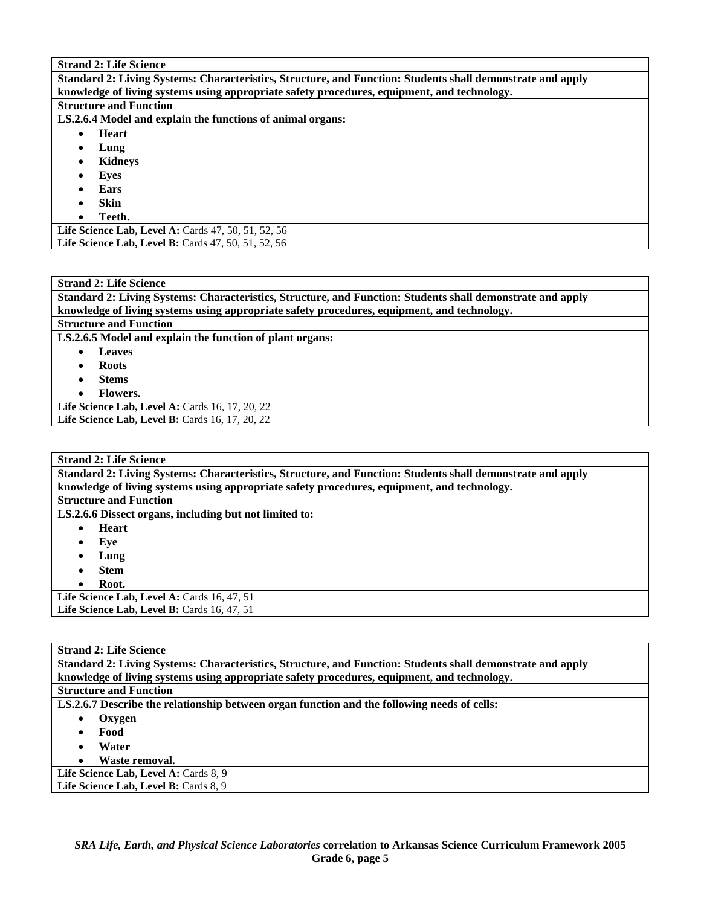# $S_t = 3.2 \cdot 1.2$

| Strand 2: Life Science                                                                                     |
|------------------------------------------------------------------------------------------------------------|
| Standard 2: Living Systems: Characteristics, Structure, and Function: Students shall demonstrate and apply |
| knowledge of living systems using appropriate safety procedures, equipment, and technology.                |
| <b>Structure and Function</b>                                                                              |
| LS.2.6.4 Model and explain the functions of animal organs:                                                 |
| <b>Heart</b>                                                                                               |
| Lung                                                                                                       |
| Kidneys                                                                                                    |
| Eves                                                                                                       |
| Ears                                                                                                       |
| <b>Skin</b>                                                                                                |
| Teeth.                                                                                                     |
| <b>Life Science Lab, Level A: Cards 47, 50, 51, 52, 56</b>                                                 |
| <b>Life Science Lab, Level B:</b> Cards 47, 50, 51, 52, 56                                                 |
|                                                                                                            |

| <b>Strand 2: Life Science</b>                                                                              |
|------------------------------------------------------------------------------------------------------------|
| Standard 2: Living Systems: Characteristics, Structure, and Function: Students shall demonstrate and apply |
| knowledge of living systems using appropriate safety procedures, equipment, and technology.                |
| <b>Structure and Function</b>                                                                              |
| LS.2.6.5 Model and explain the function of plant organs:                                                   |
| Leaves                                                                                                     |

- **Roots**
- **Stems**
- **Flowers.**

Life Science Lab, Level A: Cards 16, 17, 20, 22 Life Science Lab, Level B: Cards 16, 17, 20, 22

| <b>Strand 2: Life Science</b>                                                                              |  |  |  |  |  |  |
|------------------------------------------------------------------------------------------------------------|--|--|--|--|--|--|
| Standard 2: Living Systems: Characteristics, Structure, and Function: Students shall demonstrate and apply |  |  |  |  |  |  |
| knowledge of living systems using appropriate safety procedures, equipment, and technology.                |  |  |  |  |  |  |
| <b>Structure and Function</b>                                                                              |  |  |  |  |  |  |
| LS.2.6.6 Dissect organs, including but not limited to:                                                     |  |  |  |  |  |  |
| <b>Heart</b>                                                                                               |  |  |  |  |  |  |
| Eve<br>$\bullet$                                                                                           |  |  |  |  |  |  |
| Lung                                                                                                       |  |  |  |  |  |  |
| <b>Stem</b>                                                                                                |  |  |  |  |  |  |
| Root.                                                                                                      |  |  |  |  |  |  |
| Life Science Lab, Level A: Cards 16, 47, 51                                                                |  |  |  |  |  |  |
| Life Science Lab, Level B: Cards 16, 47, 51                                                                |  |  |  |  |  |  |

#### **Strand 2: Life Science**

**Standard 2: Living Systems: Characteristics, Structure, and Function: Students shall demonstrate and apply knowledge of living systems using appropriate safety procedures, equipment, and technology. Structure and Function LS.2.6.7 Describe the relationship between organ function and the following needs of cells:**  • **Oxygen**  • **Food**  • **Water**  • **Waste removal.**  Life Science Lab, Level A: Cards 8, 9

Life Science Lab, Level B: Cards 8, 9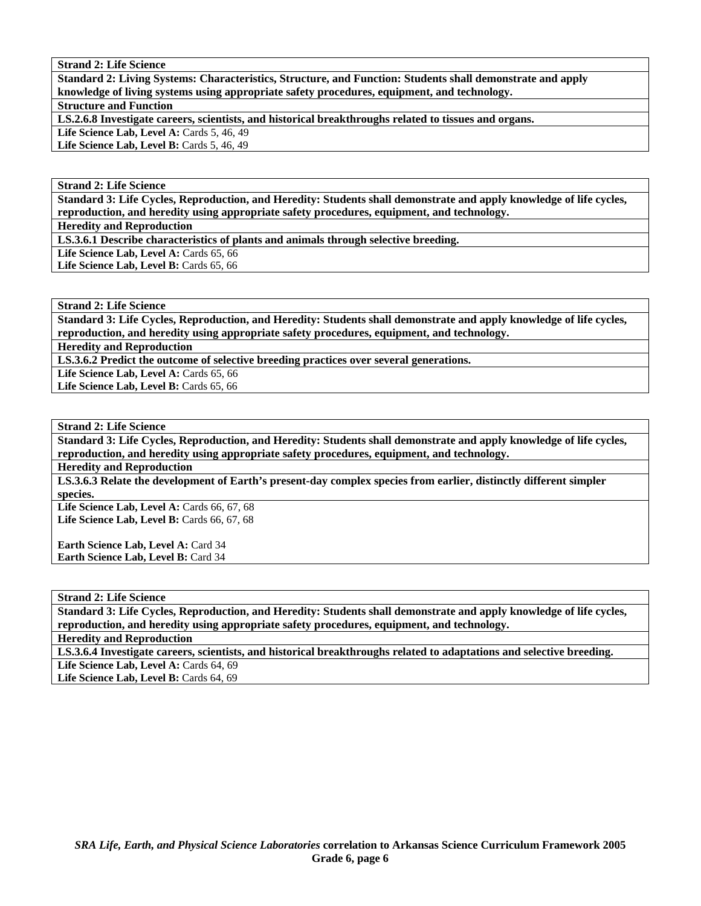**Standard 2: Living Systems: Characteristics, Structure, and Function: Students shall demonstrate and apply knowledge of living systems using appropriate safety procedures, equipment, and technology. Structure and Function LS.2.6.8 Investigate careers, scientists, and historical breakthroughs related to tissues and organs. Life Science Lab, Level A: Cards 5, 46, 49** 

**Life Science Lab, Level B: Cards 5, 46, 49** 

# **Strand 2: Life Science**

**Standard 3: Life Cycles, Reproduction, and Heredity: Students shall demonstrate and apply knowledge of life cycles, reproduction, and heredity using appropriate safety procedures, equipment, and technology.** 

**Heredity and Reproduction** 

**LS.3.6.1 Describe characteristics of plants and animals through selective breeding.** 

Life Science Lab, Level A: Cards 65, 66

Life Science Lab, Level B: Cards 65, 66

# **Strand 2: Life Science**

**Standard 3: Life Cycles, Reproduction, and Heredity: Students shall demonstrate and apply knowledge of life cycles, reproduction, and heredity using appropriate safety procedures, equipment, and technology.** 

**Heredity and Reproduction** 

**LS.3.6.2 Predict the outcome of selective breeding practices over several generations.** 

Life Science Lab, Level A: Cards 65, 66 Life Science Lab, Level B: Cards 65, 66

### **Strand 2: Life Science**

**Standard 3: Life Cycles, Reproduction, and Heredity: Students shall demonstrate and apply knowledge of life cycles, reproduction, and heredity using appropriate safety procedures, equipment, and technology.** 

**Heredity and Reproduction** 

**LS.3.6.3 Relate the development of Earth's present-day complex species from earlier, distinctly different simpler species.** 

Life Science Lab, Level A: Cards 66, 67, 68 **Life Science Lab, Level B: Cards 66, 67, 68** 

**Earth Science Lab, Level A: Card 34 Earth Science Lab, Level B:** Card 34

**Strand 2: Life Science** 

**Standard 3: Life Cycles, Reproduction, and Heredity: Students shall demonstrate and apply knowledge of life cycles, reproduction, and heredity using appropriate safety procedures, equipment, and technology.** 

**Heredity and Reproduction** 

**LS.3.6.4 Investigate careers, scientists, and historical breakthroughs related to adaptations and selective breeding.** 

Life Science Lab, Level A: Cards 64, 69

Life Science Lab, Level B: Cards 64, 69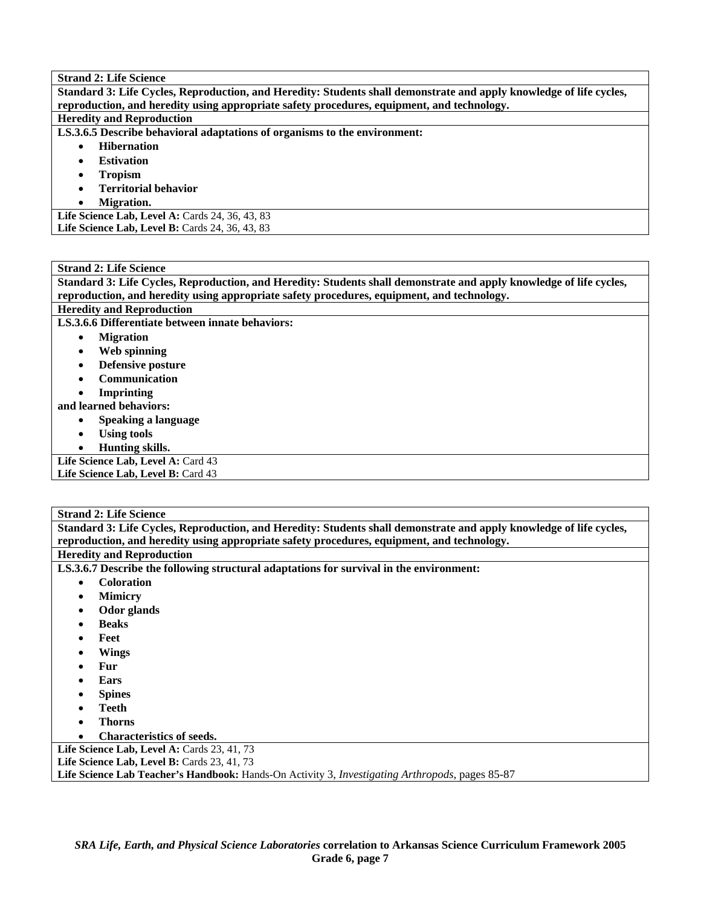| <b>Strand 2: Life Science</b>                                                                                       |  |  |  |  |  |  |
|---------------------------------------------------------------------------------------------------------------------|--|--|--|--|--|--|
| Standard 3: Life Cycles, Reproduction, and Heredity: Students shall demonstrate and apply knowledge of life cycles, |  |  |  |  |  |  |
| reproduction, and heredity using appropriate safety procedures, equipment, and technology.                          |  |  |  |  |  |  |
| <b>Heredity and Reproduction</b>                                                                                    |  |  |  |  |  |  |
| LS.3.6.5 Describe behavioral adaptations of organisms to the environment:                                           |  |  |  |  |  |  |
| <b>Hibernation</b>                                                                                                  |  |  |  |  |  |  |
| <b>Estivation</b>                                                                                                   |  |  |  |  |  |  |
| <b>Tropism</b>                                                                                                      |  |  |  |  |  |  |
| <b>Territorial behavior</b>                                                                                         |  |  |  |  |  |  |
| Migration.<br>$\bullet$                                                                                             |  |  |  |  |  |  |
| Life Science Lab, Level A: Cards $24, 36, 43, 83$                                                                   |  |  |  |  |  |  |
| Life Science Lab, Level B: Cards 24, 36, 43, 83                                                                     |  |  |  |  |  |  |
|                                                                                                                     |  |  |  |  |  |  |

| <b>Strand 2: Life Science</b>                                                                                       |  |  |  |  |  |  |
|---------------------------------------------------------------------------------------------------------------------|--|--|--|--|--|--|
| Standard 3: Life Cycles, Reproduction, and Heredity: Students shall demonstrate and apply knowledge of life cycles, |  |  |  |  |  |  |
| reproduction, and heredity using appropriate safety procedures, equipment, and technology.                          |  |  |  |  |  |  |
| <b>Heredity and Reproduction</b>                                                                                    |  |  |  |  |  |  |
| LS.3.6.6 Differentiate between innate behaviors:                                                                    |  |  |  |  |  |  |
| <b>Migration</b><br>٠                                                                                               |  |  |  |  |  |  |
| Web spinning<br>٠                                                                                                   |  |  |  |  |  |  |
| Defensive posture<br>٠                                                                                              |  |  |  |  |  |  |
| <b>Communication</b><br>$\bullet$                                                                                   |  |  |  |  |  |  |
| <b>Imprinting</b>                                                                                                   |  |  |  |  |  |  |
| and learned behaviors:                                                                                              |  |  |  |  |  |  |
| Speaking a language<br>٠                                                                                            |  |  |  |  |  |  |
| <b>Using tools</b><br>$\bullet$                                                                                     |  |  |  |  |  |  |
| Hunting skills.                                                                                                     |  |  |  |  |  |  |
| Life Science Lab, Level A: Card 43                                                                                  |  |  |  |  |  |  |
| Life Science Lab, Level B: Card 43                                                                                  |  |  |  |  |  |  |
|                                                                                                                     |  |  |  |  |  |  |

**Standard 3: Life Cycles, Reproduction, and Heredity: Students shall demonstrate and apply knowledge of life cycles, reproduction, and heredity using appropriate safety procedures, equipment, and technology. Heredity and Reproduction** 

**LS.3.6.7 Describe the following structural adaptations for survival in the environment:** 

- **Coloration**
- **Mimicry**
- **Odor glands**
- **Beaks**
- **Feet**
- **Wings**
- **Fur**
- **Ears**
- **Spines**
- **Teeth**
- **Thorns**
- **Characteristics of seeds.**

Life Science Lab, Level A: Cards 23, 41, 73

Life Science Lab, Level B: Cards 23, 41, 73

**Life Science Lab Teacher's Handbook:** Hands-On Activity 3, *Investigating Arthropods,* pages 85-87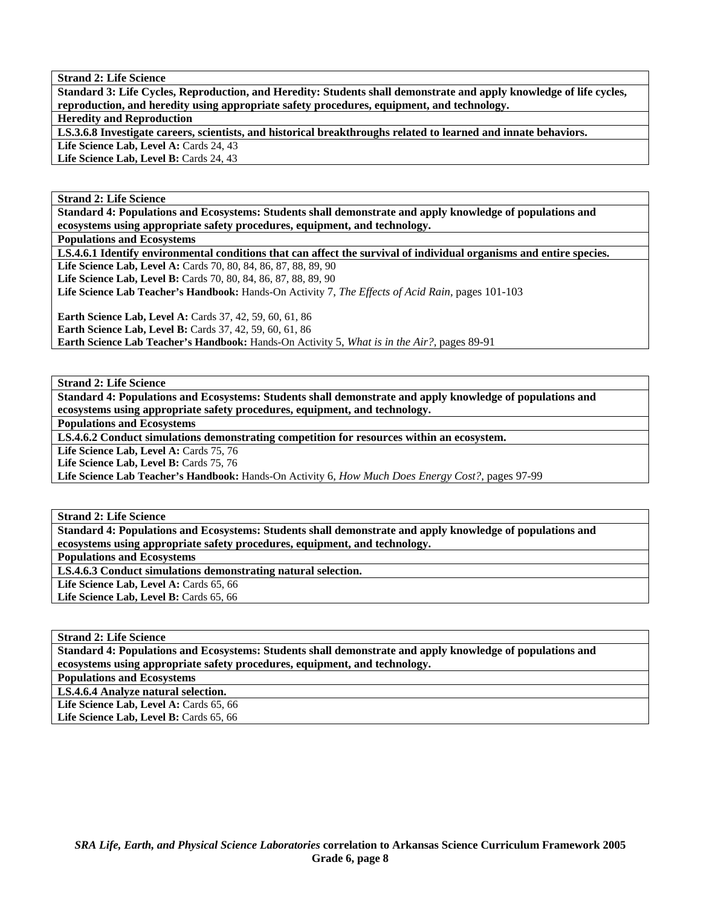**Standard 3: Life Cycles, Reproduction, and Heredity: Students shall demonstrate and apply knowledge of life cycles, reproduction, and heredity using appropriate safety procedures, equipment, and technology.** 

**Heredity and Reproduction** 

**LS.3.6.8 Investigate careers, scientists, and historical breakthroughs related to learned and innate behaviors.** 

Life Science Lab, Level A: Cards 24, 43 Life Science Lab, Level B: Cards 24, 43

**Strand 2: Life Science** 

**Standard 4: Populations and Ecosystems: Students shall demonstrate and apply knowledge of populations and ecosystems using appropriate safety procedures, equipment, and technology.** 

**Populations and Ecosystems** 

**LS.4.6.1 Identify environmental conditions that can affect the survival of individual organisms and entire species.** 

**Life Science Lab, Level A:** Cards 70, 80, 84, 86, 87, 88, 89, 90

**Life Science Lab, Level B:** Cards 70, 80, 84, 86, 87, 88, 89, 90

**Life Science Lab Teacher's Handbook:** Hands-On Activity 7, *The Effects of Acid Rain,* pages 101-103

**Earth Science Lab, Level A: Cards 37, 42, 59, 60, 61, 86 Earth Science Lab, Level B:** Cards 37, 42, 59, 60, 61, 86 **Earth Science Lab Teacher's Handbook:** Hands-On Activity 5, *What is in the Air?,* pages 89-91

**Strand 2: Life Science** 

**Standard 4: Populations and Ecosystems: Students shall demonstrate and apply knowledge of populations and ecosystems using appropriate safety procedures, equipment, and technology.** 

**Populations and Ecosystems** 

**LS.4.6.2 Conduct simulations demonstrating competition for resources within an ecosystem.** 

Life Science Lab, Level A: Cards 75, 76

Life Science Lab, Level B: Cards 75, 76

**Life Science Lab Teacher's Handbook:** Hands-On Activity 6, *How Much Does Energy Cost?,* pages 97-99

**Strand 2: Life Science** 

**Standard 4: Populations and Ecosystems: Students shall demonstrate and apply knowledge of populations and ecosystems using appropriate safety procedures, equipment, and technology.** 

**Populations and Ecosystems** 

**LS.4.6.3 Conduct simulations demonstrating natural selection.** 

Life Science Lab, Level A: Cards 65, 66

Life Science Lab, Level B: Cards 65, 66

**Strand 2: Life Science** 

**Standard 4: Populations and Ecosystems: Students shall demonstrate and apply knowledge of populations and ecosystems using appropriate safety procedures, equipment, and technology.** 

**Populations and Ecosystems** 

**LS.4.6.4 Analyze natural selection.** 

Life Science Lab, Level A: Cards 65, 66 Life Science Lab, Level B: Cards 65, 66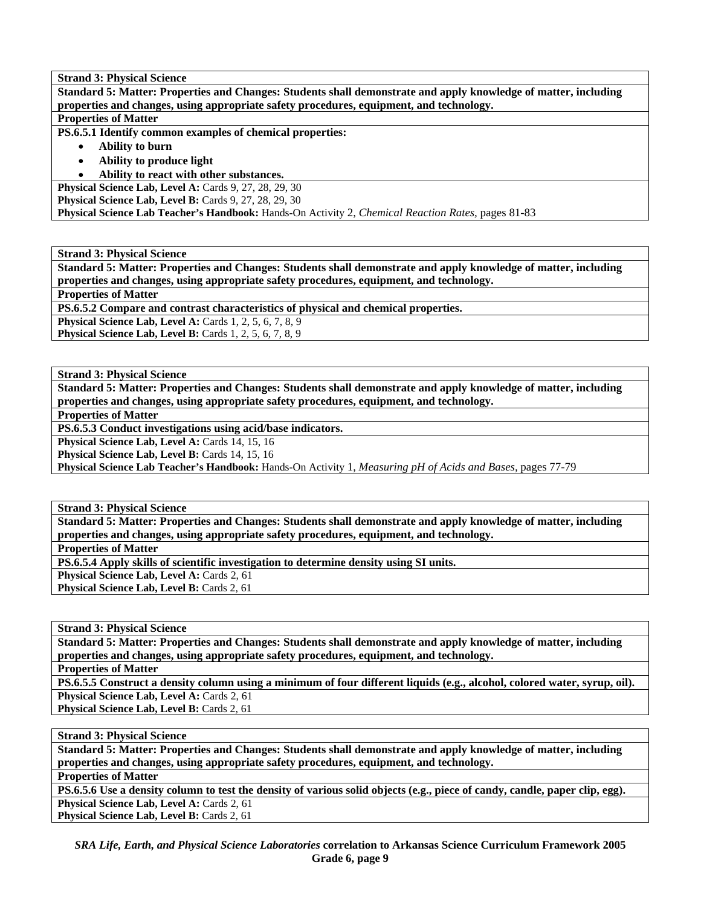**Standard 5: Matter: Properties and Changes: Students shall demonstrate and apply knowledge of matter, including properties and changes, using appropriate safety procedures, equipment, and technology.** 

# **Properties of Matter**

**PS.6.5.1 Identify common examples of chemical properties:** 

- **Ability to burn**
- **Ability to produce light**
- **Ability to react with other substances.**

**Physical Science Lab, Level A: Cards 9, 27, 28, 29, 30** 

**Physical Science Lab, Level B: Cards 9, 27, 28, 29, 30** 

**Physical Science Lab Teacher's Handbook:** Hands-On Activity 2, *Chemical Reaction Rates,* pages 81-83

**Strand 3: Physical Science** 

**Standard 5: Matter: Properties and Changes: Students shall demonstrate and apply knowledge of matter, including properties and changes, using appropriate safety procedures, equipment, and technology.** 

**Properties of Matter** 

**PS.6.5.2 Compare and contrast characteristics of physical and chemical properties.** 

**Physical Science Lab, Level A: Cards 1, 2, 5, 6, 7, 8, 9** 

**Physical Science Lab, Level B:** Cards 1, 2, 5, 6, 7, 8, 9

**Strand 3: Physical Science** 

**Standard 5: Matter: Properties and Changes: Students shall demonstrate and apply knowledge of matter, including properties and changes, using appropriate safety procedures, equipment, and technology.** 

**Properties of Matter** 

**PS.6.5.3 Conduct investigations using acid/base indicators.** 

Physical Science Lab, Level A: Cards 14, 15, 16

Physical Science Lab, Level B: Cards 14, 15, 16

**Physical Science Lab Teacher's Handbook:** Hands-On Activity 1, *Measuring pH of Acids and Bases,* pages 77-79

**Strand 3: Physical Science** 

**Standard 5: Matter: Properties and Changes: Students shall demonstrate and apply knowledge of matter, including properties and changes, using appropriate safety procedures, equipment, and technology.** 

**Properties of Matter** 

**PS.6.5.4 Apply skills of scientific investigation to determine density using SI units.** 

Physical Science Lab, Level A: Cards 2, 61

**Physical Science Lab, Level B: Cards 2, 61** 

**Strand 3: Physical Science** 

**Standard 5: Matter: Properties and Changes: Students shall demonstrate and apply knowledge of matter, including properties and changes, using appropriate safety procedures, equipment, and technology.** 

**Properties of Matter** 

**PS.6.5.5 Construct a density column using a minimum of four different liquids (e.g., alcohol, colored water, syrup, oil).**  Physical Science Lab, Level A: Cards 2, 61

Physical Science Lab, Level B: Cards 2, 61

**Strand 3: Physical Science** 

**Standard 5: Matter: Properties and Changes: Students shall demonstrate and apply knowledge of matter, including properties and changes, using appropriate safety procedures, equipment, and technology.** 

**Properties of Matter** 

**PS.6.5.6 Use a density column to test the density of various solid objects (e.g., piece of candy, candle, paper clip, egg). Physical Science Lab, Level A: Cards 2, 61** 

Physical Science Lab, Level B: Cards 2, 61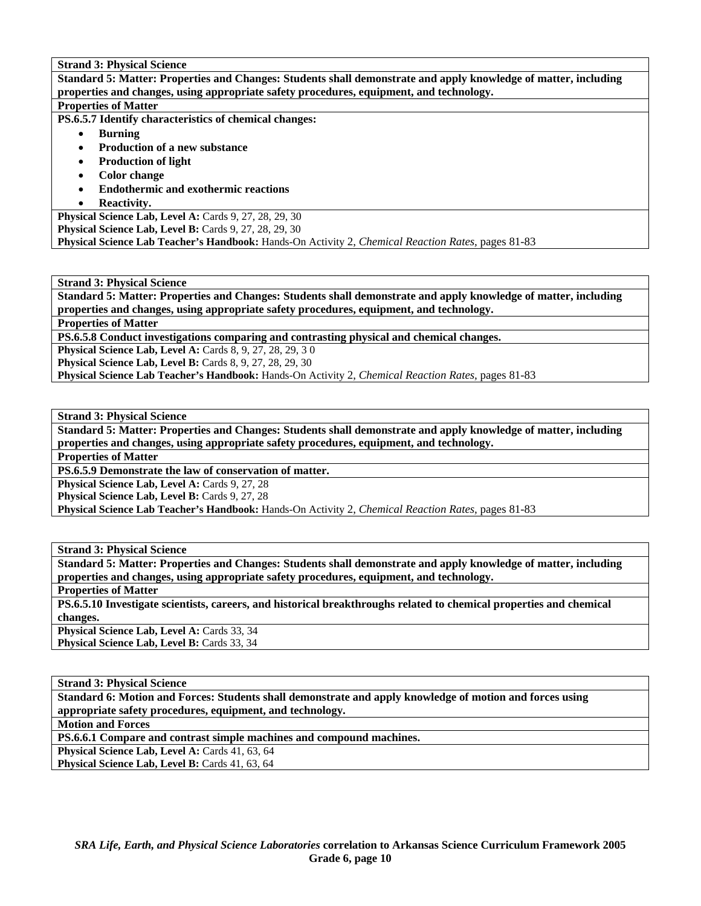**Standard 5: Matter: Properties and Changes: Students shall demonstrate and apply knowledge of matter, including properties and changes, using appropriate safety procedures, equipment, and technology. Properties of Matter** 

**PS.6.5.7 Identify characteristics of chemical changes:** 

- **Burning**
- **Production of a new substance**
- **Production of light**
- **Color change**
- **Endothermic and exothermic reactions**
- **Reactivity.**

**Physical Science Lab, Level A: Cards 9, 27, 28, 29, 30** 

**Physical Science Lab, Level B: Cards 9, 27, 28, 29, 30** 

**Physical Science Lab Teacher's Handbook:** Hands-On Activity 2, *Chemical Reaction Rates,* pages 81-83

**Strand 3: Physical Science** 

**Standard 5: Matter: Properties and Changes: Students shall demonstrate and apply knowledge of matter, including properties and changes, using appropriate safety procedures, equipment, and technology.** 

**Properties of Matter** 

**PS.6.5.8 Conduct investigations comparing and contrasting physical and chemical changes.** 

**Physical Science Lab, Level A: Cards 8, 9, 27, 28, 29, 30** 

**Physical Science Lab, Level B:** Cards 8, 9, 27, 28, 29, 30

**Physical Science Lab Teacher's Handbook:** Hands-On Activity 2, *Chemical Reaction Rates,* pages 81-83

**Strand 3: Physical Science** 

**Standard 5: Matter: Properties and Changes: Students shall demonstrate and apply knowledge of matter, including properties and changes, using appropriate safety procedures, equipment, and technology.** 

**Properties of Matter** 

**PS.6.5.9 Demonstrate the law of conservation of matter.** 

**Physical Science Lab, Level A: Cards 9, 27, 28** 

Physical Science Lab, Level B: Cards 9, 27, 28

**Physical Science Lab Teacher's Handbook:** Hands-On Activity 2, *Chemical Reaction Rates,* pages 81-83

**Strand 3: Physical Science** 

**Standard 5: Matter: Properties and Changes: Students shall demonstrate and apply knowledge of matter, including properties and changes, using appropriate safety procedures, equipment, and technology.** 

**Properties of Matter** 

**PS.6.5.10 Investigate scientists, careers, and historical breakthroughs related to chemical properties and chemical changes.** 

Physical Science Lab, Level A: Cards 33, 34

Physical Science Lab, Level B: Cards 33, 34

**Strand 3: Physical Science** 

**Standard 6: Motion and Forces: Students shall demonstrate and apply knowledge of motion and forces using appropriate safety procedures, equipment, and technology.** 

**Motion and Forces** 

**PS.6.6.1 Compare and contrast simple machines and compound machines.** 

**Physical Science Lab, Level A: Cards 41, 63, 64** 

Physical Science Lab, Level B: Cards 41, 63, 64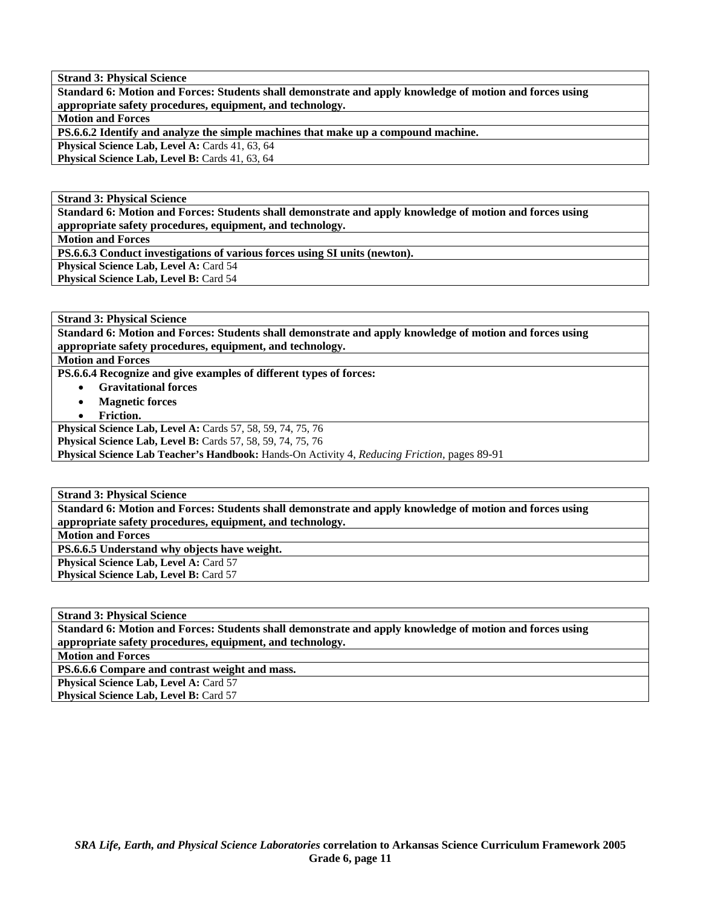**Standard 6: Motion and Forces: Students shall demonstrate and apply knowledge of motion and forces using appropriate safety procedures, equipment, and technology.** 

**Motion and Forces** 

**PS.6.6.2 Identify and analyze the simple machines that make up a compound machine.** 

Physical Science Lab, Level A: Cards 41, 63, 64

Physical Science Lab, Level B: Cards 41, 63, 64

**Strand 3: Physical Science** 

**Standard 6: Motion and Forces: Students shall demonstrate and apply knowledge of motion and forces using appropriate safety procedures, equipment, and technology.** 

**Motion and Forces** 

**PS.6.6.3 Conduct investigations of various forces using SI units (newton).** 

**Physical Science Lab, Level A: Card 54** Physical Science Lab, Level B: Card 54

**Strand 3: Physical Science** 

**Standard 6: Motion and Forces: Students shall demonstrate and apply knowledge of motion and forces using appropriate safety procedures, equipment, and technology.** 

**Motion and Forces** 

**PS.6.6.4 Recognize and give examples of different types of forces:** 

- **Gravitational forces**
- **Magnetic forces**
- **Friction.**

**Physical Science Lab, Level A:** Cards 57, 58, 59, 74, 75, 76

**Physical Science Lab, Level B:** Cards 57, 58, 59, 74, 75, 76

**Physical Science Lab Teacher's Handbook:** Hands-On Activity 4, *Reducing Friction,* pages 89-91

**Strand 3: Physical Science** 

**Standard 6: Motion and Forces: Students shall demonstrate and apply knowledge of motion and forces using appropriate safety procedures, equipment, and technology.** 

**Motion and Forces** 

**PS.6.6.5 Understand why objects have weight.** 

**Physical Science Lab, Level A: Card 57 Physical Science Lab, Level B:** Card 57

**Strand 3: Physical Science Standard 6: Motion and Forces: Students shall demonstrate and apply knowledge of motion and forces using appropriate safety procedures, equipment, and technology. Motion and Forces PS.6.6.6 Compare and contrast weight and mass. Physical Science Lab, Level A: Card 57 Physical Science Lab, Level B: Card 57**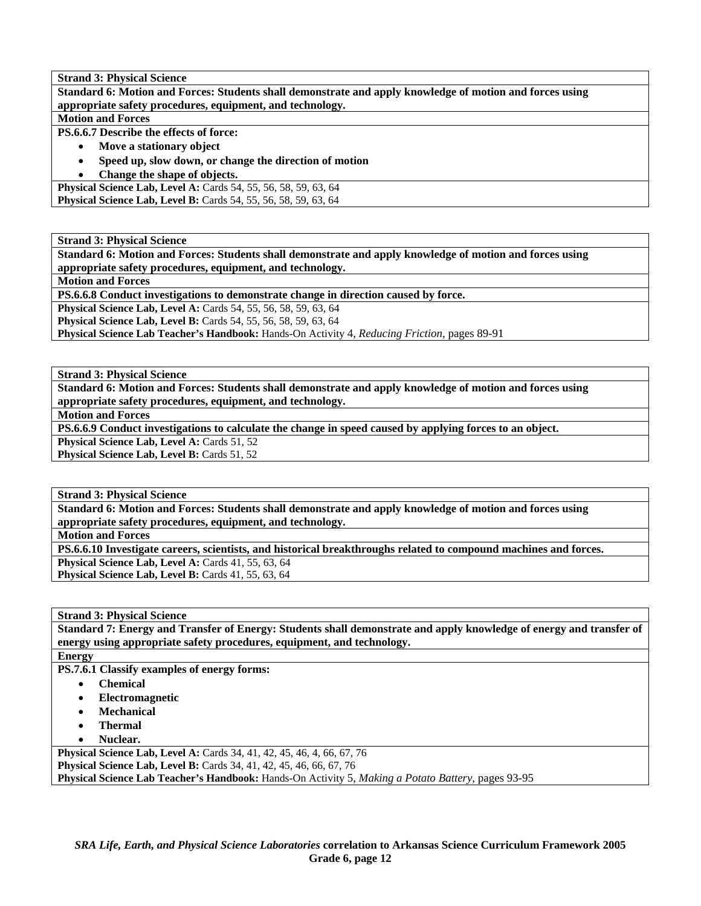**Standard 6: Motion and Forces: Students shall demonstrate and apply knowledge of motion and forces using appropriate safety procedures, equipment, and technology.** 

**Motion and Forces** 

**PS.6.6.7 Describe the effects of force:** 

- **Move a stationary object**
- **Speed up, slow down, or change the direction of motion**
- **Change the shape of objects.**

**Physical Science Lab, Level A:** Cards 54, 55, 56, 58, 59, 63, 64 **Physical Science Lab, Level B:** Cards 54, 55, 56, 58, 59, 63, 64

**Strand 3: Physical Science** 

**Standard 6: Motion and Forces: Students shall demonstrate and apply knowledge of motion and forces using appropriate safety procedures, equipment, and technology.** 

**Motion and Forces** 

**PS.6.6.8 Conduct investigations to demonstrate change in direction caused by force.** 

**Physical Science Lab, Level A:** Cards 54, 55, 56, 58, 59, 63, 64

**Physical Science Lab, Level B:** Cards 54, 55, 56, 58, 59, 63, 64

**Physical Science Lab Teacher's Handbook:** Hands-On Activity 4, *Reducing Friction,* pages 89-91

**Strand 3: Physical Science** 

**Standard 6: Motion and Forces: Students shall demonstrate and apply knowledge of motion and forces using appropriate safety procedures, equipment, and technology.** 

**Motion and Forces** 

**PS.6.6.9 Conduct investigations to calculate the change in speed caused by applying forces to an object.** 

**Physical Science Lab, Level A: Cards 51, 52** 

**Physical Science Lab, Level B: Cards 51, 52** 

**Strand 3: Physical Science** 

**Standard 6: Motion and Forces: Students shall demonstrate and apply knowledge of motion and forces using appropriate safety procedures, equipment, and technology.** 

**Motion and Forces** 

**PS.6.6.10 Investigate careers, scientists, and historical breakthroughs related to compound machines and forces.** 

**Physical Science Lab, Level A: Cards 41, 55, 63, 64 Physical Science Lab, Level B:** Cards 41, 55, 63, 64

**Strand 3: Physical Science** 

**Standard 7: Energy and Transfer of Energy: Students shall demonstrate and apply knowledge of energy and transfer of energy using appropriate safety procedures, equipment, and technology.** 

**Energy** 

**PS.7.6.1 Classify examples of energy forms:** 

- **Chemical**
- **Electromagnetic**
- **Mechanical**
- **Thermal**
- **Nuclear.**

Physical Science Lab, Level A: Cards 34, 41, 42, 45, 46, 4, 66, 67, 76 **Physical Science Lab, Level B:** Cards 34, 41, 42, 45, 46, 66, 67, 76 **Physical Science Lab Teacher's Handbook:** Hands-On Activity 5, *Making a Potato Battery,* pages 93-95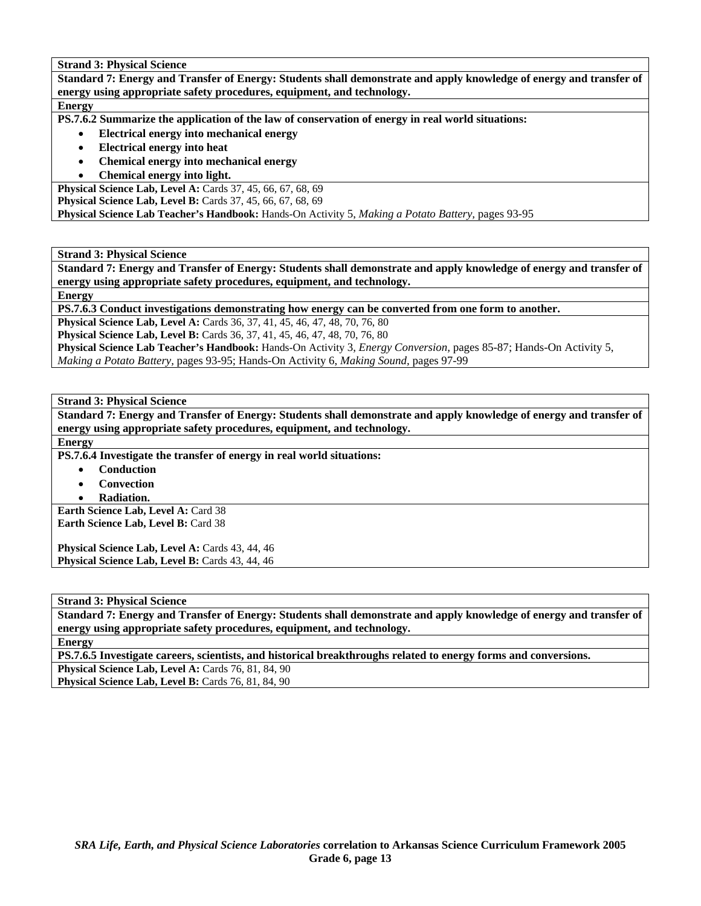**Standard 7: Energy and Transfer of Energy: Students shall demonstrate and apply knowledge of energy and transfer of energy using appropriate safety procedures, equipment, and technology.** 

#### **Energy**

**PS.7.6.2 Summarize the application of the law of conservation of energy in real world situations:** 

- **Electrical energy into mechanical energy**
- **Electrical energy into heat**
- **Chemical energy into mechanical energy**
- **Chemical energy into light.**

**Physical Science Lab, Level A:** Cards 37, 45, 66, 67, 68, 69 **Physical Science Lab, Level B:** Cards 37, 45, 66, 67, 68, 69 **Physical Science Lab Teacher's Handbook:** Hands-On Activity 5, *Making a Potato Battery,* pages 93-95

**Strand 3: Physical Science** 

**Standard 7: Energy and Transfer of Energy: Students shall demonstrate and apply knowledge of energy and transfer of energy using appropriate safety procedures, equipment, and technology.** 

**Energy** 

**PS.7.6.3 Conduct investigations demonstrating how energy can be converted from one form to another.** 

**Physical Science Lab, Level A:** Cards 36, 37, 41, 45, 46, 47, 48, 70, 76, 80

**Physical Science Lab, Level B:** Cards 36, 37, 41, 45, 46, 47, 48, 70, 76, 80

**Physical Science Lab Teacher's Handbook:** Hands-On Activity 3, *Energy Conversion,* pages 85-87; Hands-On Activity 5, *Making a Potato Battery,* pages 93-95; Hands-On Activity 6, *Making Sound,* pages 97-99

**Strand 3: Physical Science** 

**Standard 7: Energy and Transfer of Energy: Students shall demonstrate and apply knowledge of energy and transfer of energy using appropriate safety procedures, equipment, and technology.** 

**Energy** 

**PS.7.6.4 Investigate the transfer of energy in real world situations:** 

- **Conduction**
- **Convection**
- **Radiation.**

**Earth Science Lab, Level A: Card 38 Earth Science Lab, Level B:** Card 38

Physical Science Lab, Level A: Cards 43, 44, 46 Physical Science Lab, Level B: Cards 43, 44, 46

**Strand 3: Physical Science** 

**Standard 7: Energy and Transfer of Energy: Students shall demonstrate and apply knowledge of energy and transfer of energy using appropriate safety procedures, equipment, and technology.** 

**Energy** 

**PS.7.6.5 Investigate careers, scientists, and historical breakthroughs related to energy forms and conversions.** 

**Physical Science Lab, Level A: Cards 76, 81, 84, 90** 

**Physical Science Lab, Level B: Cards 76, 81, 84, 90**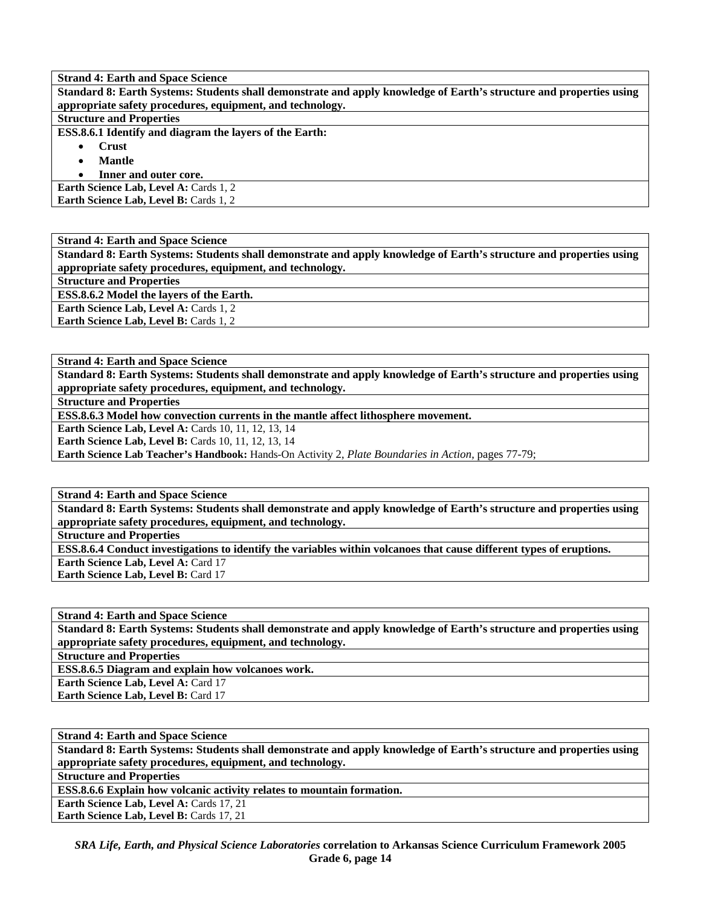**Standard 8: Earth Systems: Students shall demonstrate and apply knowledge of Earth's structure and properties using appropriate safety procedures, equipment, and technology.** 

## **Structure and Properties**

**ESS.8.6.1 Identify and diagram the layers of the Earth:** 

- **Crust** 
	- **Mantle**

• **Inner and outer core.** 

**Earth Science Lab, Level A: Cards 1, 2** Earth Science Lab, Level B: Cards 1, 2

**Strand 4: Earth and Space Science** 

**Standard 8: Earth Systems: Students shall demonstrate and apply knowledge of Earth's structure and properties using appropriate safety procedures, equipment, and technology.** 

**Structure and Properties** 

**ESS.8.6.2 Model the layers of the Earth.** 

**Earth Science Lab, Level A: Cards 1, 2** Earth Science Lab, Level B: Cards 1, 2

**Strand 4: Earth and Space Science** 

**Standard 8: Earth Systems: Students shall demonstrate and apply knowledge of Earth's structure and properties using appropriate safety procedures, equipment, and technology.** 

**Structure and Properties** 

**ESS.8.6.3 Model how convection currents in the mantle affect lithosphere movement.** 

**Earth Science Lab, Level A: Cards 10, 11, 12, 13, 14** 

**Earth Science Lab, Level B: Cards 10, 11, 12, 13, 14** 

**Earth Science Lab Teacher's Handbook:** Hands-On Activity 2, *Plate Boundaries in Action,* pages 77-79;

**Strand 4: Earth and Space Science** 

**Standard 8: Earth Systems: Students shall demonstrate and apply knowledge of Earth's structure and properties using appropriate safety procedures, equipment, and technology.** 

**Structure and Properties** 

**ESS.8.6.4 Conduct investigations to identify the variables within volcanoes that cause different types of eruptions. Earth Science Lab, Level A: Card 17** 

**Earth Science Lab, Level B: Card 17** 

**Strand 4: Earth and Space Science** 

**Standard 8: Earth Systems: Students shall demonstrate and apply knowledge of Earth's structure and properties using appropriate safety procedures, equipment, and technology.** 

**Structure and Properties** 

**ESS.8.6.5 Diagram and explain how volcanoes work.** 

**Earth Science Lab, Level A: Card 17** 

**Earth Science Lab, Level B: Card 17** 

**Strand 4: Earth and Space Science** 

**Standard 8: Earth Systems: Students shall demonstrate and apply knowledge of Earth's structure and properties using appropriate safety procedures, equipment, and technology.** 

**Structure and Properties** 

**ESS.8.6.6 Explain how volcanic activity relates to mountain formation.** 

**Earth Science Lab, Level A: Cards 17, 21** 

Earth Science Lab, Level B: Cards 17, 21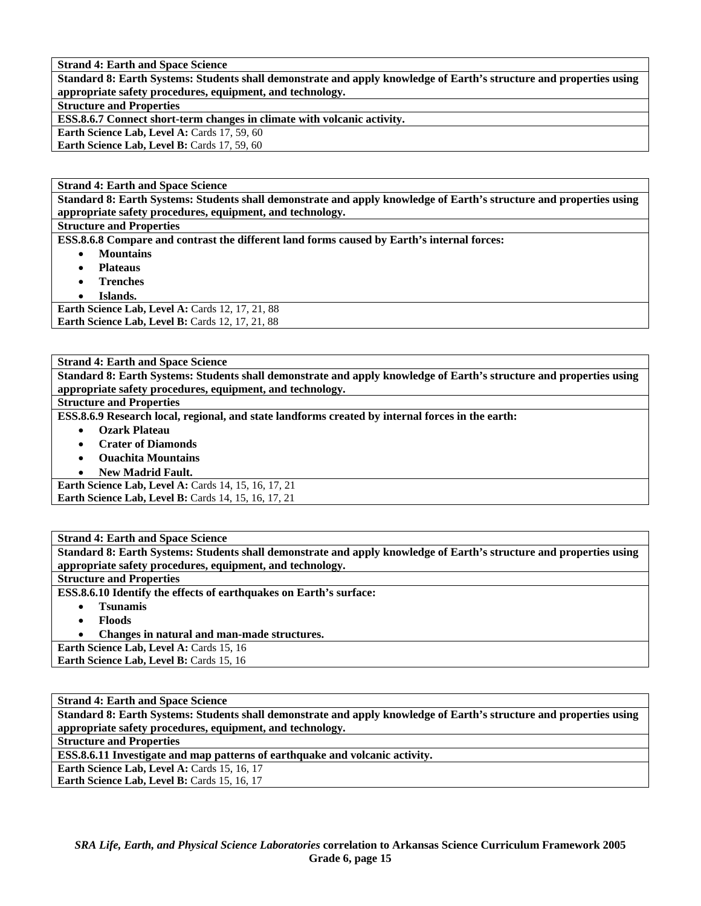**Standard 8: Earth Systems: Students shall demonstrate and apply knowledge of Earth's structure and properties using appropriate safety procedures, equipment, and technology.** 

# **Structure and Properties**

**ESS.8.6.7 Connect short-term changes in climate with volcanic activity.** 

**Earth Science Lab, Level A: Cards 17, 59, 60** 

**Earth Science Lab, Level B: Cards 17, 59, 60** 

#### **Strand 4: Earth and Space Science**

**Standard 8: Earth Systems: Students shall demonstrate and apply knowledge of Earth's structure and properties using appropriate safety procedures, equipment, and technology.** 

### **Structure and Properties**

**ESS.8.6.8 Compare and contrast the different land forms caused by Earth's internal forces:** 

- **Mountains**
- **Plateaus**
- **Trenches**
- **Islands.**

**Earth Science Lab, Level A: Cards 12, 17, 21, 88 Earth Science Lab, Level B: Cards 12, 17, 21, 88** 

#### **Strand 4: Earth and Space Science**

**Standard 8: Earth Systems: Students shall demonstrate and apply knowledge of Earth's structure and properties using appropriate safety procedures, equipment, and technology.** 

#### **Structure and Properties**

**ESS.8.6.9 Research local, regional, and state landforms created by internal forces in the earth:** 

- **Ozark Plateau**
- **Crater of Diamonds**
- **Ouachita Mountains**
- **New Madrid Fault.**

**Earth Science Lab, Level A:** Cards 14, 15, 16, 17, 21 **Earth Science Lab, Level B:** Cards 14, 15, 16, 17, 21

#### **Strand 4: Earth and Space Science**

**Standard 8: Earth Systems: Students shall demonstrate and apply knowledge of Earth's structure and properties using appropriate safety procedures, equipment, and technology.** 

### **Structure and Properties**

**ESS.8.6.10 Identify the effects of earthquakes on Earth's surface:** 

- **Tsunamis**
- **Floods**
- **Changes in natural and man-made structures.**

**Earth Science Lab, Level A: Cards 15, 16** 

**Earth Science Lab, Level B: Cards 15, 16** 

**Strand 4: Earth and Space Science** 

**Standard 8: Earth Systems: Students shall demonstrate and apply knowledge of Earth's structure and properties using appropriate safety procedures, equipment, and technology.** 

**Structure and Properties** 

**ESS.8.6.11 Investigate and map patterns of earthquake and volcanic activity.** 

Earth Science Lab, Level A: Cards 15, 16, 17

Earth Science Lab, Level B: Cards 15, 16, 17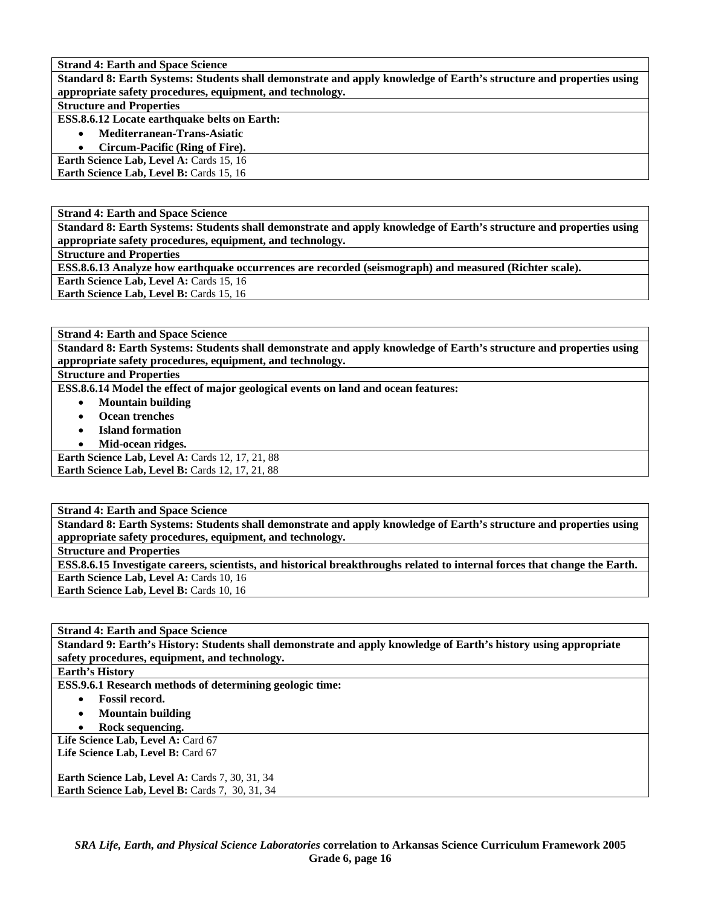**Standard 8: Earth Systems: Students shall demonstrate and apply knowledge of Earth's structure and properties using appropriate safety procedures, equipment, and technology.** 

### **Structure and Properties**

**ESS.8.6.12 Locate earthquake belts on Earth:** 

- **Mediterranean-Trans-Asiatic**
- **Circum-Pacific (Ring of Fire).**

**Earth Science Lab, Level A: Cards 15, 16 Earth Science Lab, Level B: Cards 15, 16** 

**Strand 4: Earth and Space Science** 

**Standard 8: Earth Systems: Students shall demonstrate and apply knowledge of Earth's structure and properties using appropriate safety procedures, equipment, and technology.** 

**Structure and Properties** 

**ESS.8.6.13 Analyze how earthquake occurrences are recorded (seismograph) and measured (Richter scale).** 

**Earth Science Lab, Level A: Cards 15, 16** 

**Earth Science Lab, Level B: Cards 15, 16** 

**Strand 4: Earth and Space Science** 

**Standard 8: Earth Systems: Students shall demonstrate and apply knowledge of Earth's structure and properties using appropriate safety procedures, equipment, and technology.** 

# **Structure and Properties**

**ESS.8.6.14 Model the effect of major geological events on land and ocean features:** 

- **Mountain building**
- **Ocean trenches**
- **Island formation**
- **Mid-ocean ridges.**

**Earth Science Lab, Level A: Cards 12, 17, 21, 88 Earth Science Lab, Level B: Cards 12, 17, 21, 88** 

# **Strand 4: Earth and Space Science**

**Standard 8: Earth Systems: Students shall demonstrate and apply knowledge of Earth's structure and properties using appropriate safety procedures, equipment, and technology.** 

**Structure and Properties** 

**ESS.8.6.15 Investigate careers, scientists, and historical breakthroughs related to internal forces that change the Earth. Earth Science Lab, Level A: Cards 10, 16 Earth Science Lab, Level B: Cards 10, 16** 

**Strand 4: Earth and Space Science** 

**Standard 9: Earth's History: Students shall demonstrate and apply knowledge of Earth's history using appropriate safety procedures, equipment, and technology.** 

# **Earth's History**

**ESS.9.6.1 Research methods of determining geologic time:** 

- **Fossil record.**
- **Mountain building**
- **Rock sequencing.**

Life Science Lab, Level A: Card 67 **Life Science Lab, Level B:** Card 67

**Earth Science Lab, Level A: Cards 7, 30, 31, 34 Earth Science Lab, Level B:** Cards 7, 30, 31, 34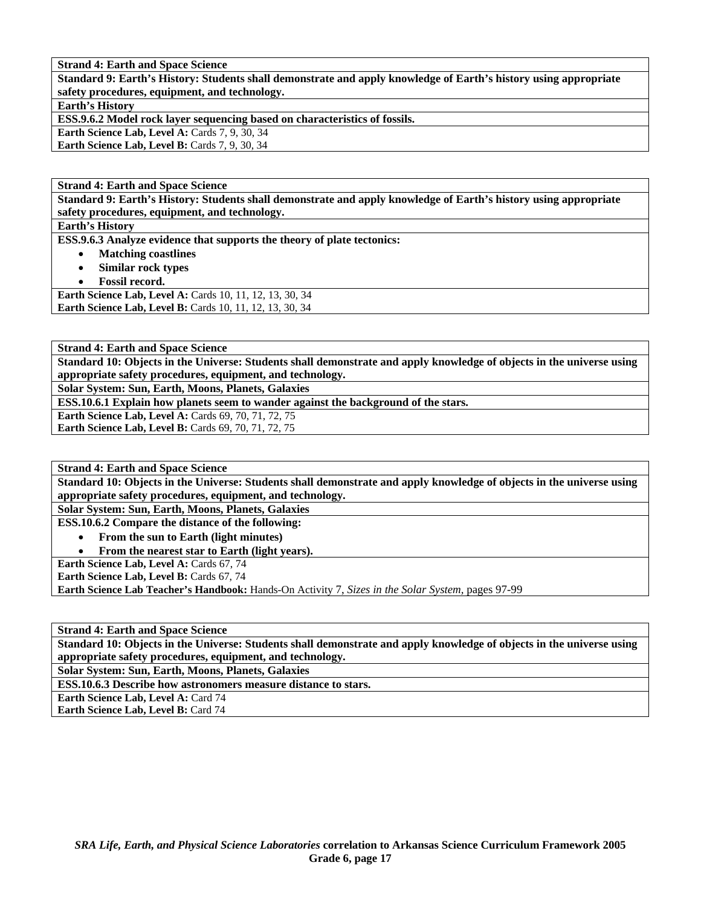**Standard 9: Earth's History: Students shall demonstrate and apply knowledge of Earth's history using appropriate safety procedures, equipment, and technology.** 

**Earth's History** 

**ESS.9.6.2 Model rock layer sequencing based on characteristics of fossils.** 

**Earth Science Lab, Level A: Cards 7, 9, 30, 34** 

**Earth Science Lab, Level B: Cards 7, 9, 30, 34** 

**Strand 4: Earth and Space Science** 

**Standard 9: Earth's History: Students shall demonstrate and apply knowledge of Earth's history using appropriate safety procedures, equipment, and technology.** 

**Earth's History** 

**ESS.9.6.3 Analyze evidence that supports the theory of plate tectonics:** 

- **Matching coastlines**
- **Similar rock types**
- **Fossil record.**

**Earth Science Lab, Level A: Cards 10, 11, 12, 13, 30, 34 Earth Science Lab, Level B:** Cards 10, 11, 12, 13, 30, 34

**Strand 4: Earth and Space Science** 

**Standard 10: Objects in the Universe: Students shall demonstrate and apply knowledge of objects in the universe using appropriate safety procedures, equipment, and technology.** 

**Solar System: Sun, Earth, Moons, Planets, Galaxies** 

**ESS.10.6.1 Explain how planets seem to wander against the background of the stars.** 

**Earth Science Lab, Level A: Cards 69, 70, 71, 72, 75** Earth Science Lab, Level B: Cards 69, 70, 71, 72, 75

**Strand 4: Earth and Space Science** 

**Standard 10: Objects in the Universe: Students shall demonstrate and apply knowledge of objects in the universe using appropriate safety procedures, equipment, and technology.** 

**Solar System: Sun, Earth, Moons, Planets, Galaxies** 

**ESS.10.6.2 Compare the distance of the following:** 

• **From the sun to Earth (light minutes)** 

• **From the nearest star to Earth (light years).** 

Earth Science Lab, Level A: Cards 67, 74

**Earth Science Lab, Level B: Cards 67, 74** 

**Earth Science Lab Teacher's Handbook:** Hands-On Activity 7, *Sizes in the Solar System,* pages 97-99

**Strand 4: Earth and Space Science** 

**Standard 10: Objects in the Universe: Students shall demonstrate and apply knowledge of objects in the universe using appropriate safety procedures, equipment, and technology.** 

**Solar System: Sun, Earth, Moons, Planets, Galaxies** 

**ESS.10.6.3 Describe how astronomers measure distance to stars.** 

**Earth Science Lab, Level A: Card 74** 

**Earth Science Lab, Level B:** Card 74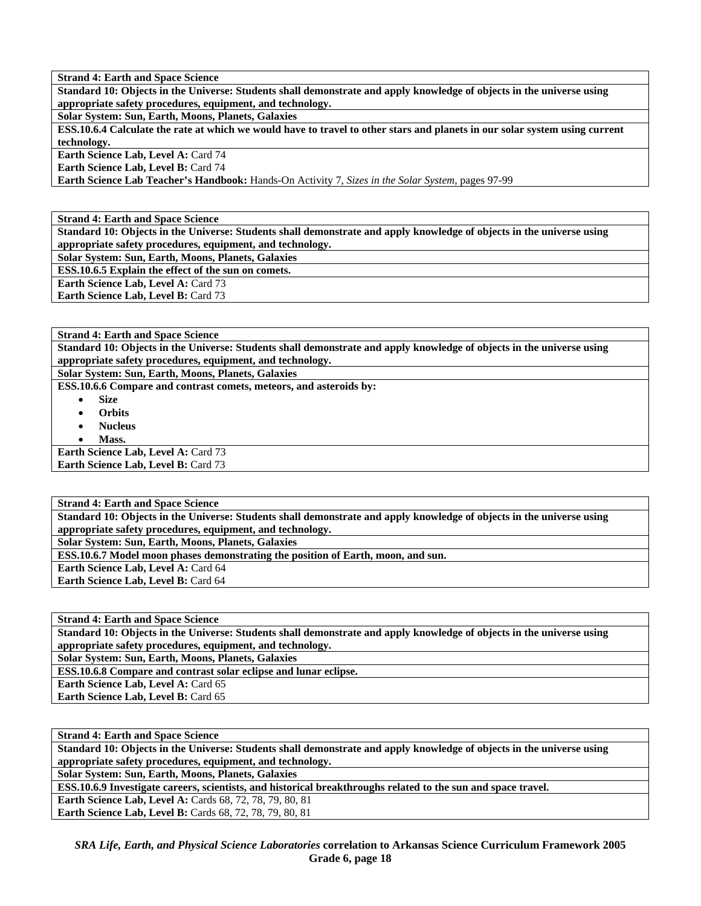**Strand 4: Earth and Space Science Standard 10: Objects in the Universe: Students shall demonstrate and apply knowledge of objects in the universe using appropriate safety procedures, equipment, and technology.** 

**Solar System: Sun, Earth, Moons, Planets, Galaxies** 

**ESS.10.6.4 Calculate the rate at which we would have to travel to other stars and planets in our solar system using current technology.** 

**Earth Science Lab, Level A: Card 74 Earth Science Lab, Level B:** Card 74

**Earth Science Lab Teacher's Handbook:** Hands-On Activity 7, *Sizes in the Solar System,* pages 97-99

**Strand 4: Earth and Space Science** 

**Standard 10: Objects in the Universe: Students shall demonstrate and apply knowledge of objects in the universe using appropriate safety procedures, equipment, and technology.** 

**Solar System: Sun, Earth, Moons, Planets, Galaxies** 

**ESS.10.6.5 Explain the effect of the sun on comets.** 

**Earth Science Lab, Level A:** Card 73

**Earth Science Lab, Level B: Card 73** 

**Strand 4: Earth and Space Science** 

**Standard 10: Objects in the Universe: Students shall demonstrate and apply knowledge of objects in the universe using appropriate safety procedures, equipment, and technology.** 

**Solar System: Sun, Earth, Moons, Planets, Galaxies** 

**ESS.10.6.6 Compare and contrast comets, meteors, and asteroids by:** 

- **Size**
- **Orbits**
- **Nucleus**
- **Mass.**

Earth Science Lab, Level A: Card 73 **Earth Science Lab, Level B: Card 73** 

**Strand 4: Earth and Space Science** 

**Standard 10: Objects in the Universe: Students shall demonstrate and apply knowledge of objects in the universe using appropriate safety procedures, equipment, and technology.** 

**Solar System: Sun, Earth, Moons, Planets, Galaxies** 

**ESS.10.6.7 Model moon phases demonstrating the position of Earth, moon, and sun.** 

**Earth Science Lab, Level A:** Card 64 **Earth Science Lab, Level B:** Card 64

**Strand 4: Earth and Space Science** 

**Standard 10: Objects in the Universe: Students shall demonstrate and apply knowledge of objects in the universe using appropriate safety procedures, equipment, and technology.** 

**Solar System: Sun, Earth, Moons, Planets, Galaxies** 

**ESS.10.6.8 Compare and contrast solar eclipse and lunar eclipse.** 

Earth Science Lab, Level A: Card 65

Earth Science Lab, Level B: Card 65

**Strand 4: Earth and Space Science** 

**Standard 10: Objects in the Universe: Students shall demonstrate and apply knowledge of objects in the universe using appropriate safety procedures, equipment, and technology.** 

**Solar System: Sun, Earth, Moons, Planets, Galaxies** 

**ESS.10.6.9 Investigate careers, scientists, and historical breakthroughs related to the sun and space travel.** 

**Earth Science Lab, Level A:** Cards 68, 72, 78, 79, 80, 81 **Earth Science Lab, Level B:** Cards 68, 72, 78, 79, 80, 81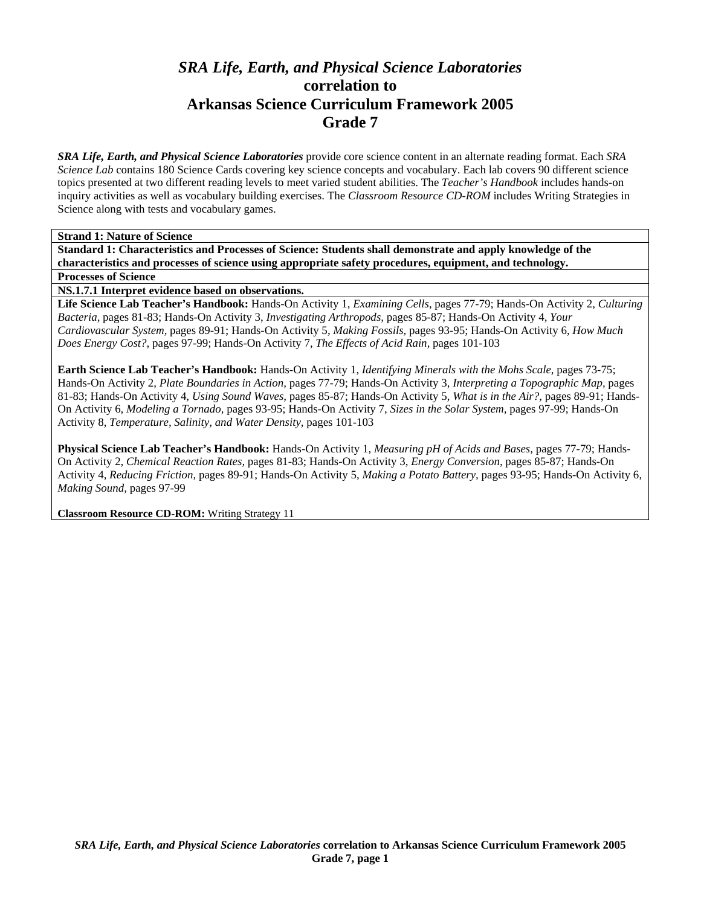# *SRA Life, Earth, and Physical Science Laboratories*  **correlation to Arkansas Science Curriculum Framework 2005 Grade 7**

*SRA Life, Earth, and Physical Science Laboratories* provide core science content in an alternate reading format. Each *SRA Science Lab* contains 180 Science Cards covering key science concepts and vocabulary. Each lab covers 90 different science topics presented at two different reading levels to meet varied student abilities. The *Teacher's Handbook* includes hands-on inquiry activities as well as vocabulary building exercises. The *Classroom Resource CD-ROM* includes Writing Strategies in Science along with tests and vocabulary games.

**Strand 1: Nature of Science** 

**Standard 1: Characteristics and Processes of Science: Students shall demonstrate and apply knowledge of the characteristics and processes of science using appropriate safety procedures, equipment, and technology.** 

**Processes of Science** 

**NS.1.7.1 Interpret evidence based on observations.** 

**Life Science Lab Teacher's Handbook:** Hands-On Activity 1, *Examining Cells,* pages 77-79; Hands-On Activity 2, *Culturing Bacteria,* pages 81-83; Hands-On Activity 3, *Investigating Arthropods,* pages 85-87; Hands-On Activity 4, *Your Cardiovascular System,* pages 89-91; Hands-On Activity 5, *Making Fossils,* pages 93-95; Hands-On Activity 6, *How Much Does Energy Cost?,* pages 97-99; Hands-On Activity 7, *The Effects of Acid Rain,* pages 101-103

**Earth Science Lab Teacher's Handbook:** Hands-On Activity 1, *Identifying Minerals with the Mohs Scale,* pages 73-75; Hands-On Activity 2, *Plate Boundaries in Action,* pages 77-79; Hands-On Activity 3, *Interpreting a Topographic Map,* pages 81-83; Hands-On Activity 4, *Using Sound Waves,* pages 85-87; Hands-On Activity 5, *What is in the Air?,* pages 89-91; Hands-On Activity 6, *Modeling a Tornado,* pages 93-95; Hands-On Activity 7, *Sizes in the Solar System,* pages 97-99; Hands-On Activity 8, *Temperature, Salinity, and Water Density,* pages 101-103

**Physical Science Lab Teacher's Handbook:** Hands-On Activity 1, *Measuring pH of Acids and Bases,* pages 77-79; Hands-On Activity 2, *Chemical Reaction Rates,* pages 81-83; Hands-On Activity 3, *Energy Conversion,* pages 85-87; Hands-On Activity 4, *Reducing Friction,* pages 89-91; Hands-On Activity 5, *Making a Potato Battery,* pages 93-95; Hands-On Activity 6, *Making Sound,* pages 97-99

**Classroom Resource CD-ROM:** Writing Strategy 11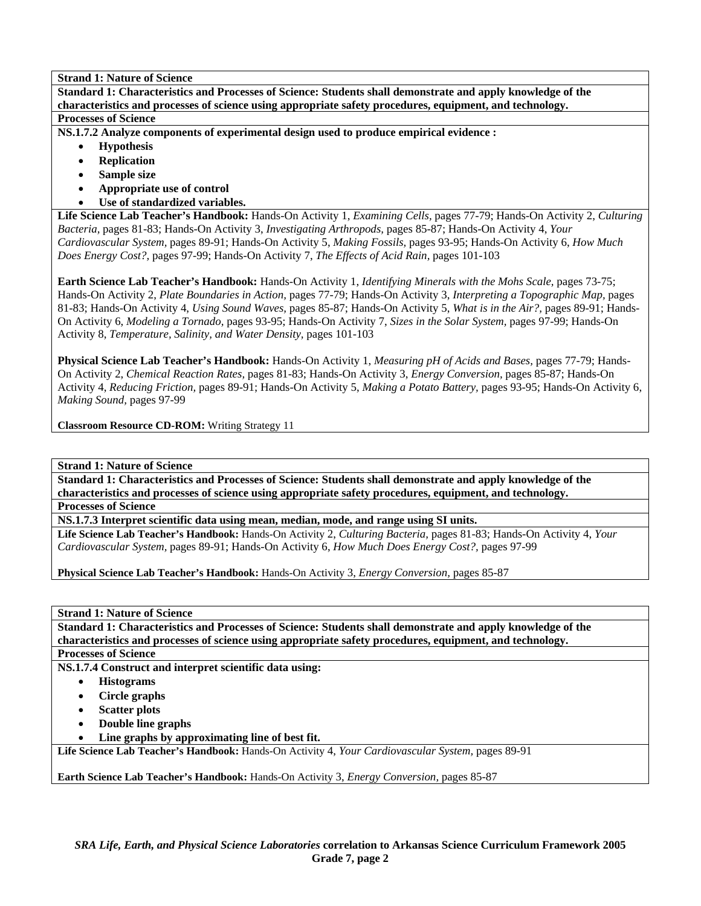**Standard 1: Characteristics and Processes of Science: Students shall demonstrate and apply knowledge of the characteristics and processes of science using appropriate safety procedures, equipment, and technology. Processes of Science** 

**NS.1.7.2 Analyze components of experimental design used to produce empirical evidence :** 

- **Hypothesis**
- **Replication**
- **Sample size**
- **Appropriate use of control**
- **Use of standardized variables.**

**Life Science Lab Teacher's Handbook:** Hands-On Activity 1, *Examining Cells,* pages 77-79; Hands-On Activity 2, *Culturing Bacteria,* pages 81-83; Hands-On Activity 3, *Investigating Arthropods,* pages 85-87; Hands-On Activity 4, *Your Cardiovascular System,* pages 89-91; Hands-On Activity 5, *Making Fossils,* pages 93-95; Hands-On Activity 6, *How Much Does Energy Cost?,* pages 97-99; Hands-On Activity 7, *The Effects of Acid Rain,* pages 101-103

**Earth Science Lab Teacher's Handbook:** Hands-On Activity 1, *Identifying Minerals with the Mohs Scale,* pages 73-75; Hands-On Activity 2, *Plate Boundaries in Action,* pages 77-79; Hands-On Activity 3, *Interpreting a Topographic Map,* pages 81-83; Hands-On Activity 4, *Using Sound Waves,* pages 85-87; Hands-On Activity 5, *What is in the Air?,* pages 89-91; Hands-On Activity 6, *Modeling a Tornado,* pages 93-95; Hands-On Activity 7, *Sizes in the Solar System,* pages 97-99; Hands-On Activity 8, *Temperature, Salinity, and Water Density,* pages 101-103

**Physical Science Lab Teacher's Handbook:** Hands-On Activity 1, *Measuring pH of Acids and Bases,* pages 77-79; Hands-On Activity 2, *Chemical Reaction Rates,* pages 81-83; Hands-On Activity 3, *Energy Conversion,* pages 85-87; Hands-On Activity 4, *Reducing Friction,* pages 89-91; Hands-On Activity 5, *Making a Potato Battery,* pages 93-95; Hands-On Activity 6, *Making Sound,* pages 97-99

**Classroom Resource CD-ROM:** Writing Strategy 11

**Strand 1: Nature of Science** 

**Standard 1: Characteristics and Processes of Science: Students shall demonstrate and apply knowledge of the characteristics and processes of science using appropriate safety procedures, equipment, and technology.** 

**Processes of Science** 

**NS.1.7.3 Interpret scientific data using mean, median, mode, and range using SI units.** 

**Life Science Lab Teacher's Handbook:** Hands-On Activity 2, *Culturing Bacteria,* pages 81-83; Hands-On Activity 4, *Your Cardiovascular System,* pages 89-91; Hands-On Activity 6, *How Much Does Energy Cost?,* pages 97-99

**Physical Science Lab Teacher's Handbook:** Hands-On Activity 3, *Energy Conversion,* pages 85-87

**Strand 1: Nature of Science** 

**Standard 1: Characteristics and Processes of Science: Students shall demonstrate and apply knowledge of the characteristics and processes of science using appropriate safety procedures, equipment, and technology.** 

**Processes of Science** 

**NS.1.7.4 Construct and interpret scientific data using:** 

- **Histograms**
- **Circle graphs**
- **Scatter plots**
- **Double line graphs**
- Line graphs by approximating line of best fit.

**Life Science Lab Teacher's Handbook:** Hands-On Activity 4, *Your Cardiovascular System,* pages 89-91

**Earth Science Lab Teacher's Handbook:** Hands-On Activity 3, *Energy Conversion,* pages 85-87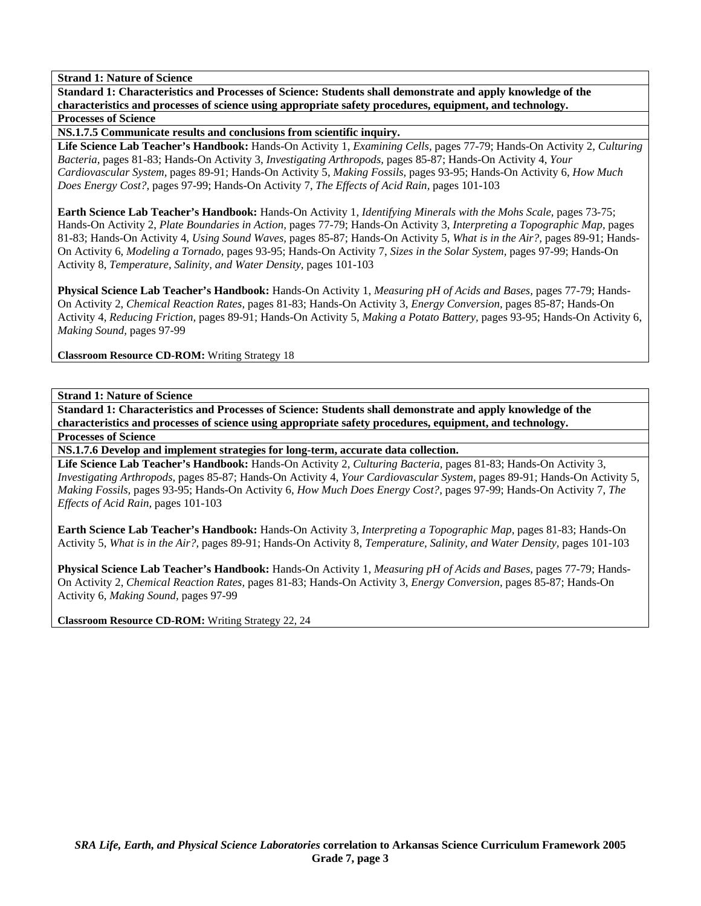**Standard 1: Characteristics and Processes of Science: Students shall demonstrate and apply knowledge of the characteristics and processes of science using appropriate safety procedures, equipment, and technology. Processes of Science** 

**NS.1.7.5 Communicate results and conclusions from scientific inquiry.** 

**Life Science Lab Teacher's Handbook:** Hands-On Activity 1, *Examining Cells,* pages 77-79; Hands-On Activity 2, *Culturing Bacteria,* pages 81-83; Hands-On Activity 3, *Investigating Arthropods,* pages 85-87; Hands-On Activity 4, *Your Cardiovascular System,* pages 89-91; Hands-On Activity 5, *Making Fossils,* pages 93-95; Hands-On Activity 6, *How Much Does Energy Cost?,* pages 97-99; Hands-On Activity 7, *The Effects of Acid Rain,* pages 101-103

**Earth Science Lab Teacher's Handbook:** Hands-On Activity 1, *Identifying Minerals with the Mohs Scale,* pages 73-75; Hands-On Activity 2, *Plate Boundaries in Action,* pages 77-79; Hands-On Activity 3, *Interpreting a Topographic Map,* pages 81-83; Hands-On Activity 4, *Using Sound Waves,* pages 85-87; Hands-On Activity 5, *What is in the Air?,* pages 89-91; Hands-On Activity 6, *Modeling a Tornado,* pages 93-95; Hands-On Activity 7, *Sizes in the Solar System,* pages 97-99; Hands-On Activity 8, *Temperature, Salinity, and Water Density,* pages 101-103

**Physical Science Lab Teacher's Handbook:** Hands-On Activity 1, *Measuring pH of Acids and Bases,* pages 77-79; Hands-On Activity 2, *Chemical Reaction Rates,* pages 81-83; Hands-On Activity 3, *Energy Conversion,* pages 85-87; Hands-On Activity 4, *Reducing Friction,* pages 89-91; Hands-On Activity 5, *Making a Potato Battery,* pages 93-95; Hands-On Activity 6, *Making Sound,* pages 97-99

**Classroom Resource CD-ROM:** Writing Strategy 18

**Strand 1: Nature of Science** 

**Standard 1: Characteristics and Processes of Science: Students shall demonstrate and apply knowledge of the characteristics and processes of science using appropriate safety procedures, equipment, and technology. Processes of Science** 

**NS.1.7.6 Develop and implement strategies for long-term, accurate data collection.** 

**Life Science Lab Teacher's Handbook:** Hands-On Activity 2, *Culturing Bacteria,* pages 81-83; Hands-On Activity 3, *Investigating Arthropods,* pages 85-87; Hands-On Activity 4, *Your Cardiovascular System,* pages 89-91; Hands-On Activity 5, *Making Fossils,* pages 93-95; Hands-On Activity 6, *How Much Does Energy Cost?,* pages 97-99; Hands-On Activity 7, *The Effects of Acid Rain,* pages 101-103

**Earth Science Lab Teacher's Handbook:** Hands-On Activity 3, *Interpreting a Topographic Map,* pages 81-83; Hands-On Activity 5, *What is in the Air?,* pages 89-91; Hands-On Activity 8, *Temperature, Salinity, and Water Density,* pages 101-103

**Physical Science Lab Teacher's Handbook:** Hands-On Activity 1, *Measuring pH of Acids and Bases,* pages 77-79; Hands-On Activity 2, *Chemical Reaction Rates,* pages 81-83; Hands-On Activity 3, *Energy Conversion,* pages 85-87; Hands-On Activity 6, *Making Sound,* pages 97-99

**Classroom Resource CD-ROM:** Writing Strategy 22, 24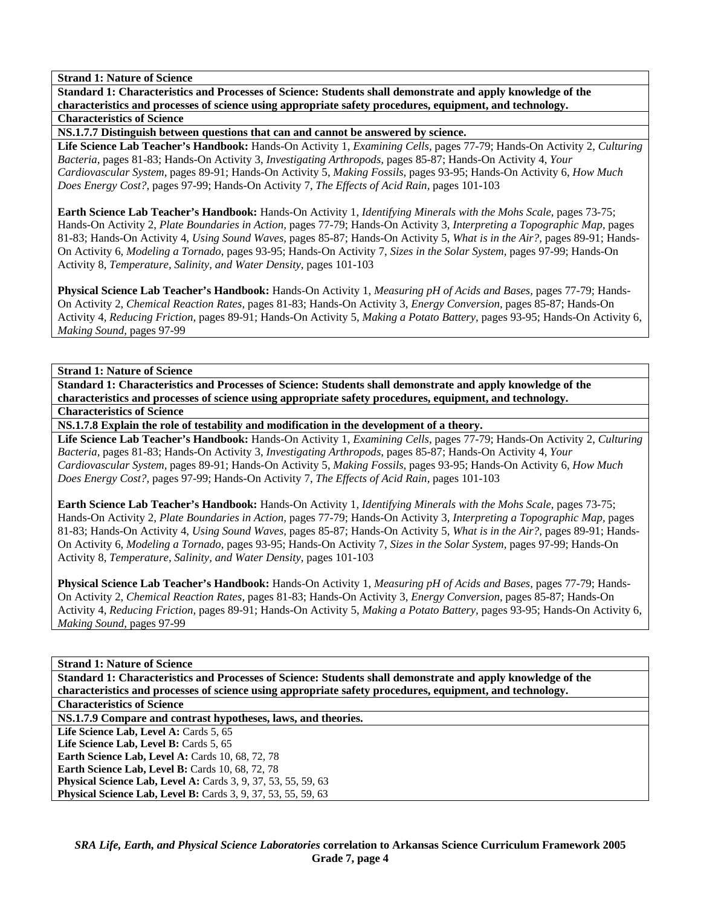**Standard 1: Characteristics and Processes of Science: Students shall demonstrate and apply knowledge of the characteristics and processes of science using appropriate safety procedures, equipment, and technology. Characteristics of Science** 

**NS.1.7.7 Distinguish between questions that can and cannot be answered by science.** 

**Life Science Lab Teacher's Handbook:** Hands-On Activity 1, *Examining Cells,* pages 77-79; Hands-On Activity 2, *Culturing Bacteria,* pages 81-83; Hands-On Activity 3, *Investigating Arthropods,* pages 85-87; Hands-On Activity 4, *Your Cardiovascular System,* pages 89-91; Hands-On Activity 5, *Making Fossils,* pages 93-95; Hands-On Activity 6, *How Much Does Energy Cost?,* pages 97-99; Hands-On Activity 7, *The Effects of Acid Rain,* pages 101-103

**Earth Science Lab Teacher's Handbook:** Hands-On Activity 1, *Identifying Minerals with the Mohs Scale,* pages 73-75; Hands-On Activity 2, *Plate Boundaries in Action,* pages 77-79; Hands-On Activity 3, *Interpreting a Topographic Map,* pages 81-83; Hands-On Activity 4, *Using Sound Waves,* pages 85-87; Hands-On Activity 5, *What is in the Air?,* pages 89-91; Hands-On Activity 6, *Modeling a Tornado,* pages 93-95; Hands-On Activity 7, *Sizes in the Solar System,* pages 97-99; Hands-On Activity 8, *Temperature, Salinity, and Water Density,* pages 101-103

**Physical Science Lab Teacher's Handbook:** Hands-On Activity 1, *Measuring pH of Acids and Bases,* pages 77-79; Hands-On Activity 2, *Chemical Reaction Rates,* pages 81-83; Hands-On Activity 3, *Energy Conversion,* pages 85-87; Hands-On Activity 4, *Reducing Friction,* pages 89-91; Hands-On Activity 5, *Making a Potato Battery,* pages 93-95; Hands-On Activity 6, *Making Sound,* pages 97-99

**Strand 1: Nature of Science** 

**Standard 1: Characteristics and Processes of Science: Students shall demonstrate and apply knowledge of the characteristics and processes of science using appropriate safety procedures, equipment, and technology. Characteristics of Science** 

**NS.1.7.8 Explain the role of testability and modification in the development of a theory.** 

**Life Science Lab Teacher's Handbook:** Hands-On Activity 1, *Examining Cells,* pages 77-79; Hands-On Activity 2, *Culturing Bacteria,* pages 81-83; Hands-On Activity 3, *Investigating Arthropods,* pages 85-87; Hands-On Activity 4, *Your Cardiovascular System,* pages 89-91; Hands-On Activity 5, *Making Fossils,* pages 93-95; Hands-On Activity 6, *How Much Does Energy Cost?,* pages 97-99; Hands-On Activity 7, *The Effects of Acid Rain,* pages 101-103

**Earth Science Lab Teacher's Handbook:** Hands-On Activity 1, *Identifying Minerals with the Mohs Scale,* pages 73-75; Hands-On Activity 2, *Plate Boundaries in Action,* pages 77-79; Hands-On Activity 3, *Interpreting a Topographic Map,* pages 81-83; Hands-On Activity 4, *Using Sound Waves,* pages 85-87; Hands-On Activity 5, *What is in the Air?,* pages 89-91; Hands-On Activity 6, *Modeling a Tornado,* pages 93-95; Hands-On Activity 7, *Sizes in the Solar System,* pages 97-99; Hands-On Activity 8, *Temperature, Salinity, and Water Density,* pages 101-103

**Physical Science Lab Teacher's Handbook:** Hands-On Activity 1, *Measuring pH of Acids and Bases,* pages 77-79; Hands-On Activity 2, *Chemical Reaction Rates,* pages 81-83; Hands-On Activity 3, *Energy Conversion,* pages 85-87; Hands-On Activity 4, *Reducing Friction,* pages 89-91; Hands-On Activity 5, *Making a Potato Battery,* pages 93-95; Hands-On Activity 6, *Making Sound,* pages 97-99

# **Strand 1: Nature of Science**

**Standard 1: Characteristics and Processes of Science: Students shall demonstrate and apply knowledge of the characteristics and processes of science using appropriate safety procedures, equipment, and technology.** 

**Characteristics of Science** 

**NS.1.7.9 Compare and contrast hypotheses, laws, and theories.** 

Life Science Lab, Level A: Cards 5, 65

Life Science Lab, Level B: Cards 5, 65 **Earth Science Lab, Level A: Cards 10, 68, 72, 78** 

**Earth Science Lab, Level B: Cards 10, 68, 72, 78** 

**Physical Science Lab, Level A: Cards 3, 9, 37, 53, 55, 59, 63** 

**Physical Science Lab, Level B:** Cards 3, 9, 37, 53, 55, 59, 63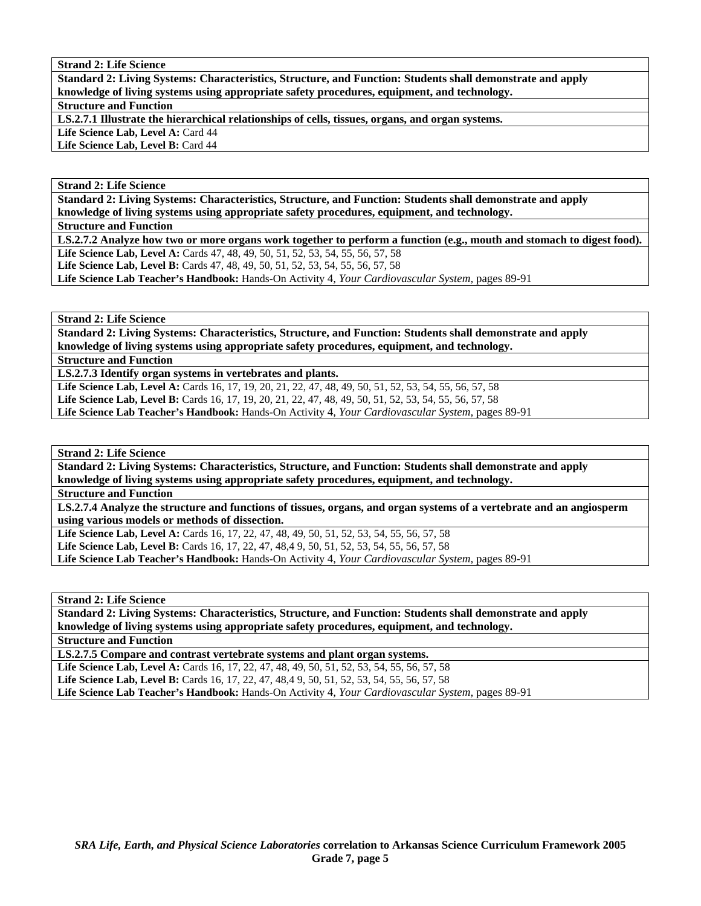**Standard 2: Living Systems: Characteristics, Structure, and Function: Students shall demonstrate and apply knowledge of living systems using appropriate safety procedures, equipment, and technology. Structure and Function** 

**LS.2.7.1 Illustrate the hierarchical relationships of cells, tissues, organs, and organ systems.** 

Life Science Lab, Level A: Card 44

Life Science Lab, Level B: Card 44

# **Strand 2: Life Science**

**Standard 2: Living Systems: Characteristics, Structure, and Function: Students shall demonstrate and apply knowledge of living systems using appropriate safety procedures, equipment, and technology.** 

**Structure and Function** 

**LS.2.7.2 Analyze how two or more organs work together to perform a function (e.g., mouth and stomach to digest food).**  Life Science Lab, Level A: Cards 47, 48, 49, 50, 51, 52, 53, 54, 55, 56, 57, 58

Life Science Lab, Level B: Cards 47, 48, 49, 50, 51, 52, 53, 54, 55, 56, 57, 58

**Life Science Lab Teacher's Handbook:** Hands-On Activity 4, *Your Cardiovascular System,* pages 89-91

**Strand 2: Life Science** 

**Standard 2: Living Systems: Characteristics, Structure, and Function: Students shall demonstrate and apply knowledge of living systems using appropriate safety procedures, equipment, and technology.** 

**Structure and Function** 

**LS.2.7.3 Identify organ systems in vertebrates and plants.** 

**Life Science Lab, Level A:** Cards 16, 17, 19, 20, 21, 22, 47, 48, 49, 50, 51, 52, 53, 54, 55, 56, 57, 58 **Life Science Lab, Level B:** Cards 16, 17, 19, 20, 21, 22, 47, 48, 49, 50, 51, 52, 53, 54, 55, 56, 57, 58 **Life Science Lab Teacher's Handbook:** Hands-On Activity 4, *Your Cardiovascular System,* pages 89-91

**Strand 2: Life Science** 

**Standard 2: Living Systems: Characteristics, Structure, and Function: Students shall demonstrate and apply knowledge of living systems using appropriate safety procedures, equipment, and technology.** 

**Structure and Function** 

**LS.2.7.4 Analyze the structure and functions of tissues, organs, and organ systems of a vertebrate and an angiosperm using various models or methods of dissection.** 

Life Science Lab, Level A: Cards 16, 17, 22, 47, 48, 49, 50, 51, 52, 53, 54, 55, 56, 57, 58 Life Science Lab, Level B: Cards 16, 17, 22, 47, 48,4 9, 50, 51, 52, 53, 54, 55, 56, 57, 58 **Life Science Lab Teacher's Handbook:** Hands-On Activity 4, *Your Cardiovascular System,* pages 89-91

**Strand 2: Life Science** 

**Standard 2: Living Systems: Characteristics, Structure, and Function: Students shall demonstrate and apply knowledge of living systems using appropriate safety procedures, equipment, and technology.** 

**Structure and Function** 

**LS.2.7.5 Compare and contrast vertebrate systems and plant organ systems.** 

Life Science Lab, Level A: Cards 16, 17, 22, 47, 48, 49, 50, 51, 52, 53, 54, 55, 56, 57, 58 Life Science Lab, Level B: Cards 16, 17, 22, 47, 48,4 9, 50, 51, 52, 53, 54, 55, 56, 57, 58

**Life Science Lab Teacher's Handbook:** Hands-On Activity 4, *Your Cardiovascular System,* pages 89-91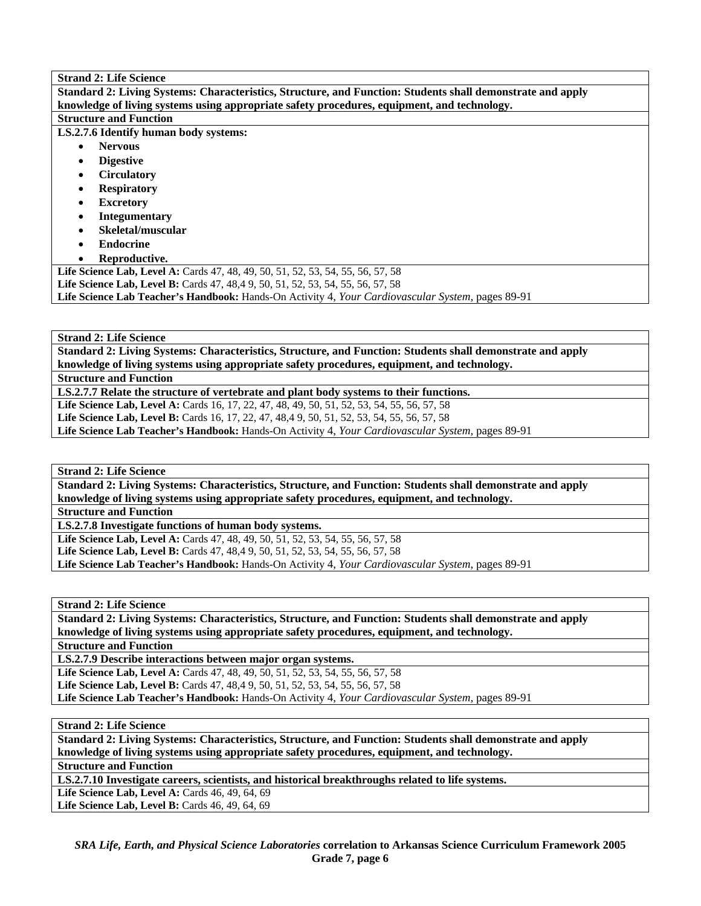| <b>Strand 2: Life Science</b>                                                                                    |
|------------------------------------------------------------------------------------------------------------------|
| Standard 2: Living Systems: Characteristics, Structure, and Function: Students shall demonstrate and apply       |
| knowledge of living systems using appropriate safety procedures, equipment, and technology.                      |
| <b>Structure and Function</b>                                                                                    |
| LS.2.7.6 Identify human body systems:                                                                            |
| <b>Nervous</b>                                                                                                   |
| <b>Digestive</b>                                                                                                 |
| <b>Circulatory</b>                                                                                               |
| <b>Respiratory</b>                                                                                               |
| <b>Excretory</b>                                                                                                 |
| <b>Integumentary</b>                                                                                             |
| Skeletal/muscular                                                                                                |
| <b>Endocrine</b>                                                                                                 |
| Reproductive.                                                                                                    |
| <b>Life Science Lab, Level A:</b> Cards 47, 48, 49, 50, 51, 52, 53, 54, 55, 56, 57, 58                           |
| <b>Life Science Lab, Level B:</b> Cards 47, 48,4 9, 50, 51, 52, 53, 54, 55, 56, 57, 58                           |
| <b>Life Science Lab Teacher's Handbook:</b> Hands-On Activity 4, <i>Your Cardiovascular System</i> , pages 89-91 |

**Standard 2: Living Systems: Characteristics, Structure, and Function: Students shall demonstrate and apply knowledge of living systems using appropriate safety procedures, equipment, and technology.** 

**Structure and Function** 

**LS.2.7.7 Relate the structure of vertebrate and plant body systems to their functions.** 

Life Science Lab, Level A: Cards 16, 17, 22, 47, 48, 49, 50, 51, 52, 53, 54, 55, 56, 57, 58

**Life Science Lab, Level B:** Cards 16, 17, 22, 47, 48,4 9, 50, 51, 52, 53, 54, 55, 56, 57, 58

**Life Science Lab Teacher's Handbook:** Hands-On Activity 4, *Your Cardiovascular System,* pages 89-91

**Strand 2: Life Science** 

**Standard 2: Living Systems: Characteristics, Structure, and Function: Students shall demonstrate and apply knowledge of living systems using appropriate safety procedures, equipment, and technology.** 

**Structure and Function** 

**LS.2.7.8 Investigate functions of human body systems.** 

**Life Science Lab, Level A:** Cards 47, 48, 49, 50, 51, 52, 53, 54, 55, 56, 57, 58 **Life Science Lab, Level B:** Cards 47, 48,4 9, 50, 51, 52, 53, 54, 55, 56, 57, 58 **Life Science Lab Teacher's Handbook:** Hands-On Activity 4, *Your Cardiovascular System,* pages 89-91

**Strand 2: Life Science** 

**Standard 2: Living Systems: Characteristics, Structure, and Function: Students shall demonstrate and apply knowledge of living systems using appropriate safety procedures, equipment, and technology.** 

**Structure and Function** 

**LS.2.7.9 Describe interactions between major organ systems.**  Life Science Lab, Level A: Cards 47, 48, 49, 50, 51, 52, 53, 54, 55, 56, 57, 58 **Life Science Lab, Level B:** Cards 47, 48,4 9, 50, 51, 52, 53, 54, 55, 56, 57, 58 **Life Science Lab Teacher's Handbook:** Hands-On Activity 4, *Your Cardiovascular System,* pages 89-91

**Strand 2: Life Science** 

**Standard 2: Living Systems: Characteristics, Structure, and Function: Students shall demonstrate and apply knowledge of living systems using appropriate safety procedures, equipment, and technology.** 

**Structure and Function** 

**LS.2.7.10 Investigate careers, scientists, and historical breakthroughs related to life systems.** 

Life Science Lab, Level A: Cards 46, 49, 64, 69 Life Science Lab, Level B: Cards 46, 49, 64, 69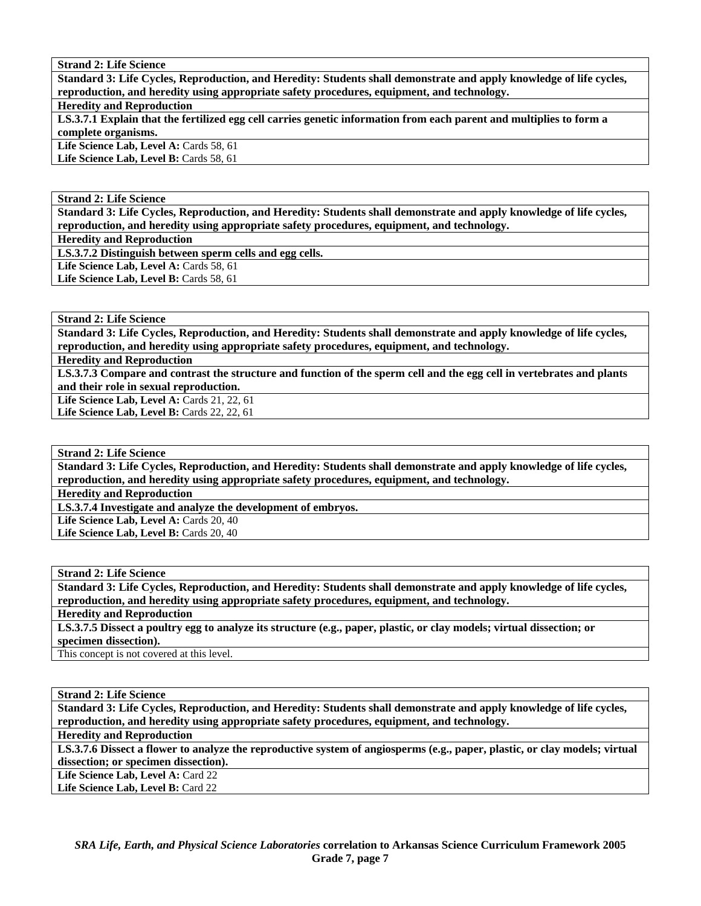**Standard 3: Life Cycles, Reproduction, and Heredity: Students shall demonstrate and apply knowledge of life cycles, reproduction, and heredity using appropriate safety procedures, equipment, and technology.** 

# **Heredity and Reproduction**

**LS.3.7.1 Explain that the fertilized egg cell carries genetic information from each parent and multiplies to form a complete organisms.** 

Life Science Lab, Level A: Cards 58, 61

Life Science Lab, Level B: Cards 58, 61

### **Strand 2: Life Science**

**Standard 3: Life Cycles, Reproduction, and Heredity: Students shall demonstrate and apply knowledge of life cycles, reproduction, and heredity using appropriate safety procedures, equipment, and technology.** 

**Heredity and Reproduction** 

**LS.3.7.2 Distinguish between sperm cells and egg cells.** 

Life Science Lab, Level A: Cards 58, 61

Life Science Lab, Level B: Cards 58, 61

# **Strand 2: Life Science**

**Standard 3: Life Cycles, Reproduction, and Heredity: Students shall demonstrate and apply knowledge of life cycles, reproduction, and heredity using appropriate safety procedures, equipment, and technology.** 

**Heredity and Reproduction** 

**LS.3.7.3 Compare and contrast the structure and function of the sperm cell and the egg cell in vertebrates and plants and their role in sexual reproduction.** 

**Life Science Lab, Level A:** Cards 21, 22, 61

Life Science Lab, Level B: Cards 22, 22, 61

## **Strand 2: Life Science**

**Standard 3: Life Cycles, Reproduction, and Heredity: Students shall demonstrate and apply knowledge of life cycles, reproduction, and heredity using appropriate safety procedures, equipment, and technology.** 

**Heredity and Reproduction** 

**LS.3.7.4 Investigate and analyze the development of embryos.** 

Life Science Lab, Level A: Cards 20, 40

Life Science Lab, Level B: Cards 20, 40

#### **Strand 2: Life Science**

**Standard 3: Life Cycles, Reproduction, and Heredity: Students shall demonstrate and apply knowledge of life cycles, reproduction, and heredity using appropriate safety procedures, equipment, and technology.** 

**Heredity and Reproduction** 

**LS.3.7.5 Dissect a poultry egg to analyze its structure (e.g., paper, plastic, or clay models; virtual dissection; or specimen dissection).** 

This concept is not covered at this level.

**Strand 2: Life Science** 

**Standard 3: Life Cycles, Reproduction, and Heredity: Students shall demonstrate and apply knowledge of life cycles, reproduction, and heredity using appropriate safety procedures, equipment, and technology.** 

**Heredity and Reproduction** 

**LS.3.7.6 Dissect a flower to analyze the reproductive system of angiosperms (e.g., paper, plastic, or clay models; virtual dissection; or specimen dissection).** 

Life Science Lab, Level A: Card 22 Life Science Lab, Level B: Card 22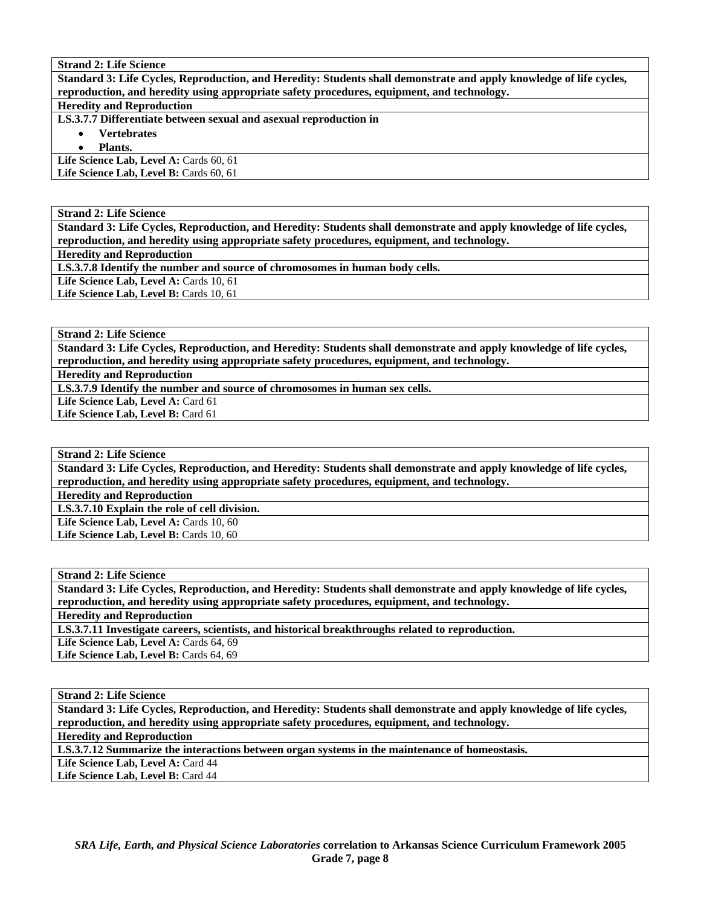**Standard 3: Life Cycles, Reproduction, and Heredity: Students shall demonstrate and apply knowledge of life cycles, reproduction, and heredity using appropriate safety procedures, equipment, and technology.** 

# **Heredity and Reproduction**

**LS.3.7.7 Differentiate between sexual and asexual reproduction in** 

- **Vertebrates**
- **Plants.**

Life Science Lab, Level A: Cards 60, 61

Life Science Lab, Level B: Cards 60, 61

**Strand 2: Life Science** 

**Standard 3: Life Cycles, Reproduction, and Heredity: Students shall demonstrate and apply knowledge of life cycles, reproduction, and heredity using appropriate safety procedures, equipment, and technology. Heredity and Reproduction** 

**LS.3.7.8 Identify the number and source of chromosomes in human body cells.** 

Life Science Lab, Level A: Cards 10, 61

Life Science Lab, Level B: Cards 10, 61

**Strand 2: Life Science** 

**Standard 3: Life Cycles, Reproduction, and Heredity: Students shall demonstrate and apply knowledge of life cycles, reproduction, and heredity using appropriate safety procedures, equipment, and technology.** 

**Heredity and Reproduction** 

**LS.3.7.9 Identify the number and source of chromosomes in human sex cells.** 

Life Science Lab, Level A: Card 61

Life Science Lab, Level B: Card 61

# **Strand 2: Life Science**

**Standard 3: Life Cycles, Reproduction, and Heredity: Students shall demonstrate and apply knowledge of life cycles, reproduction, and heredity using appropriate safety procedures, equipment, and technology.** 

**Heredity and Reproduction** 

**LS.3.7.10 Explain the role of cell division.** 

Life Science Lab, Level A: Cards 10, 60

Life Science Lab, Level B: Cards 10, 60

**Strand 2: Life Science** 

**Standard 3: Life Cycles, Reproduction, and Heredity: Students shall demonstrate and apply knowledge of life cycles, reproduction, and heredity using appropriate safety procedures, equipment, and technology.** 

**Heredity and Reproduction** 

**LS.3.7.11 Investigate careers, scientists, and historical breakthroughs related to reproduction.** 

Life Science Lab, Level A: Cards 64, 69

Life Science Lab, Level B: Cards 64, 69

**Strand 2: Life Science** 

**Standard 3: Life Cycles, Reproduction, and Heredity: Students shall demonstrate and apply knowledge of life cycles, reproduction, and heredity using appropriate safety procedures, equipment, and technology.** 

**Heredity and Reproduction** 

**LS.3.7.12 Summarize the interactions between organ systems in the maintenance of homeostasis.** 

Life Science Lab, Level A: Card 44

Life Science Lab, Level B: Card 44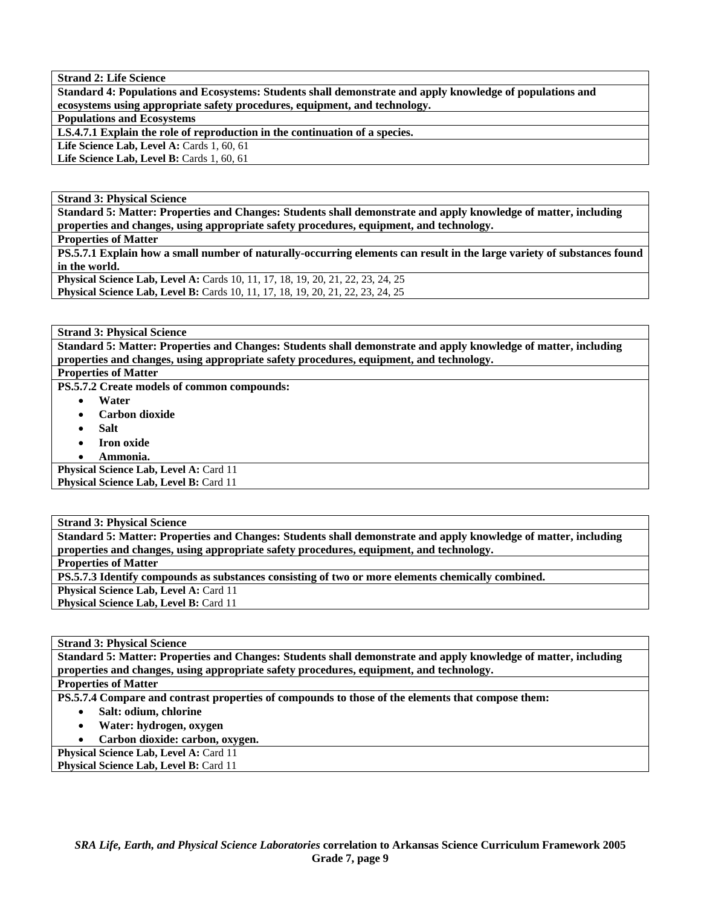**Standard 4: Populations and Ecosystems: Students shall demonstrate and apply knowledge of populations and ecosystems using appropriate safety procedures, equipment, and technology.** 

**Populations and Ecosystems** 

**LS.4.7.1 Explain the role of reproduction in the continuation of a species.** 

**Life Science Lab, Level A: Cards 1, 60, 61** 

Life Science Lab, Level B: Cards 1, 60, 61

**Strand 3: Physical Science** 

**Standard 5: Matter: Properties and Changes: Students shall demonstrate and apply knowledge of matter, including properties and changes, using appropriate safety procedures, equipment, and technology.** 

**Properties of Matter** 

**PS.5.7.1 Explain how a small number of naturally-occurring elements can result in the large variety of substances found in the world.** 

**Physical Science Lab, Level A:** Cards 10, 11, 17, 18, 19, 20, 21, 22, 23, 24, 25 **Physical Science Lab, Level B:** Cards 10, 11, 17, 18, 19, 20, 21, 22, 23, 24, 25

**Strand 3: Physical Science** 

**Standard 5: Matter: Properties and Changes: Students shall demonstrate and apply knowledge of matter, including properties and changes, using appropriate safety procedures, equipment, and technology.** 

**Properties of Matter** 

**PS.5.7.2 Create models of common compounds:** 

- **Water**
- **Carbon dioxide**
- **Salt**
- **Iron oxide**
- **Ammonia.**

**Physical Science Lab, Level A: Card 11 Physical Science Lab, Level B: Card 11** 

**Strand 3: Physical Science** 

**Standard 5: Matter: Properties and Changes: Students shall demonstrate and apply knowledge of matter, including properties and changes, using appropriate safety procedures, equipment, and technology. Properties of Matter PS.5.7.3 Identify compounds as substances consisting of two or more elements chemically combined. Physical Science Lab, Level A: Card 11 Physical Science Lab, Level B: Card 11** 

**Strand 3: Physical Science** 

**Standard 5: Matter: Properties and Changes: Students shall demonstrate and apply knowledge of matter, including properties and changes, using appropriate safety procedures, equipment, and technology. Properties of Matter** 

**PS.5.7.4 Compare and contrast properties of compounds to those of the elements that compose them:** 

- **Salt: odium, chlorine**
- **Water: hydrogen, oxygen**
- **Carbon dioxide: carbon, oxygen.**

**Physical Science Lab, Level A: Card 11** Physical Science Lab, Level B: Card 11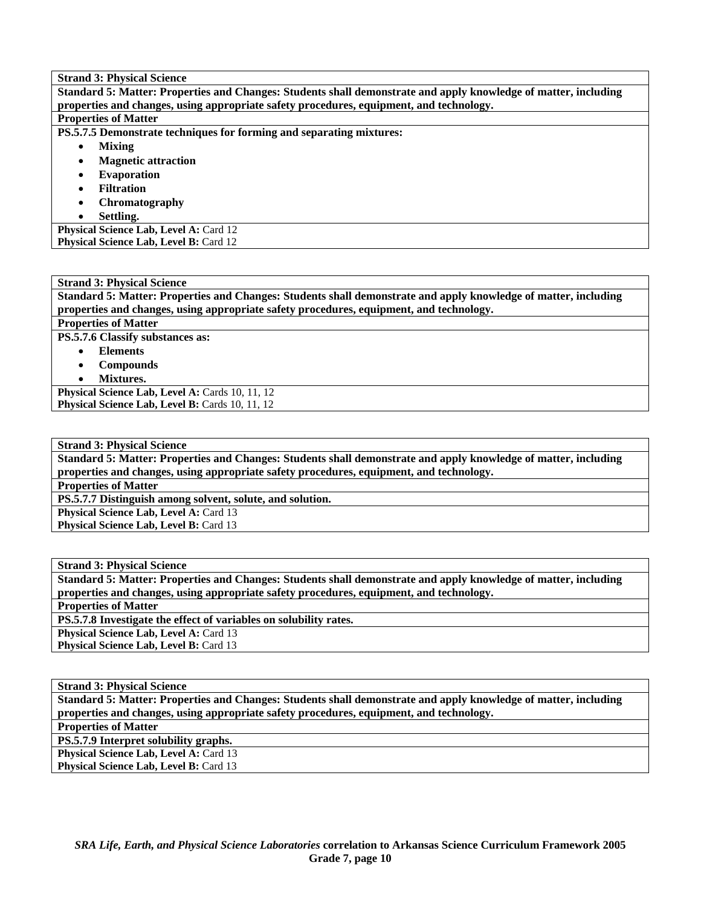| <b>Strand 3: Physical Science</b>                                                                               |  |  |  |  |  |  |
|-----------------------------------------------------------------------------------------------------------------|--|--|--|--|--|--|
| Standard 5: Matter: Properties and Changes: Students shall demonstrate and apply knowledge of matter, including |  |  |  |  |  |  |
| properties and changes, using appropriate safety procedures, equipment, and technology.                         |  |  |  |  |  |  |
| <b>Properties of Matter</b>                                                                                     |  |  |  |  |  |  |
| PS.5.7.5 Demonstrate techniques for forming and separating mixtures:                                            |  |  |  |  |  |  |
| <b>Mixing</b><br>٠                                                                                              |  |  |  |  |  |  |
| <b>Magnetic attraction</b><br>$\bullet$                                                                         |  |  |  |  |  |  |
| <b>Evaporation</b><br>$\bullet$                                                                                 |  |  |  |  |  |  |
| <b>Filtration</b><br>$\bullet$                                                                                  |  |  |  |  |  |  |
| Chromatography<br>$\bullet$                                                                                     |  |  |  |  |  |  |
| Settling.<br>$\bullet$                                                                                          |  |  |  |  |  |  |
| <b>Physical Science Lab, Level A: Card 12</b>                                                                   |  |  |  |  |  |  |
| Physical Science Lab, Level B: Card 12                                                                          |  |  |  |  |  |  |

**Strand 3: Physical Science Standard 5: Matter: Properties and Changes: Students shall demonstrate and apply knowledge of matter, including properties and changes, using appropriate safety procedures, equipment, and technology.** 

**Properties of Matter** 

**PS.5.7.6 Classify substances as:** 

- **Elements**
- **Compounds**
- **Mixtures.**

Physical Science Lab, Level A: Cards 10, 11, 12 **Physical Science Lab, Level B: Cards 10, 11, 12** 

**Strand 3: Physical Science** 

**Standard 5: Matter: Properties and Changes: Students shall demonstrate and apply knowledge of matter, including properties and changes, using appropriate safety procedures, equipment, and technology.** 

**Properties of Matter** 

**PS.5.7.7 Distinguish among solvent, solute, and solution.** 

**Physical Science Lab, Level A: Card 13** 

**Physical Science Lab, Level B: Card 13** 

**Strand 3: Physical Science Standard 5: Matter: Properties and Changes: Students shall demonstrate and apply knowledge of matter, including properties and changes, using appropriate safety procedures, equipment, and technology. Properties of Matter PS.5.7.8 Investigate the effect of variables on solubility rates. Physical Science Lab, Level A: Card 13 Physical Science Lab, Level B: Card 13** 

**Strand 3: Physical Science** 

**Standard 5: Matter: Properties and Changes: Students shall demonstrate and apply knowledge of matter, including properties and changes, using appropriate safety procedures, equipment, and technology. Properties of Matter** 

**PS.5.7.9 Interpret solubility graphs.** 

Physical Science Lab, Level A: Card 13 Physical Science Lab, Level B: Card 13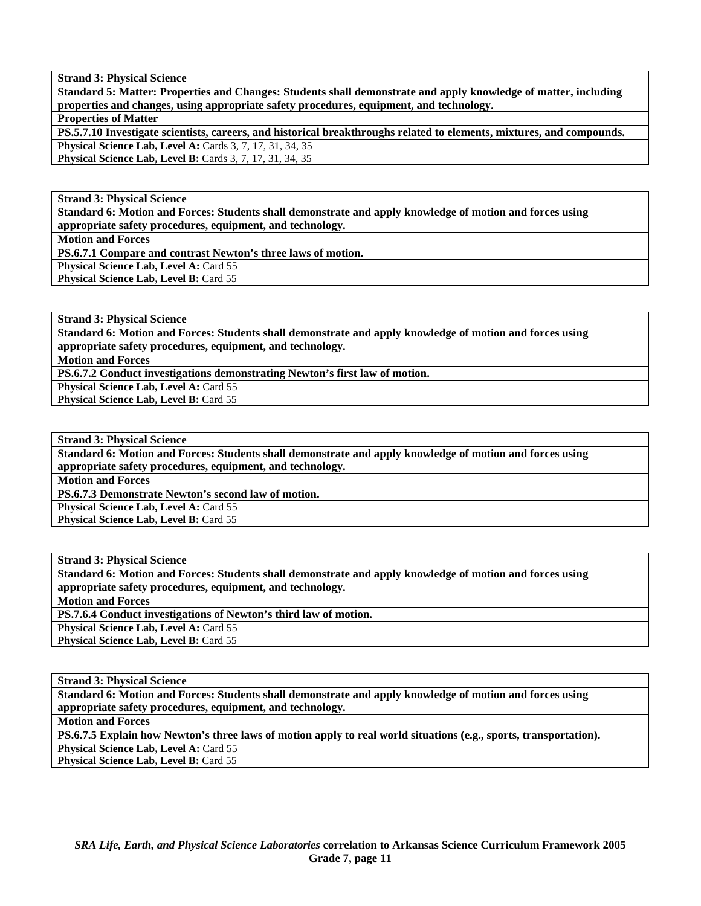**Standard 5: Matter: Properties and Changes: Students shall demonstrate and apply knowledge of matter, including properties and changes, using appropriate safety procedures, equipment, and technology.** 

**Properties of Matter** 

**PS.5.7.10 Investigate scientists, careers, and historical breakthroughs related to elements, mixtures, and compounds. Physical Science Lab, Level A: Cards 3, 7, 17, 31, 34, 35 Physical Science Lab, Level B:** Cards 3, 7, 17, 31, 34, 35

**Strand 3: Physical Science** 

**Standard 6: Motion and Forces: Students shall demonstrate and apply knowledge of motion and forces using appropriate safety procedures, equipment, and technology.** 

**Motion and Forces** 

**PS.6.7.1 Compare and contrast Newton's three laws of motion.** 

**Physical Science Lab, Level A: Card 55 Physical Science Lab, Level B: Card 55** 

**Strand 3: Physical Science** 

**Standard 6: Motion and Forces: Students shall demonstrate and apply knowledge of motion and forces using appropriate safety procedures, equipment, and technology.** 

**Motion and Forces** 

**PS.6.7.2 Conduct investigations demonstrating Newton's first law of motion.** 

**Physical Science Lab, Level A: Card 55** 

Physical Science Lab, Level B: Card 55

**Strand 3: Physical Science** 

**Standard 6: Motion and Forces: Students shall demonstrate and apply knowledge of motion and forces using appropriate safety procedures, equipment, and technology.** 

**Motion and Forces** 

**PS.6.7.3 Demonstrate Newton's second law of motion.** 

**Physical Science Lab, Level A: Card 55** 

**Physical Science Lab, Level B: Card 55** 

**Strand 3: Physical Science** 

**Standard 6: Motion and Forces: Students shall demonstrate and apply knowledge of motion and forces using appropriate safety procedures, equipment, and technology.** 

**Motion and Forces** 

**PS.7.6.4 Conduct investigations of Newton's third law of motion.** 

Physical Science Lab, Level A: Card 55

Physical Science Lab, Level B: Card 55

**Strand 3: Physical Science** 

**Standard 6: Motion and Forces: Students shall demonstrate and apply knowledge of motion and forces using appropriate safety procedures, equipment, and technology.** 

**Motion and Forces** 

**PS.6.7.5 Explain how Newton's three laws of motion apply to real world situations (e.g., sports, transportation). Physical Science Lab, Level A: Card 55 Physical Science Lab, Level B: Card 55**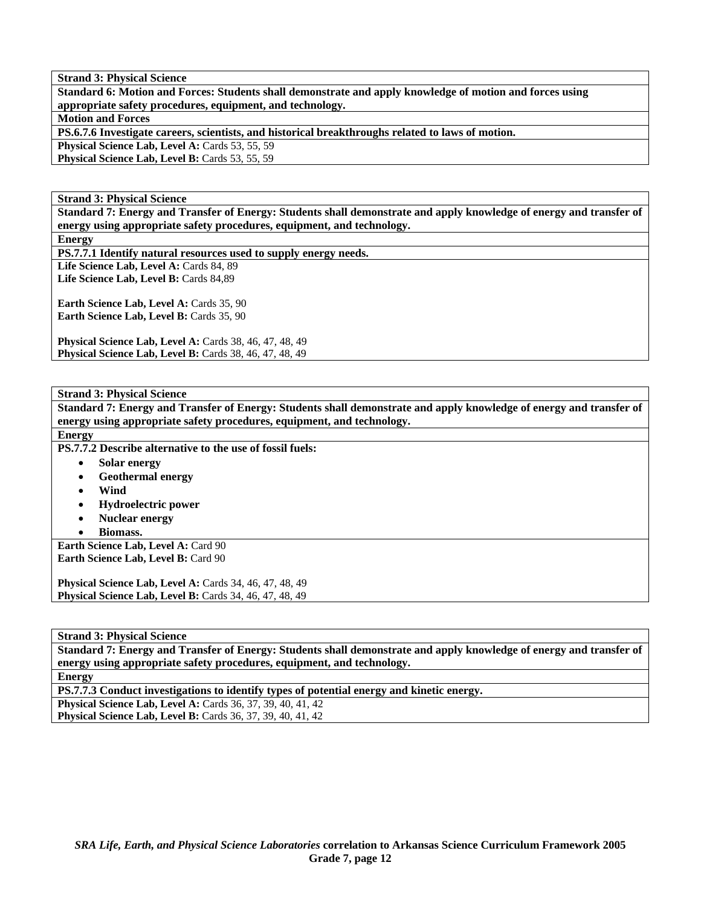**Standard 6: Motion and Forces: Students shall demonstrate and apply knowledge of motion and forces using appropriate safety procedures, equipment, and technology.** 

**Motion and Forces** 

**PS.6.7.6 Investigate careers, scientists, and historical breakthroughs related to laws of motion.** 

Physical Science Lab, Level A: Cards 53, 55, 59

Physical Science Lab, Level B: Cards 53, 55, 59

**Strand 3: Physical Science** 

**Standard 7: Energy and Transfer of Energy: Students shall demonstrate and apply knowledge of energy and transfer of energy using appropriate safety procedures, equipment, and technology.** 

**Energy** 

**PS.7.7.1 Identify natural resources used to supply energy needs.** 

Life Science Lab, Level A: Cards 84, 89 Life Science Lab, Level B: Cards 84,89

Earth Science Lab, Level A: Cards 35, 90 Earth Science Lab, Level B: Cards 35, 90

**Physical Science Lab, Level A: Cards 38, 46, 47, 48, 49 Physical Science Lab, Level B:** Cards 38, 46, 47, 48, 49

#### **Strand 3: Physical Science**

**Standard 7: Energy and Transfer of Energy: Students shall demonstrate and apply knowledge of energy and transfer of energy using appropriate safety procedures, equipment, and technology. Energy PS.7.7.2 Describe alternative to the use of fossil fuels:**  • **Solar energy**  • **Geothermal energy**  • **Wind**  • **Hydroelectric power**  • **Nuclear energy**  • **Biomass. Earth Science Lab, Level A: Card 90 Earth Science Lab, Level B: Card 90 Physical Science Lab, Level A: Cards 34, 46, 47, 48, 49 Physical Science Lab, Level B: Cards 34, 46, 47, 48, 49** 

**Strand 3: Physical Science** 

**Standard 7: Energy and Transfer of Energy: Students shall demonstrate and apply knowledge of energy and transfer of energy using appropriate safety procedures, equipment, and technology.** 

**Energy** 

**PS.7.7.3 Conduct investigations to identify types of potential energy and kinetic energy.** 

**Physical Science Lab, Level A: Cards 36, 37, 39, 40, 41, 42** 

**Physical Science Lab, Level B:** Cards 36, 37, 39, 40, 41, 42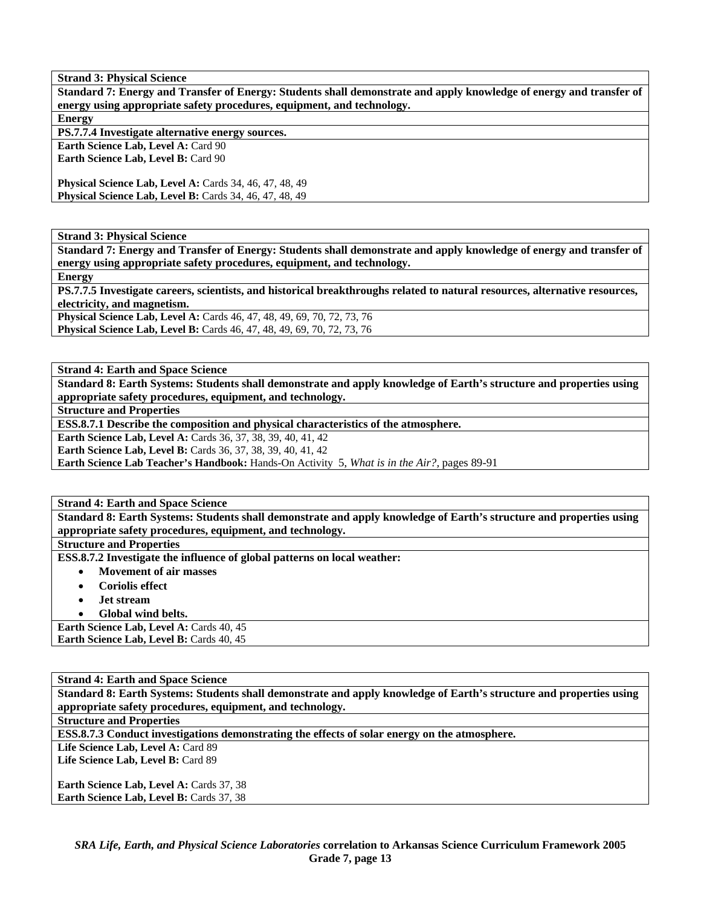**Standard 7: Energy and Transfer of Energy: Students shall demonstrate and apply knowledge of energy and transfer of energy using appropriate safety procedures, equipment, and technology. Energy** 

**PS.7.7.4 Investigate alternative energy sources.** 

**Earth Science Lab, Level A: Card 90 Earth Science Lab, Level B: Card 90** 

**Physical Science Lab, Level A: Cards 34, 46, 47, 48, 49 Physical Science Lab, Level B:** Cards 34, 46, 47, 48, 49

**Strand 3: Physical Science** 

**Standard 7: Energy and Transfer of Energy: Students shall demonstrate and apply knowledge of energy and transfer of energy using appropriate safety procedures, equipment, and technology.** 

**Energy** 

**PS.7.7.5 Investigate careers, scientists, and historical breakthroughs related to natural resources, alternative resources, electricity, and magnetism.** 

**Physical Science Lab, Level A:** Cards 46, 47, 48, 49, 69, 70, 72, 73, 76 **Physical Science Lab, Level B:** Cards 46, 47, 48, 49, 69, 70, 72, 73, 76

**Strand 4: Earth and Space Science** 

**Standard 8: Earth Systems: Students shall demonstrate and apply knowledge of Earth's structure and properties using appropriate safety procedures, equipment, and technology.** 

**Structure and Properties** 

**ESS.8.7.1 Describe the composition and physical characteristics of the atmosphere.** 

**Earth Science Lab, Level A: Cards 36, 37, 38, 39, 40, 41, 42** 

**Earth Science Lab, Level B:** Cards 36, 37, 38, 39, 40, 41, 42

**Earth Science Lab Teacher's Handbook:** Hands-On Activity 5, *What is in the Air?,* pages 89-91

**Strand 4: Earth and Space Science** 

**Standard 8: Earth Systems: Students shall demonstrate and apply knowledge of Earth's structure and properties using appropriate safety procedures, equipment, and technology.** 

**Structure and Properties** 

**ESS.8.7.2 Investigate the influence of global patterns on local weather:** 

- **Movement of air masses**
- **Coriolis effect**
- **Jet stream**
- **Global wind belts.**

Earth Science Lab, Level A: Cards 40, 45 **Earth Science Lab, Level B: Cards 40, 45** 

**Strand 4: Earth and Space Science Standard 8: Earth Systems: Students shall demonstrate and apply knowledge of Earth's structure and properties using appropriate safety procedures, equipment, and technology. Structure and Properties ESS.8.7.3 Conduct investigations demonstrating the effects of solar energy on the atmosphere.**  Life Science Lab, Level A: Card 89 Life Science Lab, Level B: Card 89 **Earth Science Lab, Level A: Cards 37, 38** Earth Science Lab, Level B: Cards 37, 38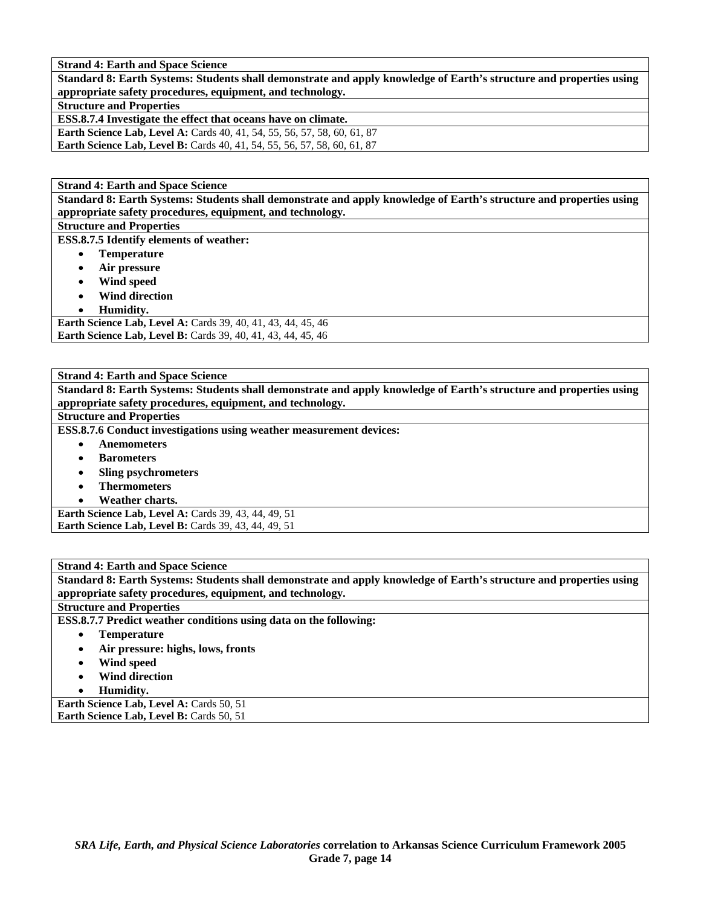**Standard 8: Earth Systems: Students shall demonstrate and apply knowledge of Earth's structure and properties using appropriate safety procedures, equipment, and technology.** 

# **Structure and Properties**

**ESS.8.7.4 Investigate the effect that oceans have on climate.** 

**Earth Science Lab, Level A: Cards 40, 41, 54, 55, 56, 57, 58, 60, 61, 87 Earth Science Lab, Level B:** Cards 40, 41, 54, 55, 56, 57, 58, 60, 61, 87

**Strand 4: Earth and Space Science** 

**Standard 8: Earth Systems: Students shall demonstrate and apply knowledge of Earth's structure and properties using appropriate safety procedures, equipment, and technology.** 

**Structure and Properties ESS.8.7.5 Identify elements of weather:** 

- **Temperature**
- **Air pressure**
- **Wind speed**
- **Wind direction**
- **Humidity.**

**Earth Science Lab, Level A:** Cards 39, 40, 41, 43, 44, 45, 46 **Earth Science Lab, Level B:** Cards 39, 40, 41, 43, 44, 45, 46

**Strand 4: Earth and Space Science** 

**Standard 8: Earth Systems: Students shall demonstrate and apply knowledge of Earth's structure and properties using appropriate safety procedures, equipment, and technology.** 

#### **Structure and Properties**

**ESS.8.7.6 Conduct investigations using weather measurement devices:** 

- **Anemometers**
- **Barometers**
- **Sling psychrometers**
- **Thermometers**
- **Weather charts.**

**Earth Science Lab, Level A: Cards 39, 43, 44, 49, 51 Earth Science Lab, Level B: Cards 39, 43, 44, 49, 51** 

**Strand 4: Earth and Space Science Standard 8: Earth Systems: Students shall demonstrate and apply knowledge of Earth's structure and properties using appropriate safety procedures, equipment, and technology.** 

**Structure and Properties** 

**ESS.8.7.7 Predict weather conditions using data on the following:** 

- **Temperature** 
	- **Air pressure: highs, lows, fronts**
- **Wind speed**
- **Wind direction**
- **Humidity.**

**Earth Science Lab, Level A: Cards 50, 51** Earth Science Lab, Level B: Cards 50, 51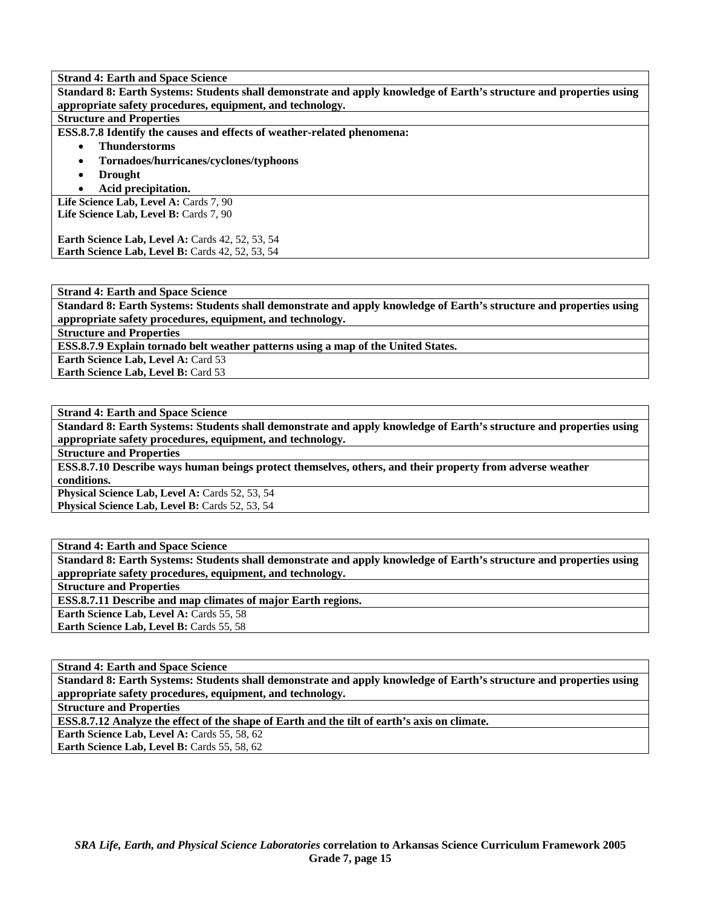**Standard 8: Earth Systems: Students shall demonstrate and apply knowledge of Earth's structure and properties using appropriate safety procedures, equipment, and technology.** 

# **Structure and Properties**

**ESS.8.7.8 Identify the causes and effects of weather-related phenomena:** 

#### • **Thunderstorms**

- **Tornadoes/hurricanes/cyclones/typhoons**
- **Drought**
- **Acid precipitation.**

Life Science Lab, Level A: Cards 7, 90 Life Science Lab, Level B: Cards 7, 90

**Earth Science Lab, Level A: Cards 42, 52, 53, 54** Earth Science Lab, Level B: Cards 42, 52, 53, 54

#### **Strand 4: Earth and Space Science**

**Standard 8: Earth Systems: Students shall demonstrate and apply knowledge of Earth's structure and properties using appropriate safety procedures, equipment, and technology.** 

**Structure and Properties** 

**ESS.8.7.9 Explain tornado belt weather patterns using a map of the United States.** 

**Earth Science Lab, Level A: Card 53** 

**Earth Science Lab, Level B: Card 53** 

**Strand 4: Earth and Space Science** 

**Standard 8: Earth Systems: Students shall demonstrate and apply knowledge of Earth's structure and properties using appropriate safety procedures, equipment, and technology.** 

**Structure and Properties** 

**ESS.8.7.10 Describe ways human beings protect themselves, others, and their property from adverse weather conditions.** 

**Physical Science Lab, Level A: Cards 52, 53, 54** Physical Science Lab, Level B: Cards 52, 53, 54

**Strand 4: Earth and Space Science** 

**Standard 8: Earth Systems: Students shall demonstrate and apply knowledge of Earth's structure and properties using appropriate safety procedures, equipment, and technology.** 

**Structure and Properties** 

**ESS.8.7.11 Describe and map climates of major Earth regions.** 

**Earth Science Lab, Level A: Cards 55, 58** 

Earth Science Lab, Level B: Cards 55, 58

**Strand 4: Earth and Space Science** 

**Standard 8: Earth Systems: Students shall demonstrate and apply knowledge of Earth's structure and properties using appropriate safety procedures, equipment, and technology.** 

**Structure and Properties** 

**ESS.8.7.12 Analyze the effect of the shape of Earth and the tilt of earth's axis on climate.** 

**Earth Science Lab, Level A: Cards 55, 58, 62** 

**Earth Science Lab, Level B: Cards 55, 58, 62**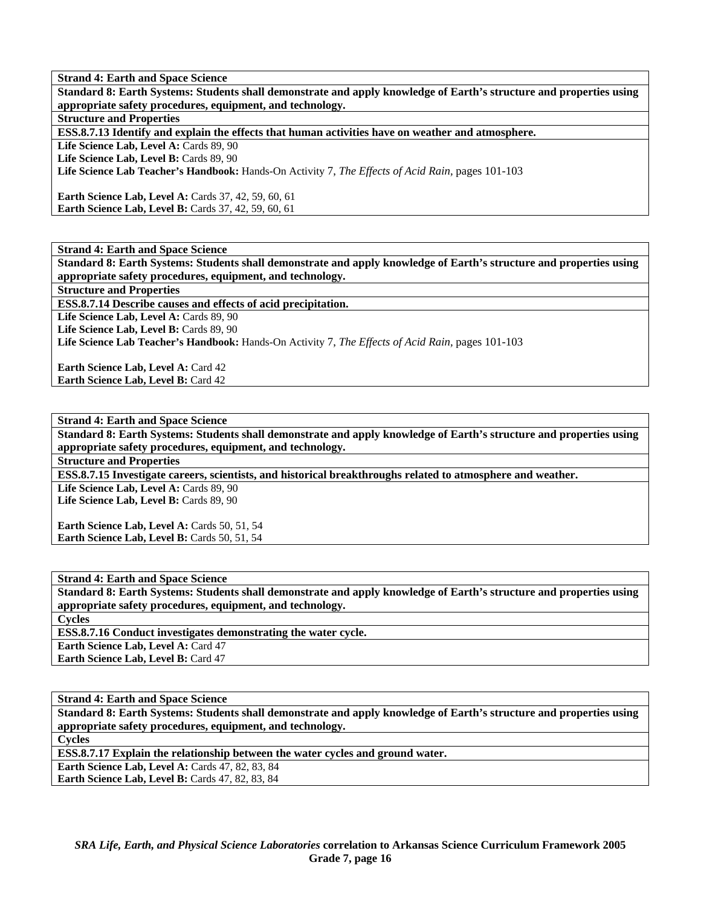**Standard 8: Earth Systems: Students shall demonstrate and apply knowledge of Earth's structure and properties using appropriate safety procedures, equipment, and technology.** 

**Structure and Properties** 

**ESS.8.7.13 Identify and explain the effects that human activities have on weather and atmosphere.** 

Life Science Lab, Level A: Cards 89, 90

Life Science Lab, Level B: Cards 89, 90

**Life Science Lab Teacher's Handbook:** Hands-On Activity 7, *The Effects of Acid Rain,* pages 101-103

**Earth Science Lab, Level A: Cards 37, 42, 59, 60, 61 Earth Science Lab, Level B: Cards 37, 42, 59, 60, 61** 

**Strand 4: Earth and Space Science** 

**Standard 8: Earth Systems: Students shall demonstrate and apply knowledge of Earth's structure and properties using appropriate safety procedures, equipment, and technology.** 

**Structure and Properties** 

**ESS.8.7.14 Describe causes and effects of acid precipitation.** 

Life Science Lab, Level A: Cards 89, 90

Life Science Lab, Level B: Cards 89, 90

**Life Science Lab Teacher's Handbook:** Hands-On Activity 7, *The Effects of Acid Rain,* pages 101-103

**Earth Science Lab, Level A: Card 42 Earth Science Lab, Level B: Card 42** 

**Strand 4: Earth and Space Science** 

**Standard 8: Earth Systems: Students shall demonstrate and apply knowledge of Earth's structure and properties using appropriate safety procedures, equipment, and technology.** 

**Structure and Properties** 

**ESS.8.7.15 Investigate careers, scientists, and historical breakthroughs related to atmosphere and weather.** 

Life Science Lab, Level A: Cards 89, 90 Life Science Lab, Level B: Cards 89, 90

**Earth Science Lab, Level A: Cards 50, 51, 54 Earth Science Lab, Level B: Cards 50, 51, 54** 

**Strand 4: Earth and Space Science** 

**Standard 8: Earth Systems: Students shall demonstrate and apply knowledge of Earth's structure and properties using appropriate safety procedures, equipment, and technology.** 

**Cycles** 

**ESS.8.7.16 Conduct investigates demonstrating the water cycle.** 

**Earth Science Lab, Level A: Card 47** 

**Earth Science Lab, Level B: Card 47** 

**Strand 4: Earth and Space Science** 

**Standard 8: Earth Systems: Students shall demonstrate and apply knowledge of Earth's structure and properties using appropriate safety procedures, equipment, and technology. Cycles** 

**ESS.8.7.17 Explain the relationship between the water cycles and ground water.** 

**Earth Science Lab, Level A:** Cards 47, 82, 83, 84

**Earth Science Lab, Level B: Cards 47, 82, 83, 84**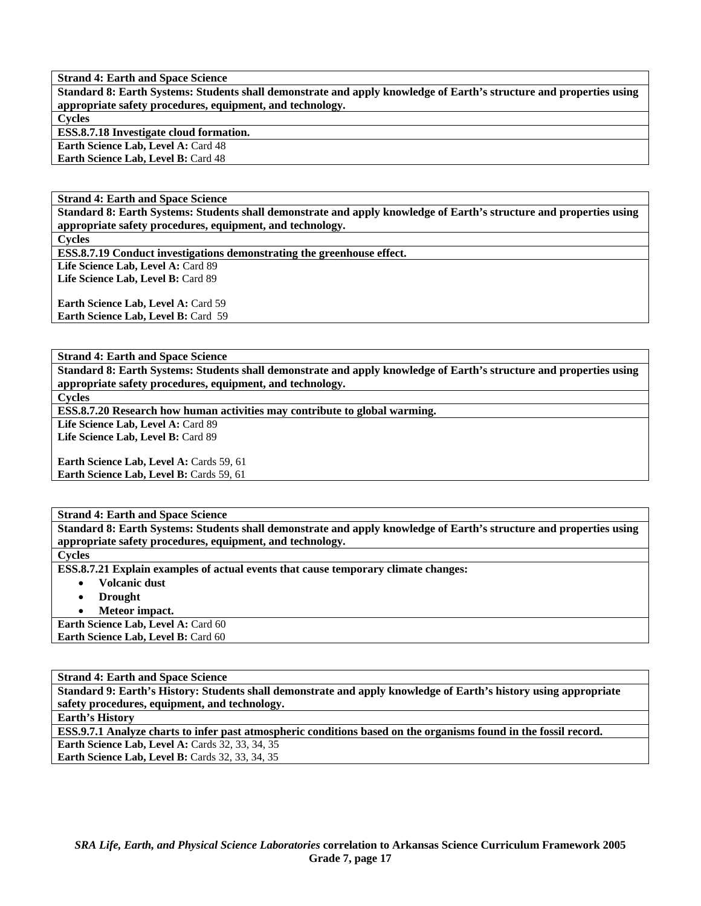**Standard 8: Earth Systems: Students shall demonstrate and apply knowledge of Earth's structure and properties using appropriate safety procedures, equipment, and technology. Cycles** 

**ESS.8.7.18 Investigate cloud formation.** 

**Earth Science Lab, Level A: Card 48** 

**Earth Science Lab, Level B:** Card 48

**Strand 4: Earth and Space Science** 

**Standard 8: Earth Systems: Students shall demonstrate and apply knowledge of Earth's structure and properties using appropriate safety procedures, equipment, and technology.** 

**Cycles** 

**ESS.8.7.19 Conduct investigations demonstrating the greenhouse effect.** 

Life Science Lab, Level A: Card 89 Life Science Lab, Level B: Card 89

**Earth Science Lab, Level A: Card 59 Earth Science Lab, Level B: Card 59** 

**Strand 4: Earth and Space Science** 

**Standard 8: Earth Systems: Students shall demonstrate and apply knowledge of Earth's structure and properties using appropriate safety procedures, equipment, and technology.** 

**Cycles** 

**ESS.8.7.20 Research how human activities may contribute to global warming.** 

Life Science Lab, Level A: Card 89

**Life Science Lab, Level B:** Card 89

**Earth Science Lab, Level A: Cards 59, 61 Earth Science Lab, Level B: Cards 59, 61** 

**Strand 4: Earth and Space Science** 

**Standard 8: Earth Systems: Students shall demonstrate and apply knowledge of Earth's structure and properties using appropriate safety procedures, equipment, and technology.** 

**Cycles** 

**ESS.8.7.21 Explain examples of actual events that cause temporary climate changes:** 

• **Volcanic dust** 

• **Drought** 

• **Meteor impact.** 

Earth Science Lab, Level A: Card 60 **Earth Science Lab, Level B: Card 60** 

**Strand 4: Earth and Space Science Standard 9: Earth's History: Students shall demonstrate and apply knowledge of Earth's history using appropriate safety procedures, equipment, and technology. Earth's History ESS.9.7.1 Analyze charts to infer past atmospheric conditions based on the organisms found in the fossil record. Earth Science Lab, Level A: Cards 32, 33, 34, 35 Earth Science Lab, Level B: Cards 32, 33, 34, 35**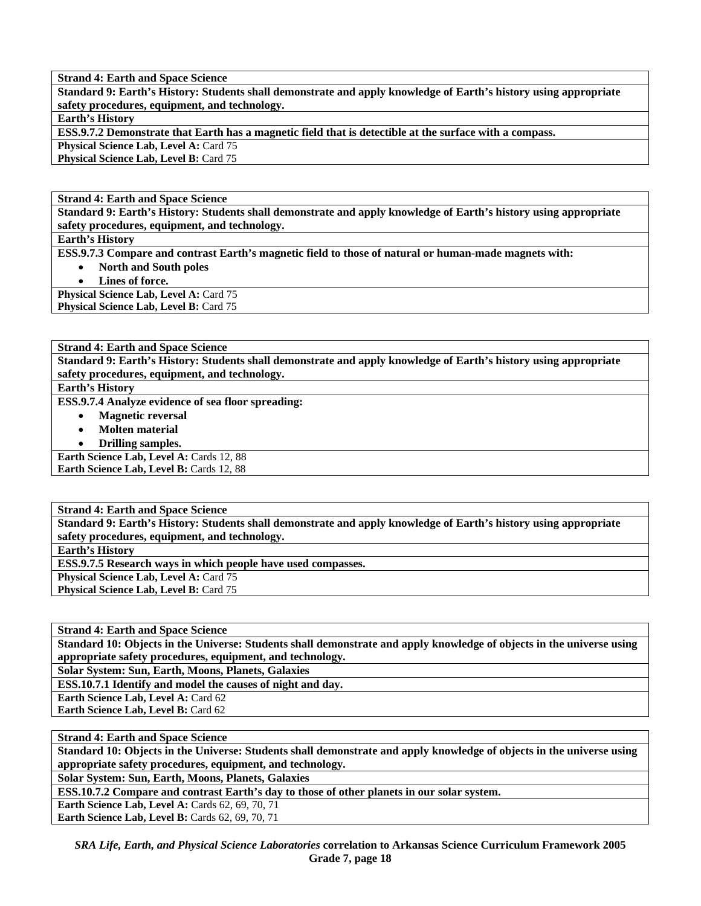**Standard 9: Earth's History: Students shall demonstrate and apply knowledge of Earth's history using appropriate safety procedures, equipment, and technology.** 

**Earth's History** 

**ESS.9.7.2 Demonstrate that Earth has a magnetic field that is detectible at the surface with a compass.** 

**Physical Science Lab, Level A: Card 75** Physical Science Lab, Level B: Card 75

**Strand 4: Earth and Space Science** 

**Standard 9: Earth's History: Students shall demonstrate and apply knowledge of Earth's history using appropriate safety procedures, equipment, and technology.** 

**Earth's History** 

**ESS.9.7.3 Compare and contrast Earth's magnetic field to those of natural or human-made magnets with:** 

- **North and South poles**
- **Lines of force.**

Physical Science Lab, Level A: Card 75

**Physical Science Lab, Level B: Card 75** 

**Strand 4: Earth and Space Science** 

**Standard 9: Earth's History: Students shall demonstrate and apply knowledge of Earth's history using appropriate safety procedures, equipment, and technology.** 

**Earth's History** 

**ESS.9.7.4 Analyze evidence of sea floor spreading:** 

- **Magnetic reversal**
- **Molten material**
- **Drilling samples.**

**Earth Science Lab, Level A: Cards 12, 88 Earth Science Lab, Level B: Cards 12, 88** 

**Strand 4: Earth and Space Science** 

**Standard 9: Earth's History: Students shall demonstrate and apply knowledge of Earth's history using appropriate safety procedures, equipment, and technology.** 

**Earth's History** 

**ESS.9.7.5 Research ways in which people have used compasses.** 

**Physical Science Lab, Level A: Card 75** 

**Physical Science Lab, Level B: Card 75** 

**Strand 4: Earth and Space Science** 

**Standard 10: Objects in the Universe: Students shall demonstrate and apply knowledge of objects in the universe using appropriate safety procedures, equipment, and technology.** 

**Solar System: Sun, Earth, Moons, Planets, Galaxies** 

**ESS.10.7.1 Identify and model the causes of night and day.** 

**Earth Science Lab, Level A: Card 62** 

**Earth Science Lab, Level B: Card 62** 

**Strand 4: Earth and Space Science** 

**Standard 10: Objects in the Universe: Students shall demonstrate and apply knowledge of objects in the universe using appropriate safety procedures, equipment, and technology.** 

**Solar System: Sun, Earth, Moons, Planets, Galaxies** 

**ESS.10.7.2 Compare and contrast Earth's day to those of other planets in our solar system.** 

**Earth Science Lab, Level A: Cards 62, 69, 70, 71**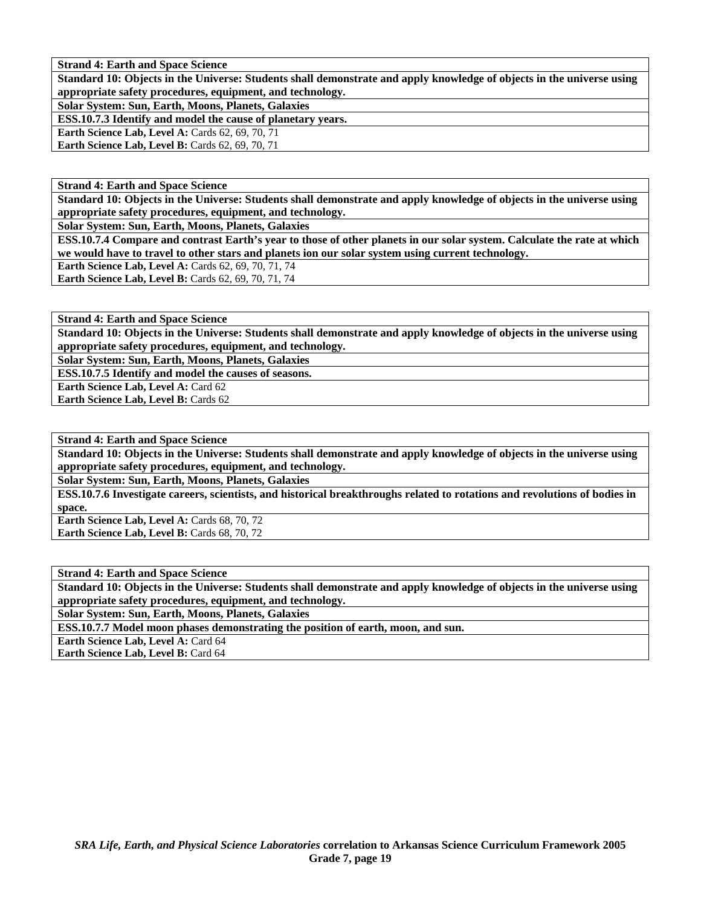**Standard 10: Objects in the Universe: Students shall demonstrate and apply knowledge of objects in the universe using appropriate safety procedures, equipment, and technology.** 

**Solar System: Sun, Earth, Moons, Planets, Galaxies** 

**ESS.10.7.3 Identify and model the cause of planetary years.** 

**Earth Science Lab, Level A: Cards 62, 69, 70, 71 Earth Science Lab, Level B: Cards 62, 69, 70, 71** 

**Strand 4: Earth and Space Science** 

**Standard 10: Objects in the Universe: Students shall demonstrate and apply knowledge of objects in the universe using appropriate safety procedures, equipment, and technology.** 

**Solar System: Sun, Earth, Moons, Planets, Galaxies** 

**ESS.10.7.4 Compare and contrast Earth's year to those of other planets in our solar system. Calculate the rate at which we would have to travel to other stars and planets ion our solar system using current technology.** 

**Earth Science Lab, Level A: Cards 62, 69, 70, 71, 74** 

Earth Science Lab, Level B: Cards 62, 69, 70, 71, 74

**Strand 4: Earth and Space Science** 

**Standard 10: Objects in the Universe: Students shall demonstrate and apply knowledge of objects in the universe using appropriate safety procedures, equipment, and technology.** 

**Solar System: Sun, Earth, Moons, Planets, Galaxies** 

**ESS.10.7.5 Identify and model the causes of seasons.** 

**Earth Science Lab, Level A: Card 62** 

**Earth Science Lab, Level B: Cards 62** 

**Strand 4: Earth and Space Science** 

**Standard 10: Objects in the Universe: Students shall demonstrate and apply knowledge of objects in the universe using appropriate safety procedures, equipment, and technology.** 

**Solar System: Sun, Earth, Moons, Planets, Galaxies** 

**ESS.10.7.6 Investigate careers, scientists, and historical breakthroughs related to rotations and revolutions of bodies in space.** 

**Earth Science Lab, Level A: Cards 68, 70, 72 Earth Science Lab, Level B: Cards 68, 70, 72** 

**Strand 4: Earth and Space Science** 

**Standard 10: Objects in the Universe: Students shall demonstrate and apply knowledge of objects in the universe using appropriate safety procedures, equipment, and technology.** 

**Solar System: Sun, Earth, Moons, Planets, Galaxies** 

**ESS.10.7.7 Model moon phases demonstrating the position of earth, moon, and sun.** 

**Earth Science Lab, Level A: Card 64 Earth Science Lab, Level B:** Card 64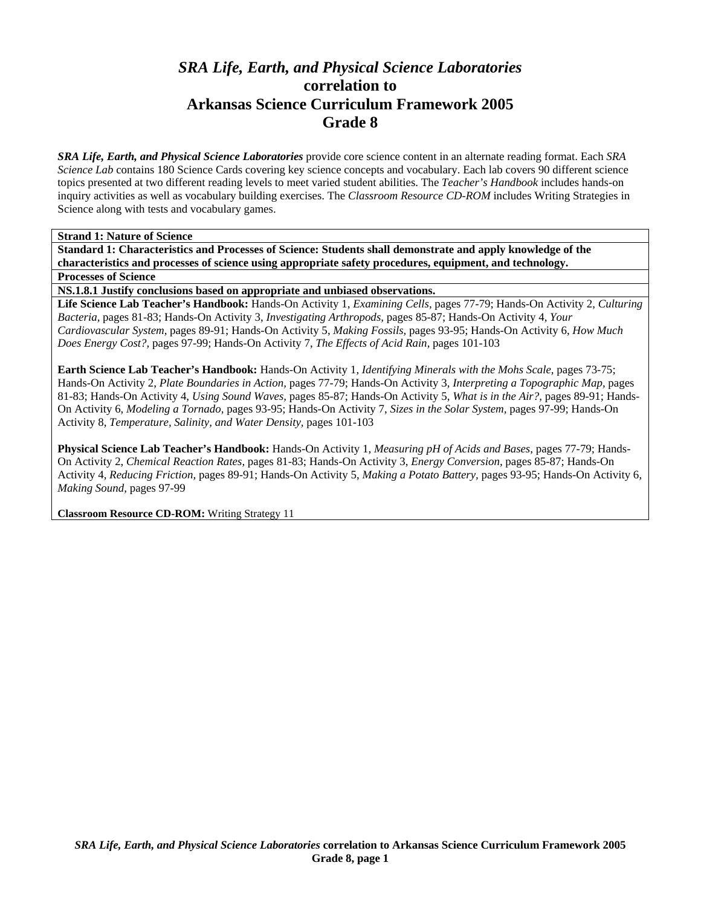# *SRA Life, Earth, and Physical Science Laboratories*  **correlation to Arkansas Science Curriculum Framework 2005 Grade 8**

*SRA Life, Earth, and Physical Science Laboratories* provide core science content in an alternate reading format. Each *SRA Science Lab* contains 180 Science Cards covering key science concepts and vocabulary. Each lab covers 90 different science topics presented at two different reading levels to meet varied student abilities. The *Teacher's Handbook* includes hands-on inquiry activities as well as vocabulary building exercises. The *Classroom Resource CD-ROM* includes Writing Strategies in Science along with tests and vocabulary games.

**Strand 1: Nature of Science** 

**Standard 1: Characteristics and Processes of Science: Students shall demonstrate and apply knowledge of the characteristics and processes of science using appropriate safety procedures, equipment, and technology.** 

**Processes of Science** 

**NS.1.8.1 Justify conclusions based on appropriate and unbiased observations.** 

**Life Science Lab Teacher's Handbook:** Hands-On Activity 1, *Examining Cells,* pages 77-79; Hands-On Activity 2, *Culturing Bacteria,* pages 81-83; Hands-On Activity 3, *Investigating Arthropods,* pages 85-87; Hands-On Activity 4, *Your Cardiovascular System,* pages 89-91; Hands-On Activity 5, *Making Fossils,* pages 93-95; Hands-On Activity 6, *How Much Does Energy Cost?,* pages 97-99; Hands-On Activity 7, *The Effects of Acid Rain,* pages 101-103

**Earth Science Lab Teacher's Handbook:** Hands-On Activity 1, *Identifying Minerals with the Mohs Scale,* pages 73-75; Hands-On Activity 2, *Plate Boundaries in Action,* pages 77-79; Hands-On Activity 3, *Interpreting a Topographic Map,* pages 81-83; Hands-On Activity 4, *Using Sound Waves,* pages 85-87; Hands-On Activity 5, *What is in the Air?,* pages 89-91; Hands-On Activity 6, *Modeling a Tornado,* pages 93-95; Hands-On Activity 7, *Sizes in the Solar System,* pages 97-99; Hands-On Activity 8, *Temperature, Salinity, and Water Density,* pages 101-103

**Physical Science Lab Teacher's Handbook:** Hands-On Activity 1, *Measuring pH of Acids and Bases,* pages 77-79; Hands-On Activity 2, *Chemical Reaction Rates,* pages 81-83; Hands-On Activity 3, *Energy Conversion,* pages 85-87; Hands-On Activity 4, *Reducing Friction,* pages 89-91; Hands-On Activity 5, *Making a Potato Battery,* pages 93-95; Hands-On Activity 6, *Making Sound,* pages 97-99

**Classroom Resource CD-ROM:** Writing Strategy 11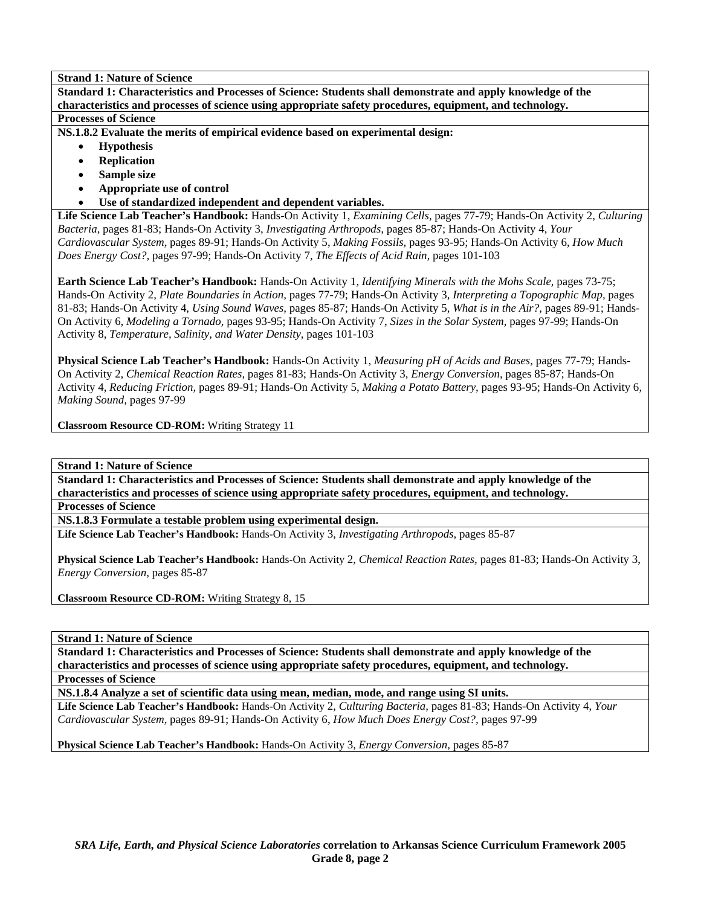**Standard 1: Characteristics and Processes of Science: Students shall demonstrate and apply knowledge of the characteristics and processes of science using appropriate safety procedures, equipment, and technology. Processes of Science** 

**NS.1.8.2 Evaluate the merits of empirical evidence based on experimental design:** 

- **Hypothesis**
- **Replication**
- **Sample size**
- **Appropriate use of control**
- **Use of standardized independent and dependent variables.**

**Life Science Lab Teacher's Handbook:** Hands-On Activity 1, *Examining Cells,* pages 77-79; Hands-On Activity 2, *Culturing Bacteria,* pages 81-83; Hands-On Activity 3, *Investigating Arthropods,* pages 85-87; Hands-On Activity 4, *Your Cardiovascular System,* pages 89-91; Hands-On Activity 5, *Making Fossils,* pages 93-95; Hands-On Activity 6, *How Much Does Energy Cost?,* pages 97-99; Hands-On Activity 7, *The Effects of Acid Rain,* pages 101-103

**Earth Science Lab Teacher's Handbook:** Hands-On Activity 1, *Identifying Minerals with the Mohs Scale,* pages 73-75; Hands-On Activity 2, *Plate Boundaries in Action,* pages 77-79; Hands-On Activity 3, *Interpreting a Topographic Map,* pages 81-83; Hands-On Activity 4, *Using Sound Waves,* pages 85-87; Hands-On Activity 5, *What is in the Air?,* pages 89-91; Hands-On Activity 6, *Modeling a Tornado,* pages 93-95; Hands-On Activity 7, *Sizes in the Solar System,* pages 97-99; Hands-On Activity 8, *Temperature, Salinity, and Water Density,* pages 101-103

**Physical Science Lab Teacher's Handbook:** Hands-On Activity 1, *Measuring pH of Acids and Bases,* pages 77-79; Hands-On Activity 2, *Chemical Reaction Rates,* pages 81-83; Hands-On Activity 3, *Energy Conversion,* pages 85-87; Hands-On Activity 4, *Reducing Friction,* pages 89-91; Hands-On Activity 5, *Making a Potato Battery,* pages 93-95; Hands-On Activity 6, *Making Sound,* pages 97-99

**Classroom Resource CD-ROM:** Writing Strategy 11

**Strand 1: Nature of Science** 

**Standard 1: Characteristics and Processes of Science: Students shall demonstrate and apply knowledge of the characteristics and processes of science using appropriate safety procedures, equipment, and technology.** 

**Processes of Science** 

**NS.1.8.3 Formulate a testable problem using experimental design.** 

**Life Science Lab Teacher's Handbook:** Hands-On Activity 3, *Investigating Arthropods,* pages 85-87

**Physical Science Lab Teacher's Handbook:** Hands-On Activity 2, *Chemical Reaction Rates,* pages 81-83; Hands-On Activity 3, *Energy Conversion,* pages 85-87

**Classroom Resource CD-ROM:** Writing Strategy 8, 15

**Strand 1: Nature of Science** 

**Standard 1: Characteristics and Processes of Science: Students shall demonstrate and apply knowledge of the characteristics and processes of science using appropriate safety procedures, equipment, and technology. Processes of Science** 

**NS.1.8.4 Analyze a set of scientific data using mean, median, mode, and range using SI units.** 

**Life Science Lab Teacher's Handbook:** Hands-On Activity 2, *Culturing Bacteria,* pages 81-83; Hands-On Activity 4, *Your Cardiovascular System,* pages 89-91; Hands-On Activity 6, *How Much Does Energy Cost?,* pages 97-99

**Physical Science Lab Teacher's Handbook:** Hands-On Activity 3, *Energy Conversion,* pages 85-87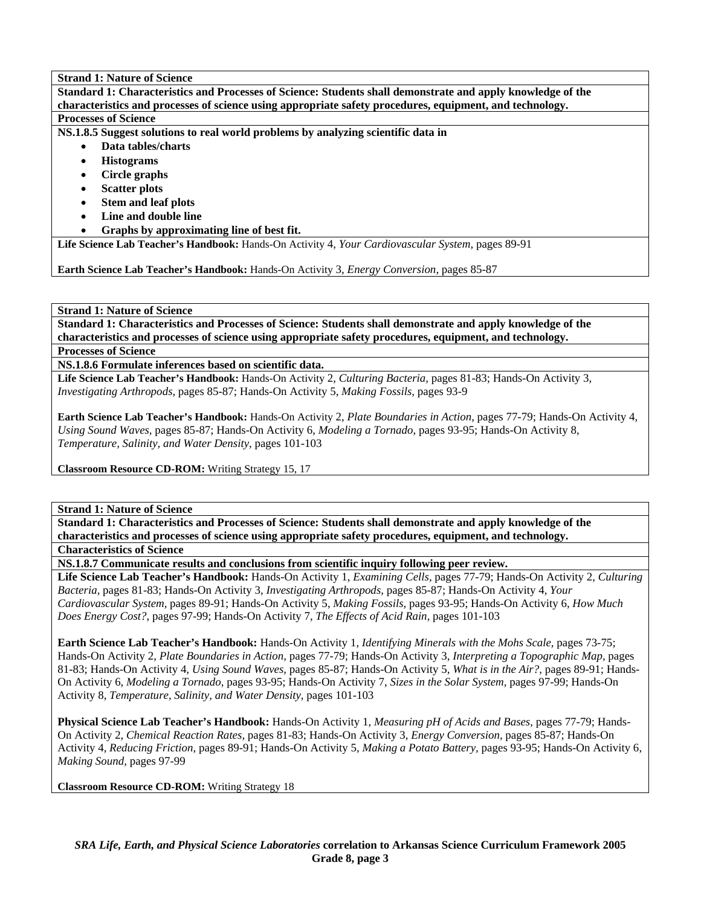**Standard 1: Characteristics and Processes of Science: Students shall demonstrate and apply knowledge of the characteristics and processes of science using appropriate safety procedures, equipment, and technology. Processes of Science** 

**NS.1.8.5 Suggest solutions to real world problems by analyzing scientific data in** 

- **Data tables/charts** 
	- **Histograms**
	- **Circle graphs**
	- **Scatter plots**
	- **Stem and leaf plots**
	- **Line and double line**
	- **Graphs by approximating line of best fit.**

**Life Science Lab Teacher's Handbook:** Hands-On Activity 4, *Your Cardiovascular System,* pages 89-91

**Earth Science Lab Teacher's Handbook:** Hands-On Activity 3, *Energy Conversion,* pages 85-87

# **Strand 1: Nature of Science**

**Standard 1: Characteristics and Processes of Science: Students shall demonstrate and apply knowledge of the characteristics and processes of science using appropriate safety procedures, equipment, and technology.** 

**Processes of Science** 

**NS.1.8.6 Formulate inferences based on scientific data.** 

**Life Science Lab Teacher's Handbook:** Hands-On Activity 2, *Culturing Bacteria,* pages 81-83; Hands-On Activity 3, *Investigating Arthropods,* pages 85-87; Hands-On Activity 5, *Making Fossils,* pages 93-9

**Earth Science Lab Teacher's Handbook:** Hands-On Activity 2, *Plate Boundaries in Action,* pages 77-79; Hands-On Activity 4, *Using Sound Waves,* pages 85-87; Hands-On Activity 6, *Modeling a Tornado,* pages 93-95; Hands-On Activity 8, *Temperature, Salinity, and Water Density,* pages 101-103

**Classroom Resource CD-ROM:** Writing Strategy 15, 17

**Strand 1: Nature of Science** 

**Standard 1: Characteristics and Processes of Science: Students shall demonstrate and apply knowledge of the characteristics and processes of science using appropriate safety procedures, equipment, and technology. Characteristics of Science** 

**NS.1.8.7 Communicate results and conclusions from scientific inquiry following peer review.** 

**Life Science Lab Teacher's Handbook:** Hands-On Activity 1, *Examining Cells,* pages 77-79; Hands-On Activity 2, *Culturing Bacteria,* pages 81-83; Hands-On Activity 3, *Investigating Arthropods,* pages 85-87; Hands-On Activity 4, *Your Cardiovascular System,* pages 89-91; Hands-On Activity 5, *Making Fossils,* pages 93-95; Hands-On Activity 6, *How Much Does Energy Cost?,* pages 97-99; Hands-On Activity 7, *The Effects of Acid Rain,* pages 101-103

**Earth Science Lab Teacher's Handbook:** Hands-On Activity 1, *Identifying Minerals with the Mohs Scale,* pages 73-75; Hands-On Activity 2, *Plate Boundaries in Action,* pages 77-79; Hands-On Activity 3, *Interpreting a Topographic Map,* pages 81-83; Hands-On Activity 4, *Using Sound Waves,* pages 85-87; Hands-On Activity 5, *What is in the Air?,* pages 89-91; Hands-On Activity 6, *Modeling a Tornado,* pages 93-95; Hands-On Activity 7, *Sizes in the Solar System,* pages 97-99; Hands-On Activity 8, *Temperature, Salinity, and Water Density,* pages 101-103

**Physical Science Lab Teacher's Handbook:** Hands-On Activity 1, *Measuring pH of Acids and Bases,* pages 77-79; Hands-On Activity 2, *Chemical Reaction Rates,* pages 81-83; Hands-On Activity 3, *Energy Conversion,* pages 85-87; Hands-On Activity 4, *Reducing Friction,* pages 89-91; Hands-On Activity 5, *Making a Potato Battery,* pages 93-95; Hands-On Activity 6, *Making Sound,* pages 97-99

**Classroom Resource CD-ROM:** Writing Strategy 18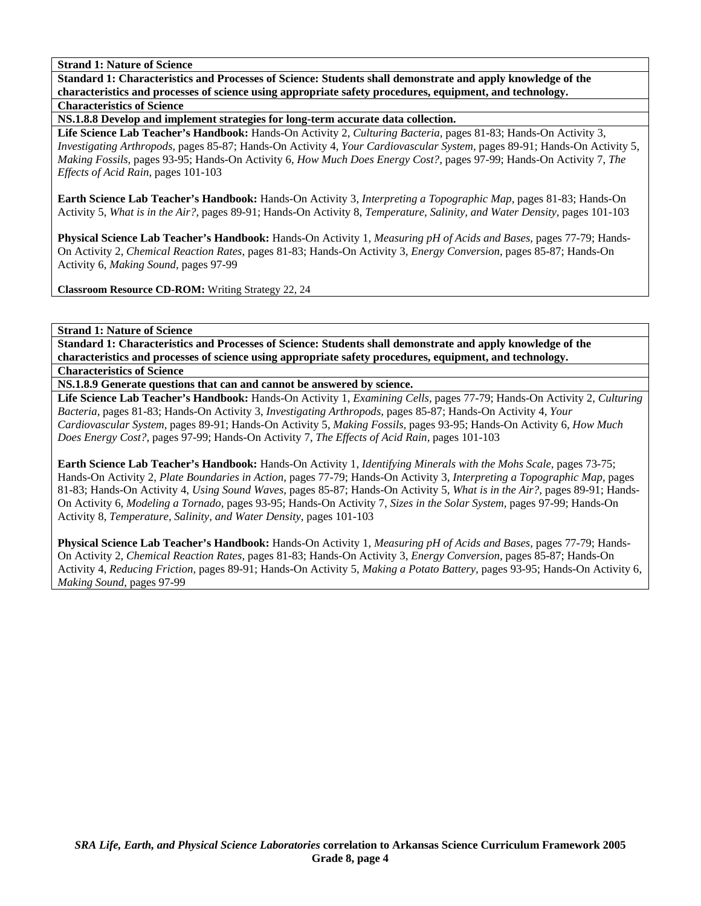**Standard 1: Characteristics and Processes of Science: Students shall demonstrate and apply knowledge of the characteristics and processes of science using appropriate safety procedures, equipment, and technology. Characteristics of Science** 

**NS.1.8.8 Develop and implement strategies for long-term accurate data collection.** 

**Life Science Lab Teacher's Handbook:** Hands-On Activity 2, *Culturing Bacteria,* pages 81-83; Hands-On Activity 3, *Investigating Arthropods,* pages 85-87; Hands-On Activity 4, *Your Cardiovascular System,* pages 89-91; Hands-On Activity 5, *Making Fossils,* pages 93-95; Hands-On Activity 6, *How Much Does Energy Cost?,* pages 97-99; Hands-On Activity 7, *The Effects of Acid Rain,* pages 101-103

**Earth Science Lab Teacher's Handbook:** Hands-On Activity 3, *Interpreting a Topographic Map,* pages 81-83; Hands-On Activity 5, *What is in the Air?,* pages 89-91; Hands-On Activity 8, *Temperature, Salinity, and Water Density,* pages 101-103

**Physical Science Lab Teacher's Handbook:** Hands-On Activity 1, *Measuring pH of Acids and Bases,* pages 77-79; Hands-On Activity 2, *Chemical Reaction Rates,* pages 81-83; Hands-On Activity 3, *Energy Conversion,* pages 85-87; Hands-On Activity 6, *Making Sound,* pages 97-99

**Classroom Resource CD-ROM:** Writing Strategy 22, 24

#### **Strand 1: Nature of Science**

**Standard 1: Characteristics and Processes of Science: Students shall demonstrate and apply knowledge of the characteristics and processes of science using appropriate safety procedures, equipment, and technology. Characteristics of Science** 

**NS.1.8.9 Generate questions that can and cannot be answered by science.** 

**Life Science Lab Teacher's Handbook:** Hands-On Activity 1, *Examining Cells,* pages 77-79; Hands-On Activity 2, *Culturing Bacteria,* pages 81-83; Hands-On Activity 3, *Investigating Arthropods,* pages 85-87; Hands-On Activity 4, *Your Cardiovascular System,* pages 89-91; Hands-On Activity 5, *Making Fossils,* pages 93-95; Hands-On Activity 6, *How Much Does Energy Cost?,* pages 97-99; Hands-On Activity 7, *The Effects of Acid Rain,* pages 101-103

**Earth Science Lab Teacher's Handbook:** Hands-On Activity 1, *Identifying Minerals with the Mohs Scale,* pages 73-75; Hands-On Activity 2, *Plate Boundaries in Action,* pages 77-79; Hands-On Activity 3, *Interpreting a Topographic Map,* pages 81-83; Hands-On Activity 4, *Using Sound Waves,* pages 85-87; Hands-On Activity 5, *What is in the Air?,* pages 89-91; Hands-On Activity 6, *Modeling a Tornado,* pages 93-95; Hands-On Activity 7, *Sizes in the Solar System,* pages 97-99; Hands-On Activity 8, *Temperature, Salinity, and Water Density,* pages 101-103

**Physical Science Lab Teacher's Handbook:** Hands-On Activity 1, *Measuring pH of Acids and Bases,* pages 77-79; Hands-On Activity 2, *Chemical Reaction Rates,* pages 81-83; Hands-On Activity 3, *Energy Conversion,* pages 85-87; Hands-On Activity 4, *Reducing Friction,* pages 89-91; Hands-On Activity 5, *Making a Potato Battery,* pages 93-95; Hands-On Activity 6, *Making Sound,* pages 97-99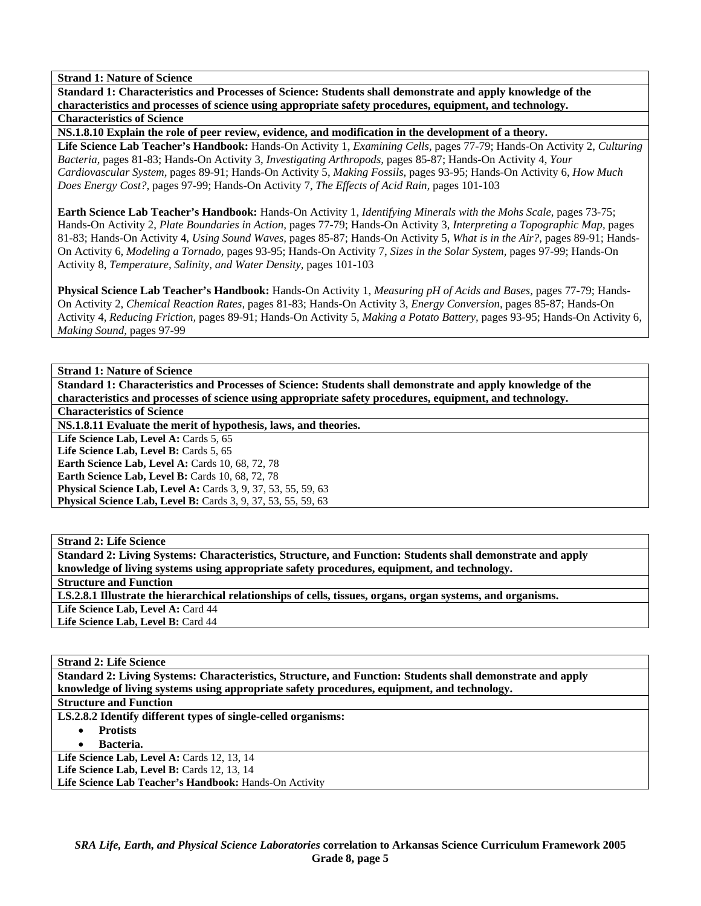**Standard 1: Characteristics and Processes of Science: Students shall demonstrate and apply knowledge of the characteristics and processes of science using appropriate safety procedures, equipment, and technology. Characteristics of Science** 

**NS.1.8.10 Explain the role of peer review, evidence, and modification in the development of a theory.** 

**Life Science Lab Teacher's Handbook:** Hands-On Activity 1, *Examining Cells,* pages 77-79; Hands-On Activity 2, *Culturing Bacteria,* pages 81-83; Hands-On Activity 3, *Investigating Arthropods,* pages 85-87; Hands-On Activity 4, *Your Cardiovascular System,* pages 89-91; Hands-On Activity 5, *Making Fossils,* pages 93-95; Hands-On Activity 6, *How Much Does Energy Cost?,* pages 97-99; Hands-On Activity 7, *The Effects of Acid Rain,* pages 101-103

**Earth Science Lab Teacher's Handbook:** Hands-On Activity 1, *Identifying Minerals with the Mohs Scale,* pages 73-75; Hands-On Activity 2, *Plate Boundaries in Action,* pages 77-79; Hands-On Activity 3, *Interpreting a Topographic Map,* pages 81-83; Hands-On Activity 4, *Using Sound Waves,* pages 85-87; Hands-On Activity 5, *What is in the Air?,* pages 89-91; Hands-On Activity 6, *Modeling a Tornado,* pages 93-95; Hands-On Activity 7, *Sizes in the Solar System,* pages 97-99; Hands-On Activity 8, *Temperature, Salinity, and Water Density,* pages 101-103

**Physical Science Lab Teacher's Handbook:** Hands-On Activity 1, *Measuring pH of Acids and Bases,* pages 77-79; Hands-On Activity 2, *Chemical Reaction Rates,* pages 81-83; Hands-On Activity 3, *Energy Conversion,* pages 85-87; Hands-On Activity 4, *Reducing Friction,* pages 89-91; Hands-On Activity 5, *Making a Potato Battery,* pages 93-95; Hands-On Activity 6, *Making Sound,* pages 97-99

**Strand 1: Nature of Science** 

**Standard 1: Characteristics and Processes of Science: Students shall demonstrate and apply knowledge of the characteristics and processes of science using appropriate safety procedures, equipment, and technology.** 

**Characteristics of Science** 

**NS.1.8.11 Evaluate the merit of hypothesis, laws, and theories.** 

Life Science Lab, Level A: Cards 5, 65 Life Science Lab, Level B: Cards 5, 65

**Earth Science Lab, Level A: Cards 10, 68, 72, 78 Earth Science Lab, Level B: Cards 10, 68, 72, 78 Physical Science Lab, Level A: Cards 3, 9, 37, 53, 55, 59, 63 Physical Science Lab, Level B:** Cards 3, 9, 37, 53, 55, 59, 63

**Strand 2: Life Science** 

**Standard 2: Living Systems: Characteristics, Structure, and Function: Students shall demonstrate and apply knowledge of living systems using appropriate safety procedures, equipment, and technology. Structure and Function LS.2.8.1 Illustrate the hierarchical relationships of cells, tissues, organs, organ systems, and organisms.**  Life Science Lab, Level A: Card 44 Life Science Lab, Level B: Card 44

**Strand 2: Life Science Standard 2: Living Systems: Characteristics, Structure, and Function: Students shall demonstrate and apply knowledge of living systems using appropriate safety procedures, equipment, and technology. Structure and Function** 

**LS.2.8.2 Identify different types of single-celled organisms:** 

• **Protists** 

• **Bacteria.** 

**Life Science Lab, Level A: Cards 12, 13, 14** 

**Life Science Lab, Level B: Cards 12, 13, 14** 

**Life Science Lab Teacher's Handbook:** Hands-On Activity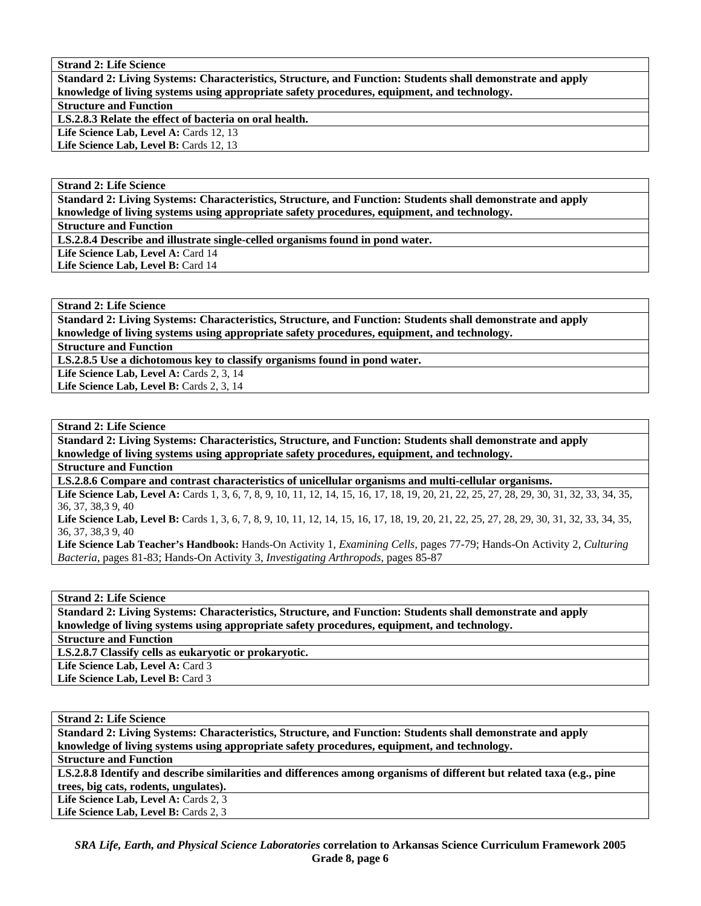**Standard 2: Living Systems: Characteristics, Structure, and Function: Students shall demonstrate and apply knowledge of living systems using appropriate safety procedures, equipment, and technology. Structure and Function LS.2.8.3 Relate the effect of bacteria on oral health.**  Life Science Lab, Level A: Cards 12, 13 Life Science Lab, Level B: Cards 12, 13

**Strand 2: Life Science** 

**Standard 2: Living Systems: Characteristics, Structure, and Function: Students shall demonstrate and apply knowledge of living systems using appropriate safety procedures, equipment, and technology.** 

**Structure and Function** 

**LS.2.8.4 Describe and illustrate single-celled organisms found in pond water.** 

Life Science Lab, Level A: Card 14

Life Science Lab, Level B: Card 14

#### **Strand 2: Life Science**

**Standard 2: Living Systems: Characteristics, Structure, and Function: Students shall demonstrate and apply knowledge of living systems using appropriate safety procedures, equipment, and technology. Structure and Function** 

**LS.2.8.5 Use a dichotomous key to classify organisms found in pond water.** 

Life Science Lab, Level A: Cards 2, 3, 14 Life Science Lab, Level B: Cards 2, 3, 14

### **Strand 2: Life Science**

**Standard 2: Living Systems: Characteristics, Structure, and Function: Students shall demonstrate and apply knowledge of living systems using appropriate safety procedures, equipment, and technology.** 

**Structure and Function** 

**LS.2.8.6 Compare and contrast characteristics of unicellular organisms and multi-cellular organisms.** 

Life Science Lab, Level A: Cards 1, 3, 6, 7, 8, 9, 10, 11, 12, 14, 15, 16, 17, 18, 19, 20, 21, 22, 25, 27, 28, 29, 30, 31, 32, 33, 34, 35, 36, 37, 38,3 9, 40

Life Science Lab, Level B: Cards 1, 3, 6, 7, 8, 9, 10, 11, 12, 14, 15, 16, 17, 18, 19, 20, 21, 22, 25, 27, 28, 29, 30, 31, 32, 33, 34, 35, 36, 37, 38,3 9, 40

**Life Science Lab Teacher's Handbook:** Hands-On Activity 1, *Examining Cells,* pages 77-79; Hands-On Activity 2, *Culturing Bacteria,* pages 81-83; Hands-On Activity 3, *Investigating Arthropods,* pages 85-87

#### **Strand 2: Life Science**

**Standard 2: Living Systems: Characteristics, Structure, and Function: Students shall demonstrate and apply knowledge of living systems using appropriate safety procedures, equipment, and technology.** 

**Structure and Function** 

**LS.2.8.7 Classify cells as eukaryotic or prokaryotic.** 

Life Science Lab, Level A: Card 3

Life Science Lab, Level B: Card 3

**Strand 2: Life Science Standard 2: Living Systems: Characteristics, Structure, and Function: Students shall demonstrate and apply knowledge of living systems using appropriate safety procedures, equipment, and technology.** 

**Structure and Function** 

**LS.2.8.8 Identify and describe similarities and differences among organisms of different but related taxa (e.g., pine trees, big cats, rodents, ungulates).** 

Life Science Lab, Level A: Cards 2, 3

Life Science Lab, Level B: Cards 2, 3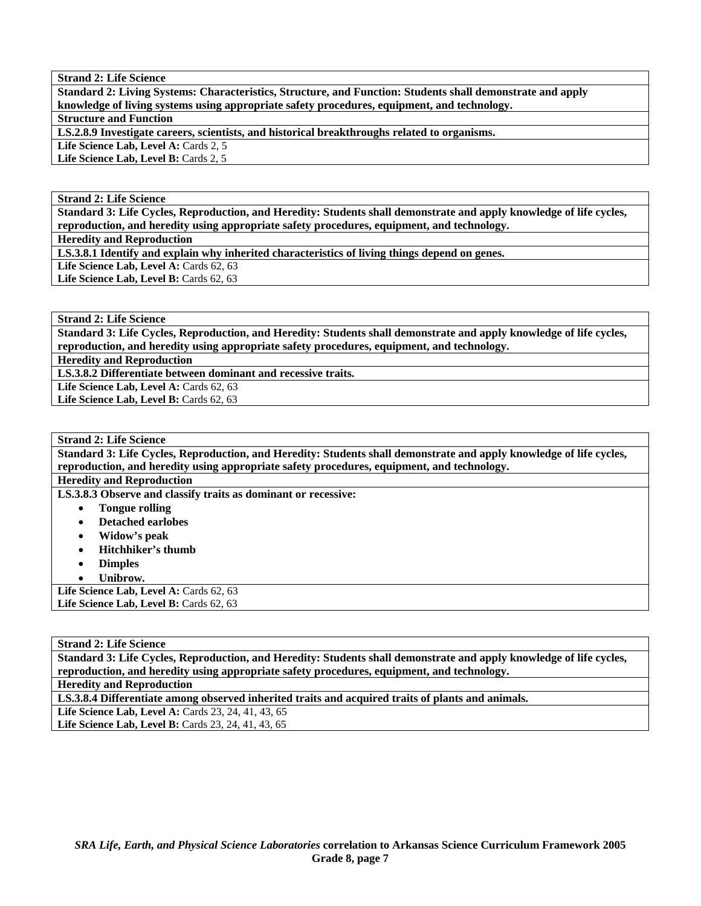**Standard 2: Living Systems: Characteristics, Structure, and Function: Students shall demonstrate and apply knowledge of living systems using appropriate safety procedures, equipment, and technology.** 

**Structure and Function** 

**LS.2.8.9 Investigate careers, scientists, and historical breakthroughs related to organisms.** 

Life Science Lab, Level A: Cards 2, 5 Life Science Lab, Level B: Cards 2, 5

**Strand 2: Life Science** 

**Standard 3: Life Cycles, Reproduction, and Heredity: Students shall demonstrate and apply knowledge of life cycles, reproduction, and heredity using appropriate safety procedures, equipment, and technology.** 

**Heredity and Reproduction** 

**LS.3.8.1 Identify and explain why inherited characteristics of living things depend on genes.** 

Life Science Lab, Level A: Cards 62, 63 Life Science Lab, Level B: Cards 62, 63

**Strand 2: Life Science** 

**Standard 3: Life Cycles, Reproduction, and Heredity: Students shall demonstrate and apply knowledge of life cycles, reproduction, and heredity using appropriate safety procedures, equipment, and technology.** 

**Heredity and Reproduction** 

**LS.3.8.2 Differentiate between dominant and recessive traits.** 

Life Science Lab, Level A: Cards 62, 63

Life Science Lab, Level B: Cards 62, 63

**Strand 2: Life Science** 

**Standard 3: Life Cycles, Reproduction, and Heredity: Students shall demonstrate and apply knowledge of life cycles, reproduction, and heredity using appropriate safety procedures, equipment, and technology.** 

**Heredity and Reproduction** 

**LS.3.8.3 Observe and classify traits as dominant or recessive:** 

- **Tongue rolling**
- **Detached earlobes**
- **Widow's peak**
- **Hitchhiker's thumb**
- **Dimples**
- **Unibrow.**

Life Science Lab, Level A: Cards 62, 63 Life Science Lab, Level B: Cards 62, 63

# **Strand 2: Life Science**

**Standard 3: Life Cycles, Reproduction, and Heredity: Students shall demonstrate and apply knowledge of life cycles, reproduction, and heredity using appropriate safety procedures, equipment, and technology.** 

**Heredity and Reproduction** 

**LS.3.8.4 Differentiate among observed inherited traits and acquired traits of plants and animals.** 

**Life Science Lab, Level A:** Cards 23, 24, 41, 43, 65 Life Science Lab, Level B: Cards 23, 24, 41, 43, 65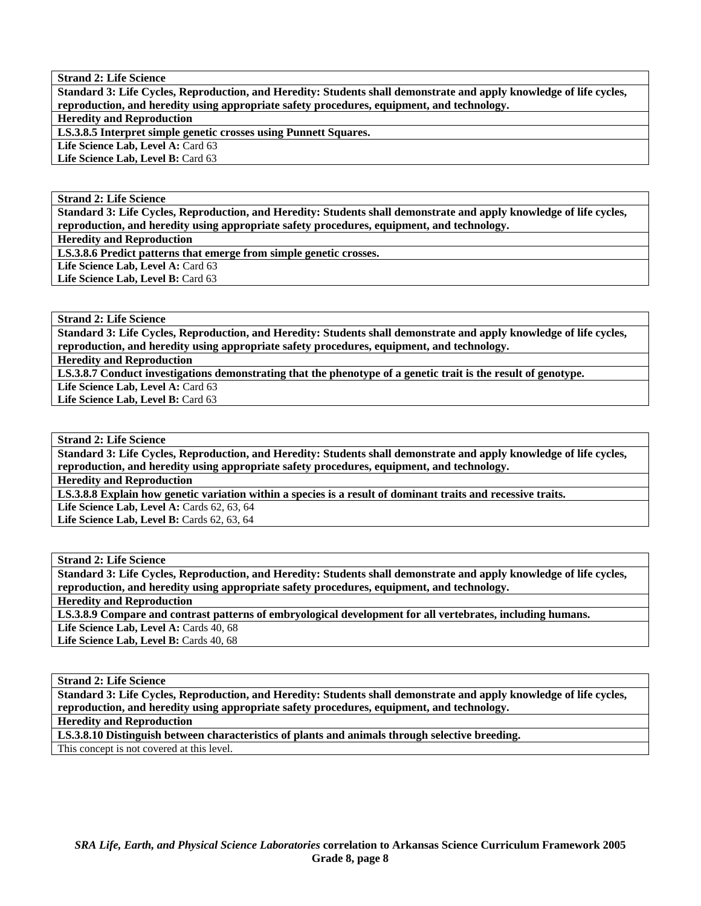**Standard 3: Life Cycles, Reproduction, and Heredity: Students shall demonstrate and apply knowledge of life cycles, reproduction, and heredity using appropriate safety procedures, equipment, and technology.** 

**Heredity and Reproduction** 

**LS.3.8.5 Interpret simple genetic crosses using Punnett Squares.** 

Life Science Lab, Level A: Card 63

Life Science Lab, Level B: Card 63

#### **Strand 2: Life Science**

**Standard 3: Life Cycles, Reproduction, and Heredity: Students shall demonstrate and apply knowledge of life cycles, reproduction, and heredity using appropriate safety procedures, equipment, and technology.** 

**Heredity and Reproduction** 

**LS.3.8.6 Predict patterns that emerge from simple genetic crosses.** 

Life Science Lab, Level A: Card 63 Life Science Lab, Level B: Card 63

**Strand 2: Life Science** 

**Standard 3: Life Cycles, Reproduction, and Heredity: Students shall demonstrate and apply knowledge of life cycles, reproduction, and heredity using appropriate safety procedures, equipment, and technology.** 

**Heredity and Reproduction** 

**LS.3.8.7 Conduct investigations demonstrating that the phenotype of a genetic trait is the result of genotype.** 

Life Science Lab, Level A: Card 63 Life Science Lab, Level B: Card 63

**Strand 2: Life Science** 

**Standard 3: Life Cycles, Reproduction, and Heredity: Students shall demonstrate and apply knowledge of life cycles, reproduction, and heredity using appropriate safety procedures, equipment, and technology.** 

**Heredity and Reproduction** 

**LS.3.8.8 Explain how genetic variation within a species is a result of dominant traits and recessive traits.** 

Life Science Lab, Level A: Cards 62, 63, 64

Life Science Lab, Level B: Cards 62, 63, 64

# **Strand 2: Life Science**

**Standard 3: Life Cycles, Reproduction, and Heredity: Students shall demonstrate and apply knowledge of life cycles, reproduction, and heredity using appropriate safety procedures, equipment, and technology.** 

**Heredity and Reproduction** 

**LS.3.8.9 Compare and contrast patterns of embryological development for all vertebrates, including humans.** 

Life Science Lab, Level A: Cards 40, 68

Life Science Lab, Level B: Cards 40, 68

**Strand 2: Life Science** 

**Standard 3: Life Cycles, Reproduction, and Heredity: Students shall demonstrate and apply knowledge of life cycles, reproduction, and heredity using appropriate safety procedures, equipment, and technology.** 

**Heredity and Reproduction** 

**LS.3.8.10 Distinguish between characteristics of plants and animals through selective breeding.** 

This concept is not covered at this level.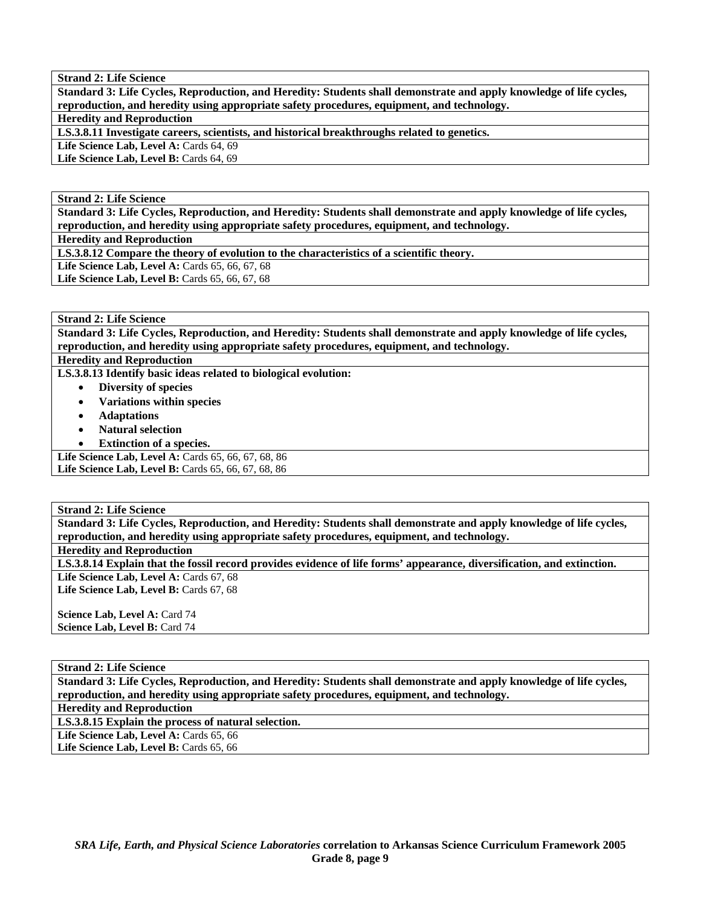**Standard 3: Life Cycles, Reproduction, and Heredity: Students shall demonstrate and apply knowledge of life cycles, reproduction, and heredity using appropriate safety procedures, equipment, and technology.** 

#### **Heredity and Reproduction**

**LS.3.8.11 Investigate careers, scientists, and historical breakthroughs related to genetics.** 

Life Science Lab, Level A: Cards 64, 69

Life Science Lab, Level B: Cards 64, 69

#### **Strand 2: Life Science**

**Standard 3: Life Cycles, Reproduction, and Heredity: Students shall demonstrate and apply knowledge of life cycles, reproduction, and heredity using appropriate safety procedures, equipment, and technology.** 

**Heredity and Reproduction** 

**LS.3.8.12 Compare the theory of evolution to the characteristics of a scientific theory.** 

Life Science Lab, Level A: Cards 65, 66, 67, 68

Life Science Lab, Level B: Cards 65, 66, 67, 68

# **Strand 2: Life Science**

**Standard 3: Life Cycles, Reproduction, and Heredity: Students shall demonstrate and apply knowledge of life cycles, reproduction, and heredity using appropriate safety procedures, equipment, and technology.** 

**Heredity and Reproduction** 

**LS.3.8.13 Identify basic ideas related to biological evolution:** 

- **Diversity of species**
- **Variations within species**
- **Adaptations**
- **Natural selection**
- **Extinction of a species.**

Life Science Lab, Level A: Cards 65, 66, 67, 68, 86 **Life Science Lab, Level B: Cards 65, 66, 67, 68, 86** 

#### **Strand 2: Life Science**

**Standard 3: Life Cycles, Reproduction, and Heredity: Students shall demonstrate and apply knowledge of life cycles, reproduction, and heredity using appropriate safety procedures, equipment, and technology.** 

**Heredity and Reproduction** 

**LS.3.8.14 Explain that the fossil record provides evidence of life forms' appearance, diversification, and extinction.**  Life Science Lab, Level A: Cards 67, 68

Life Science Lab, Level B: Cards 67, 68

**Science Lab, Level A: Card 74 Science Lab, Level B: Card 74** 

#### **Strand 2: Life Science**

**Standard 3: Life Cycles, Reproduction, and Heredity: Students shall demonstrate and apply knowledge of life cycles, reproduction, and heredity using appropriate safety procedures, equipment, and technology.** 

**Heredity and Reproduction** 

**LS.3.8.15 Explain the process of natural selection.** 

Life Science Lab, Level A: Cards 65, 66

Life Science Lab, Level B: Cards 65, 66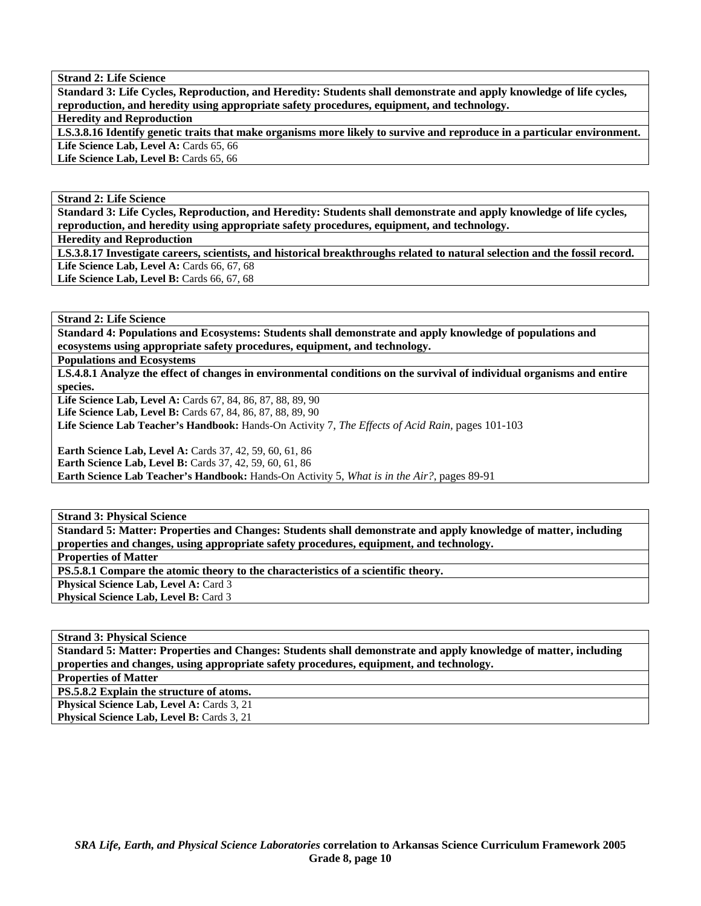**Standard 3: Life Cycles, Reproduction, and Heredity: Students shall demonstrate and apply knowledge of life cycles, reproduction, and heredity using appropriate safety procedures, equipment, and technology.** 

**Heredity and Reproduction** 

**LS.3.8.16 Identify genetic traits that make organisms more likely to survive and reproduce in a particular environment.**  Life Science Lab, Level A: Cards 65, 66

Life Science Lab, Level B: Cards 65, 66

**Strand 2: Life Science** 

**Standard 3: Life Cycles, Reproduction, and Heredity: Students shall demonstrate and apply knowledge of life cycles, reproduction, and heredity using appropriate safety procedures, equipment, and technology.** 

**Heredity and Reproduction** 

**LS.3.8.17 Investigate careers, scientists, and historical breakthroughs related to natural selection and the fossil record.**  Life Science Lab, Level A: Cards 66, 67, 68 Life Science Lab, Level B: Cards 66, 67, 68

**Strand 2: Life Science** 

**Standard 4: Populations and Ecosystems: Students shall demonstrate and apply knowledge of populations and ecosystems using appropriate safety procedures, equipment, and technology.** 

**Populations and Ecosystems** 

**LS.4.8.1 Analyze the effect of changes in environmental conditions on the survival of individual organisms and entire species.** 

**Life Science Lab, Level A:** Cards 67, 84, 86, 87, 88, 89, 90

Life Science Lab, Level B: Cards 67, 84, 86, 87, 88, 89, 90

**Life Science Lab Teacher's Handbook:** Hands-On Activity 7, *The Effects of Acid Rain,* pages 101-103

**Earth Science Lab, Level A:** Cards 37, 42, 59, 60, 61, 86 **Earth Science Lab, Level B: Cards 37, 42, 59, 60, 61, 86** 

**Earth Science Lab Teacher's Handbook:** Hands-On Activity 5, *What is in the Air?,* pages 89-91

**Strand 3: Physical Science** 

**Standard 5: Matter: Properties and Changes: Students shall demonstrate and apply knowledge of matter, including properties and changes, using appropriate safety procedures, equipment, and technology.** 

**Properties of Matter** 

**PS.5.8.1 Compare the atomic theory to the characteristics of a scientific theory.** 

**Physical Science Lab, Level A: Card 3** 

**Physical Science Lab, Level B: Card 3** 

**Strand 3: Physical Science** 

**Standard 5: Matter: Properties and Changes: Students shall demonstrate and apply knowledge of matter, including properties and changes, using appropriate safety procedures, equipment, and technology.** 

**Properties of Matter** 

**PS.5.8.2 Explain the structure of atoms.** 

**Physical Science Lab, Level A: Cards 3, 21** Physical Science Lab, Level B: Cards 3, 21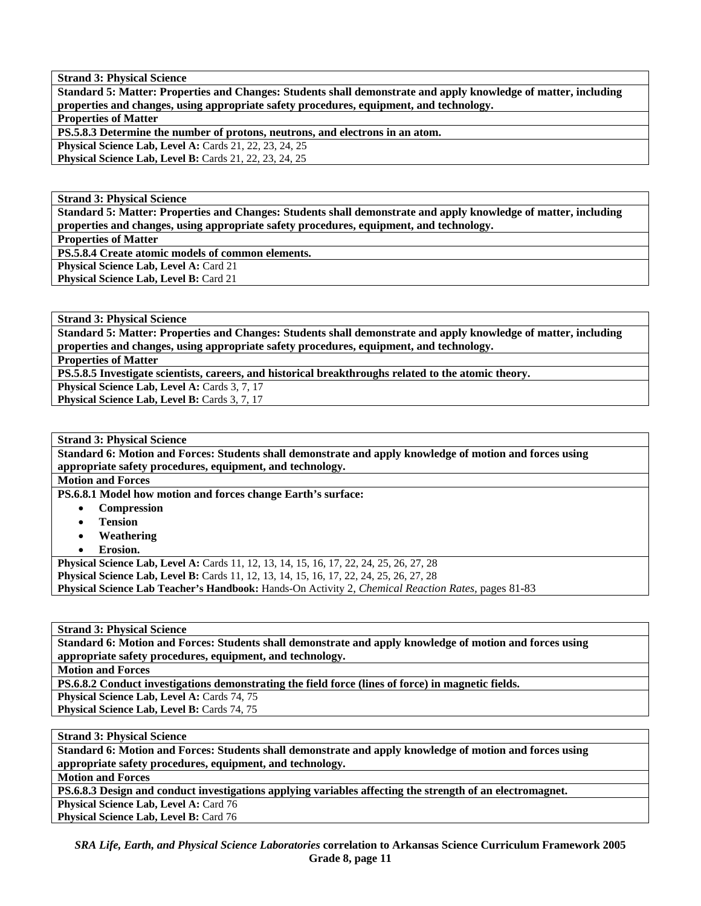**Standard 5: Matter: Properties and Changes: Students shall demonstrate and apply knowledge of matter, including properties and changes, using appropriate safety procedures, equipment, and technology.** 

**Properties of Matter** 

**PS.5.8.3 Determine the number of protons, neutrons, and electrons in an atom.** 

**Physical Science Lab, Level A: Cards 21, 22, 23, 24, 25** 

**Physical Science Lab, Level B:** Cards 21, 22, 23, 24, 25

**Strand 3: Physical Science** 

**Standard 5: Matter: Properties and Changes: Students shall demonstrate and apply knowledge of matter, including properties and changes, using appropriate safety procedures, equipment, and technology.** 

**Properties of Matter** 

**PS.5.8.4 Create atomic models of common elements.** 

**Physical Science Lab, Level A: Card 21** Physical Science Lab, Level B: Card 21

**Strand 3: Physical Science** 

**Standard 5: Matter: Properties and Changes: Students shall demonstrate and apply knowledge of matter, including properties and changes, using appropriate safety procedures, equipment, and technology.** 

**Properties of Matter** 

**PS.5.8.5 Investigate scientists, careers, and historical breakthroughs related to the atomic theory.** 

**Physical Science Lab, Level A: Cards 3, 7, 17** 

Physical Science Lab, Level B: Cards 3, 7, 17

## **Strand 3: Physical Science**

**Standard 6: Motion and Forces: Students shall demonstrate and apply knowledge of motion and forces using appropriate safety procedures, equipment, and technology.** 

**Motion and Forces** 

**PS.6.8.1 Model how motion and forces change Earth's surface:** 

- **Compression**
- **Tension**
- **Weathering**
- **Erosion.**

**Physical Science Lab, Level A:** Cards 11, 12, 13, 14, 15, 16, 17, 22, 24, 25, 26, 27, 28 **Physical Science Lab, Level B:** Cards 11, 12, 13, 14, 15, 16, 17, 22, 24, 25, 26, 27, 28 **Physical Science Lab Teacher's Handbook:** Hands-On Activity 2, *Chemical Reaction Rates,* pages 81-83

**Strand 3: Physical Science** 

**Standard 6: Motion and Forces: Students shall demonstrate and apply knowledge of motion and forces using appropriate safety procedures, equipment, and technology.** 

**Motion and Forces** 

**PS.6.8.2 Conduct investigations demonstrating the field force (lines of force) in magnetic fields.** 

Physical Science Lab, Level A: Cards 74, 75

Physical Science Lab, Level B: Cards 74, 75

**Strand 3: Physical Science** 

**Standard 6: Motion and Forces: Students shall demonstrate and apply knowledge of motion and forces using appropriate safety procedures, equipment, and technology.** 

**Motion and Forces** 

**PS.6.8.3 Design and conduct investigations applying variables affecting the strength of an electromagnet.** 

Physical Science Lab, Level A: Card 76

Physical Science Lab, Level B: Card 76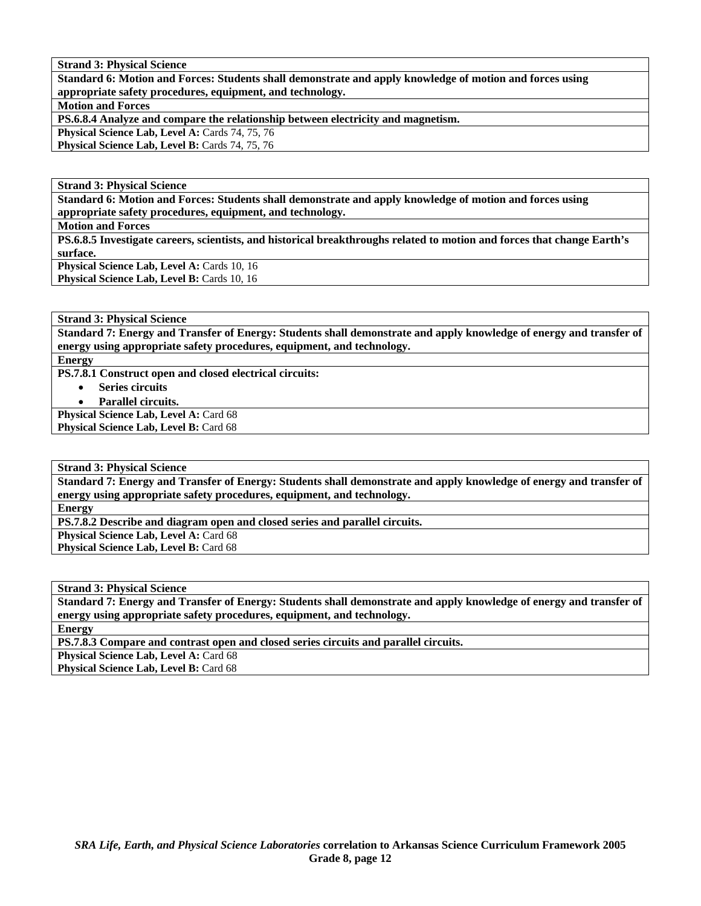**Standard 6: Motion and Forces: Students shall demonstrate and apply knowledge of motion and forces using appropriate safety procedures, equipment, and technology.** 

**Motion and Forces** 

**PS.6.8.4 Analyze and compare the relationship between electricity and magnetism.** 

Physical Science Lab, Level A: Cards 74, 75, 76

Physical Science Lab, Level B: Cards 74, 75, 76

**Strand 3: Physical Science** 

**Standard 6: Motion and Forces: Students shall demonstrate and apply knowledge of motion and forces using appropriate safety procedures, equipment, and technology.** 

**Motion and Forces** 

**PS.6.8.5 Investigate careers, scientists, and historical breakthroughs related to motion and forces that change Earth's surface.** 

**Physical Science Lab, Level A: Cards 10, 16** Physical Science Lab, Level B: Cards 10, 16

**Strand 3: Physical Science** 

**Standard 7: Energy and Transfer of Energy: Students shall demonstrate and apply knowledge of energy and transfer of energy using appropriate safety procedures, equipment, and technology.** 

**Energy** 

**PS.7.8.1 Construct open and closed electrical circuits:** 

• **Series circuits** 

• **Parallel circuits.** 

**Physical Science Lab, Level A: Card 68** Physical Science Lab, Level B: Card 68

**Strand 3: Physical Science** 

**Standard 7: Energy and Transfer of Energy: Students shall demonstrate and apply knowledge of energy and transfer of energy using appropriate safety procedures, equipment, and technology.** 

**Energy** 

**PS.7.8.2 Describe and diagram open and closed series and parallel circuits.** 

**Physical Science Lab, Level A: Card 68** 

Physical Science Lab, Level B: Card 68

**Strand 3: Physical Science** 

**Standard 7: Energy and Transfer of Energy: Students shall demonstrate and apply knowledge of energy and transfer of energy using appropriate safety procedures, equipment, and technology.** 

**Energy** 

**PS.7.8.3 Compare and contrast open and closed series circuits and parallel circuits.** 

Physical Science Lab, Level A: Card 68

Physical Science Lab, Level B: Card 68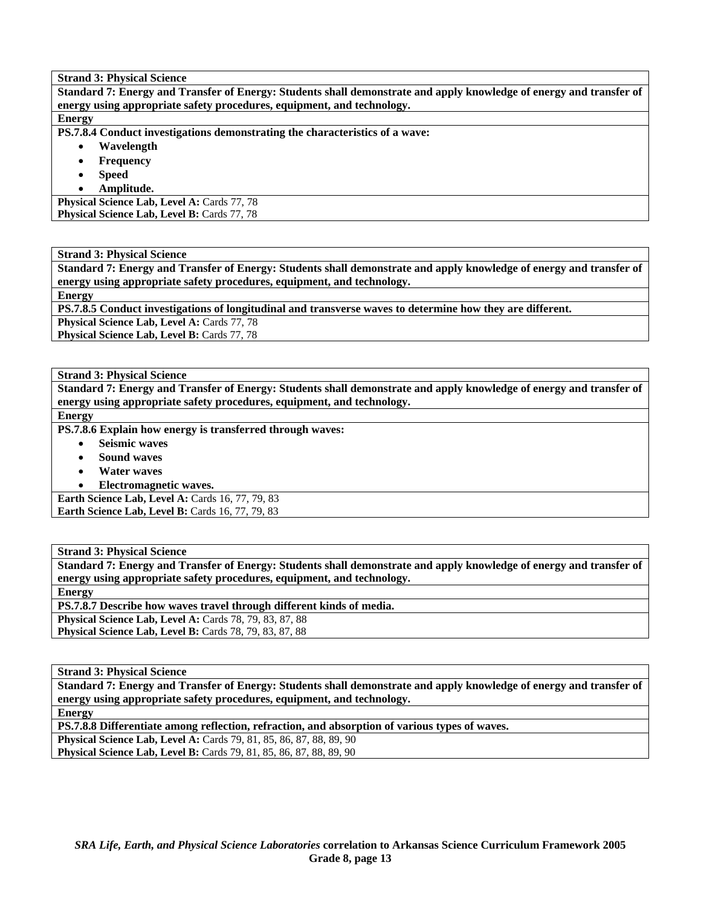**Standard 7: Energy and Transfer of Energy: Students shall demonstrate and apply knowledge of energy and transfer of energy using appropriate safety procedures, equipment, and technology.** 

#### **Energy**

**PS.7.8.4 Conduct investigations demonstrating the characteristics of a wave:** 

- **Wavelength** 
	- **Frequency**
	- **Speed**
- **Amplitude.**

**Physical Science Lab, Level A: Cards 77, 78** Physical Science Lab, Level B: Cards 77, 78

**Strand 3: Physical Science** 

**Standard 7: Energy and Transfer of Energy: Students shall demonstrate and apply knowledge of energy and transfer of energy using appropriate safety procedures, equipment, and technology.** 

**Energy** 

**PS.7.8.5 Conduct investigations of longitudinal and transverse waves to determine how they are different.** 

Physical Science Lab, Level A: Cards 77, 78

Physical Science Lab, Level B: Cards 77, 78

**Strand 3: Physical Science** 

**Standard 7: Energy and Transfer of Energy: Students shall demonstrate and apply knowledge of energy and transfer of energy using appropriate safety procedures, equipment, and technology.** 

# **Energy**

**PS.7.8.6 Explain how energy is transferred through waves:** 

- **Seismic waves**
- **Sound waves**
- **Water waves**
- **Electromagnetic waves.**

**Earth Science Lab, Level A: Cards 16, 77, 79, 83 Earth Science Lab, Level B: Cards 16, 77, 79, 83** 

**Strand 3: Physical Science** 

**Standard 7: Energy and Transfer of Energy: Students shall demonstrate and apply knowledge of energy and transfer of energy using appropriate safety procedures, equipment, and technology.** 

**Energy** 

**PS.7.8.7 Describe how waves travel through different kinds of media.** 

**Physical Science Lab, Level A: Cards 78, 79, 83, 87, 88** 

**Physical Science Lab, Level B: Cards 78, 79, 83, 87, 88** 

**Strand 3: Physical Science** 

**Standard 7: Energy and Transfer of Energy: Students shall demonstrate and apply knowledge of energy and transfer of energy using appropriate safety procedures, equipment, and technology.** 

**Energy** 

**PS.7.8.8 Differentiate among reflection, refraction, and absorption of various types of waves.** 

**Physical Science Lab, Level A:** Cards 79, 81, 85, 86, 87, 88, 89, 90 **Physical Science Lab, Level B:** Cards 79, 81, 85, 86, 87, 88, 89, 90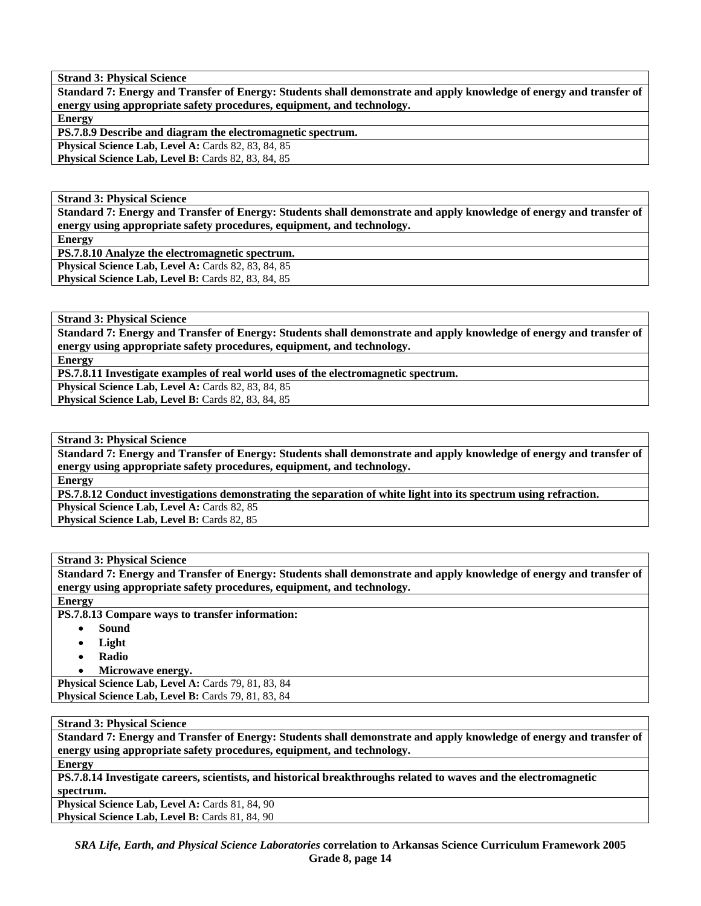**Standard 7: Energy and Transfer of Energy: Students shall demonstrate and apply knowledge of energy and transfer of energy using appropriate safety procedures, equipment, and technology.** 

**Energy** 

**PS.7.8.9 Describe and diagram the electromagnetic spectrum.** 

**Physical Science Lab, Level A: Cards 82, 83, 84, 85** Physical Science Lab, Level B: Cards 82, 83, 84, 85

**Strand 3: Physical Science** 

**Standard 7: Energy and Transfer of Energy: Students shall demonstrate and apply knowledge of energy and transfer of energy using appropriate safety procedures, equipment, and technology.** 

**Energy** 

**PS.7.8.10 Analyze the electromagnetic spectrum.** 

**Physical Science Lab, Level A: Cards 82, 83, 84, 85 Physical Science Lab, Level B: Cards 82, 83, 84, 85** 

**Strand 3: Physical Science** 

**Standard 7: Energy and Transfer of Energy: Students shall demonstrate and apply knowledge of energy and transfer of energy using appropriate safety procedures, equipment, and technology.** 

**Energy** 

**PS.7.8.11 Investigate examples of real world uses of the electromagnetic spectrum.** 

**Physical Science Lab, Level A: Cards 82, 83, 84, 85** 

Physical Science Lab, Level B: Cards 82, 83, 84, 85

**Strand 3: Physical Science** 

**Standard 7: Energy and Transfer of Energy: Students shall demonstrate and apply knowledge of energy and transfer of energy using appropriate safety procedures, equipment, and technology.** 

**Energy** 

**PS.7.8.12 Conduct investigations demonstrating the separation of white light into its spectrum using refraction.** 

Physical Science Lab, Level A: Cards 82, 85

Physical Science Lab, Level B: Cards 82, 85

**Strand 3: Physical Science** 

**Standard 7: Energy and Transfer of Energy: Students shall demonstrate and apply knowledge of energy and transfer of energy using appropriate safety procedures, equipment, and technology.** 

**Energy** 

**PS.7.8.13 Compare ways to transfer information:** 

- **Sound**
- **Light**
- **Radio**
- **Microwave energy.**

**Physical Science Lab, Level A: Cards 79, 81, 83, 84 Physical Science Lab, Level B: Cards 79, 81, 83, 84** 

**Strand 3: Physical Science** 

**Standard 7: Energy and Transfer of Energy: Students shall demonstrate and apply knowledge of energy and transfer of energy using appropriate safety procedures, equipment, and technology.** 

**Energy** 

**PS.7.8.14 Investigate careers, scientists, and historical breakthroughs related to waves and the electromagnetic spectrum.** 

Physical Science Lab, Level A: Cards 81, 84, 90 Physical Science Lab, Level B: Cards 81, 84, 90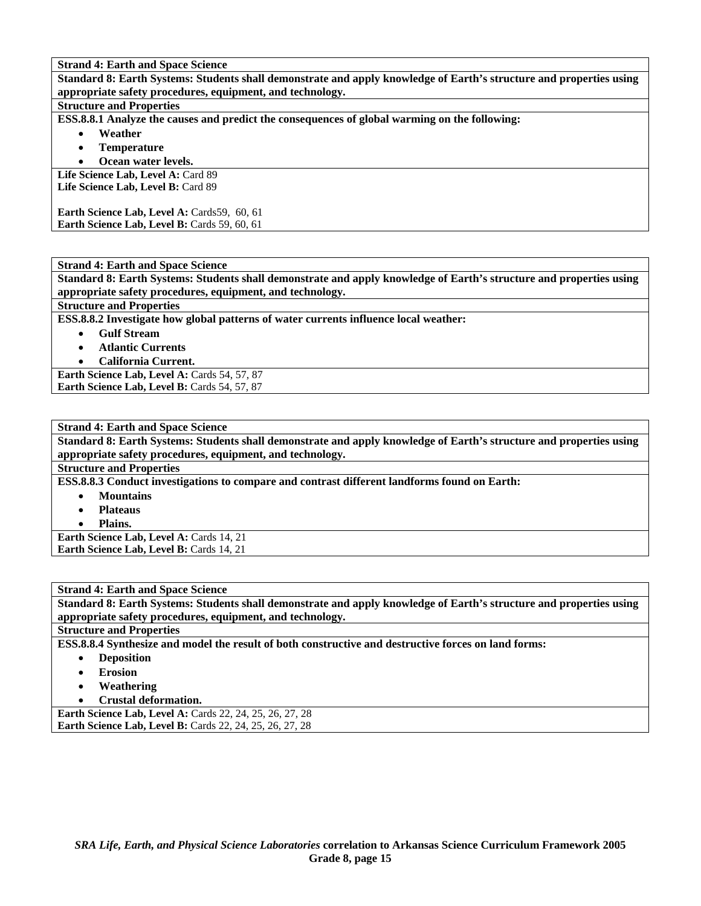**Standard 8: Earth Systems: Students shall demonstrate and apply knowledge of Earth's structure and properties using appropriate safety procedures, equipment, and technology.** 

#### **Structure and Properties**

**ESS.8.8.1 Analyze the causes and predict the consequences of global warming on the following:** 

- **Weather**
- **Temperature**
- **Ocean water levels.**

Life Science Lab, Level A: Card 89 Life Science Lab, Level B: Card 89

Earth Science Lab, Level A: Cards59, 60, 61 **Earth Science Lab, Level B: Cards 59, 60, 61** 

**Strand 4: Earth and Space Science Standard 8: Earth Systems: Students shall demonstrate and apply knowledge of Earth's structure and properties using appropriate safety procedures, equipment, and technology.** 

**Structure and Properties** 

**ESS.8.8.2 Investigate how global patterns of water currents influence local weather:** 

- **Gulf Stream** 
	- **Atlantic Currents**
	- **California Current.**

Earth Science Lab, Level A: Cards 54, 57, 87 Earth Science Lab, Level B: Cards 54, 57, 87

| <b>Strand 4: Earth and Space Science</b>                                                                            |
|---------------------------------------------------------------------------------------------------------------------|
| Standard 8: Earth Systems: Students shall demonstrate and apply knowledge of Earth's structure and properties using |
| appropriate safety procedures, equipment, and technology.                                                           |
| <b>Structure and Properties</b>                                                                                     |
| ESS.8.8.3 Conduct investigations to compare and contrast different landforms found on Earth:                        |
| <b>Mountains</b><br>٠                                                                                               |
| <b>Plateaus</b>                                                                                                     |
| Plains.                                                                                                             |

**Earth Science Lab, Level A: Cards 14, 21 Earth Science Lab, Level B: Cards 14, 21** 

| <b>Strand 4: Earth and Space Science</b>                                                                            |
|---------------------------------------------------------------------------------------------------------------------|
| Standard 8: Earth Systems: Students shall demonstrate and apply knowledge of Earth's structure and properties using |
| appropriate safety procedures, equipment, and technology.                                                           |
| <b>Structure and Properties</b>                                                                                     |
| ESS.8.8.4 Synthesize and model the result of both constructive and destructive forces on land forms:                |
| <b>Deposition</b><br>$\bullet$                                                                                      |
| <b>Erosion</b><br>$\bullet$                                                                                         |
| Weathering<br>$\bullet$                                                                                             |
| Crustal deformation.<br>$\bullet$                                                                                   |
| <b>Earth Science Lab, Level A: Cards 22, 24, 25, 26, 27, 28</b>                                                     |
| <b>Earth Science Lab, Level B: Cards 22, 24, 25, 26, 27, 28</b>                                                     |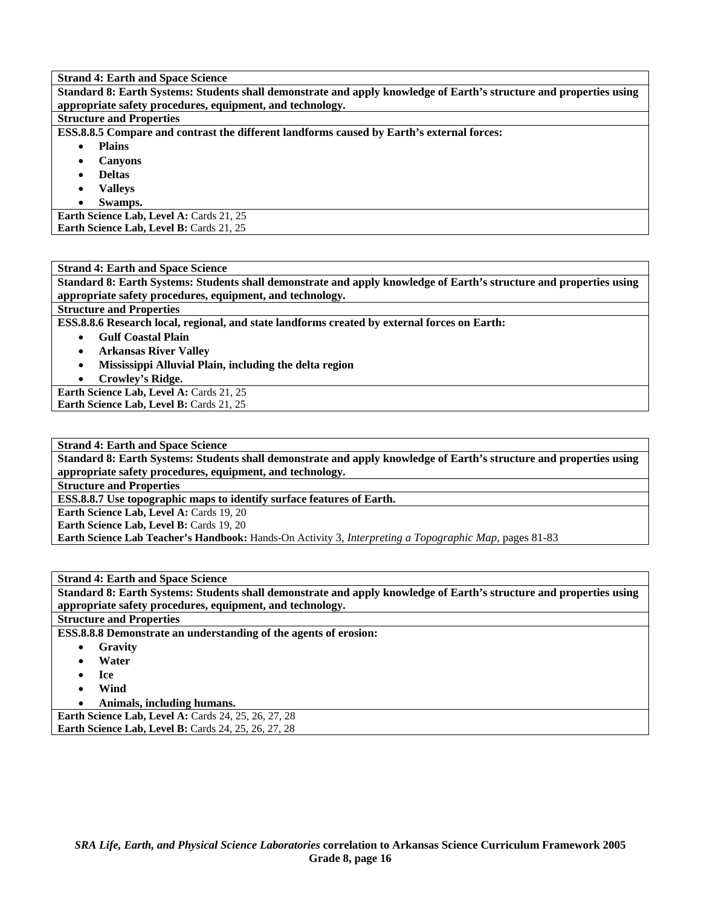**Standard 8: Earth Systems: Students shall demonstrate and apply knowledge of Earth's structure and properties using appropriate safety procedures, equipment, and technology.** 

### **Structure and Properties**

**ESS.8.8.5 Compare and contrast the different landforms caused by Earth's external forces:** 

- **Plains** 
	- **Canyons**
	- **Deltas**
	- **Valleys**
	- **Swamps.**

**Earth Science Lab, Level A: Cards 21, 25** Earth Science Lab, Level B: Cards 21, 25

**Strand 4: Earth and Space Science** 

**Standard 8: Earth Systems: Students shall demonstrate and apply knowledge of Earth's structure and properties using appropriate safety procedures, equipment, and technology.** 

# **Structure and Properties**

**ESS.8.8.6 Research local, regional, and state landforms created by external forces on Earth:** 

- **Gulf Coastal Plain**
- **Arkansas River Valley**
- **Mississippi Alluvial Plain, including the delta region**
- **Crowley's Ridge.**

Earth Science Lab, Level A: Cards 21, 25 **Earth Science Lab, Level B: Cards 21, 25** 

**Strand 4: Earth and Space Science** 

**Standard 8: Earth Systems: Students shall demonstrate and apply knowledge of Earth's structure and properties using appropriate safety procedures, equipment, and technology.** 

**Structure and Properties** 

**ESS.8.8.7 Use topographic maps to identify surface features of Earth.** 

**Earth Science Lab, Level A: Cards 19, 20** 

**Earth Science Lab, Level B: Cards 19, 20** 

**Earth Science Lab Teacher's Handbook:** Hands-On Activity 3, *Interpreting a Topographic Map,* pages 81-83

### **Strand 4: Earth and Space Science**

**Standard 8: Earth Systems: Students shall demonstrate and apply knowledge of Earth's structure and properties using appropriate safety procedures, equipment, and technology.** 

#### **Structure and Properties**

**ESS.8.8.8 Demonstrate an understanding of the agents of erosion:** 

- **Gravity**
- **Water**
- **Ice**
- **Wind**
- **Animals, including humans.**

| <b>Earth Science Lab, Level A: Cards 24, 25, 26, 27, 28</b> |  |  |  |  |  |
|-------------------------------------------------------------|--|--|--|--|--|
| <b>Earth Science Lab, Level B:</b> Cards 24, 25, 26, 27, 28 |  |  |  |  |  |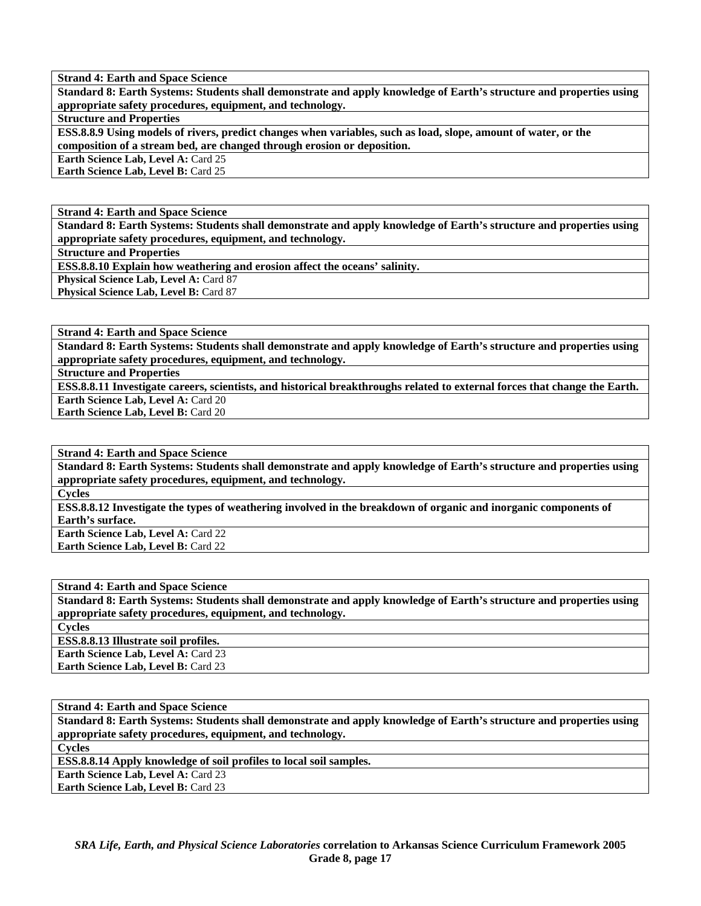**Standard 8: Earth Systems: Students shall demonstrate and apply knowledge of Earth's structure and properties using appropriate safety procedures, equipment, and technology.** 

#### **Structure and Properties**

**ESS.8.8.9 Using models of rivers, predict changes when variables, such as load, slope, amount of water, or the composition of a stream bed, are changed through erosion or deposition.** 

**Earth Science Lab, Level A: Card 25** 

**Earth Science Lab, Level B:** Card 25

**Strand 4: Earth and Space Science** 

**Standard 8: Earth Systems: Students shall demonstrate and apply knowledge of Earth's structure and properties using appropriate safety procedures, equipment, and technology.** 

**Structure and Properties** 

**ESS.8.8.10 Explain how weathering and erosion affect the oceans' salinity.** 

**Physical Science Lab, Level A: Card 87** 

**Physical Science Lab, Level B: Card 87** 

**Strand 4: Earth and Space Science** 

**Standard 8: Earth Systems: Students shall demonstrate and apply knowledge of Earth's structure and properties using appropriate safety procedures, equipment, and technology.** 

**Structure and Properties** 

**ESS.8.8.11 Investigate careers, scientists, and historical breakthroughs related to external forces that change the Earth. Earth Science Lab, Level A: Card 20** 

**Earth Science Lab, Level B: Card 20** 

**Strand 4: Earth and Space Science** 

**Standard 8: Earth Systems: Students shall demonstrate and apply knowledge of Earth's structure and properties using appropriate safety procedures, equipment, and technology.** 

**Cycles** 

**ESS.8.8.12 Investigate the types of weathering involved in the breakdown of organic and inorganic components of Earth's surface.** 

**Earth Science Lab, Level A: Card 22 Earth Science Lab, Level B:** Card 22

#### **Strand 4: Earth and Space Science**

**Standard 8: Earth Systems: Students shall demonstrate and apply knowledge of Earth's structure and properties using appropriate safety procedures, equipment, and technology.** 

**Cycles** 

**ESS.8.8.13 Illustrate soil profiles. Earth Science Lab, Level A: Card 23** 

**Earth Science Lab, Level B:** Card 23

**Strand 4: Earth and Space Science** 

**Standard 8: Earth Systems: Students shall demonstrate and apply knowledge of Earth's structure and properties using appropriate safety procedures, equipment, and technology.** 

**Cycles** 

**ESS.8.8.14 Apply knowledge of soil profiles to local soil samples.** 

**Earth Science Lab, Level A: Card 23 Earth Science Lab, Level B:** Card 23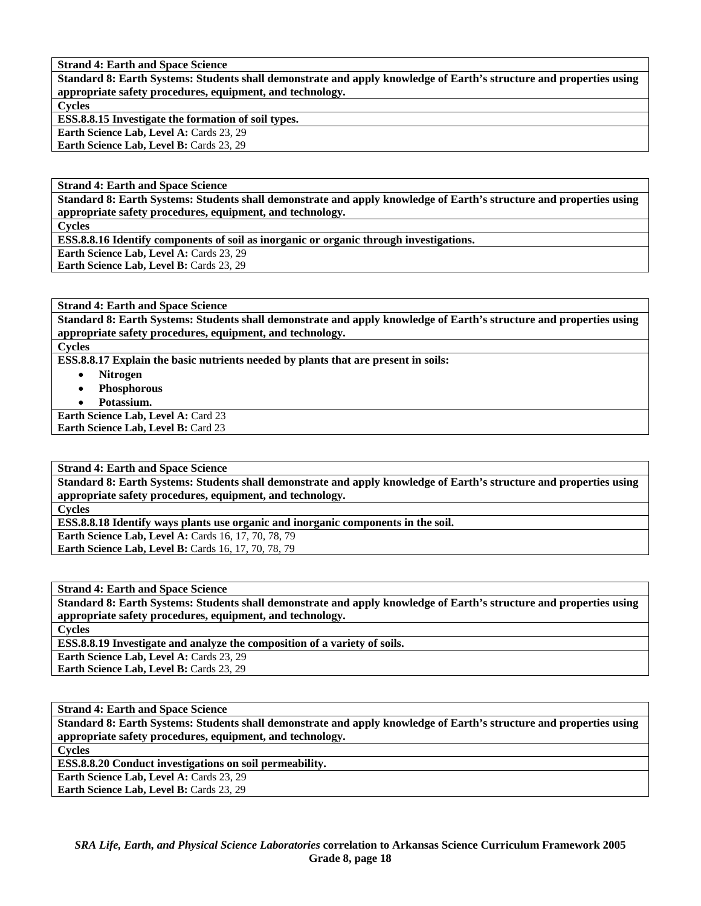**Standard 8: Earth Systems: Students shall demonstrate and apply knowledge of Earth's structure and properties using appropriate safety procedures, equipment, and technology. Cycles ESS.8.8.15 Investigate the formation of soil types.**  Earth Science Lab, Level A: Cards 23, 29

Earth Science Lab, Level B: Cards 23, 29

**Strand 4: Earth and Space Science** 

**Standard 8: Earth Systems: Students shall demonstrate and apply knowledge of Earth's structure and properties using appropriate safety procedures, equipment, and technology.** 

**Cycles** 

**ESS.8.8.16 Identify components of soil as inorganic or organic through investigations.** 

**Earth Science Lab, Level A: Cards 23, 29** 

Earth Science Lab, Level B: Cards 23, 29

**Strand 4: Earth and Space Science** 

**Standard 8: Earth Systems: Students shall demonstrate and apply knowledge of Earth's structure and properties using appropriate safety procedures, equipment, and technology.** 

**Cycles** 

**ESS.8.8.17 Explain the basic nutrients needed by plants that are present in soils:** 

- **Nitrogen**
- **Phosphorous**
- **Potassium.**

**Earth Science Lab, Level A: Card 23 Earth Science Lab, Level B:** Card 23

**Strand 4: Earth and Space Science** 

**Standard 8: Earth Systems: Students shall demonstrate and apply knowledge of Earth's structure and properties using appropriate safety procedures, equipment, and technology.** 

**Cycles** 

**ESS.8.8.18 Identify ways plants use organic and inorganic components in the soil.** 

**Earth Science Lab, Level A: Cards 16, 17, 70, 78, 79** 

**Earth Science Lab, Level B: Cards 16, 17, 70, 78, 79** 

**Strand 4: Earth and Space Science** 

**Standard 8: Earth Systems: Students shall demonstrate and apply knowledge of Earth's structure and properties using appropriate safety procedures, equipment, and technology.** 

**Cycles** 

**ESS.8.8.19 Investigate and analyze the composition of a variety of soils.** 

Earth Science Lab, Level A: Cards 23, 29

Earth Science Lab, Level B: Cards 23, 29

**Strand 4: Earth and Space Science** 

**Standard 8: Earth Systems: Students shall demonstrate and apply knowledge of Earth's structure and properties using appropriate safety procedures, equipment, and technology.** 

**Cycles** 

**ESS.8.8.20 Conduct investigations on soil permeability.** 

**Earth Science Lab, Level A: Cards 23, 29** 

Earth Science Lab, Level B: Cards 23, 29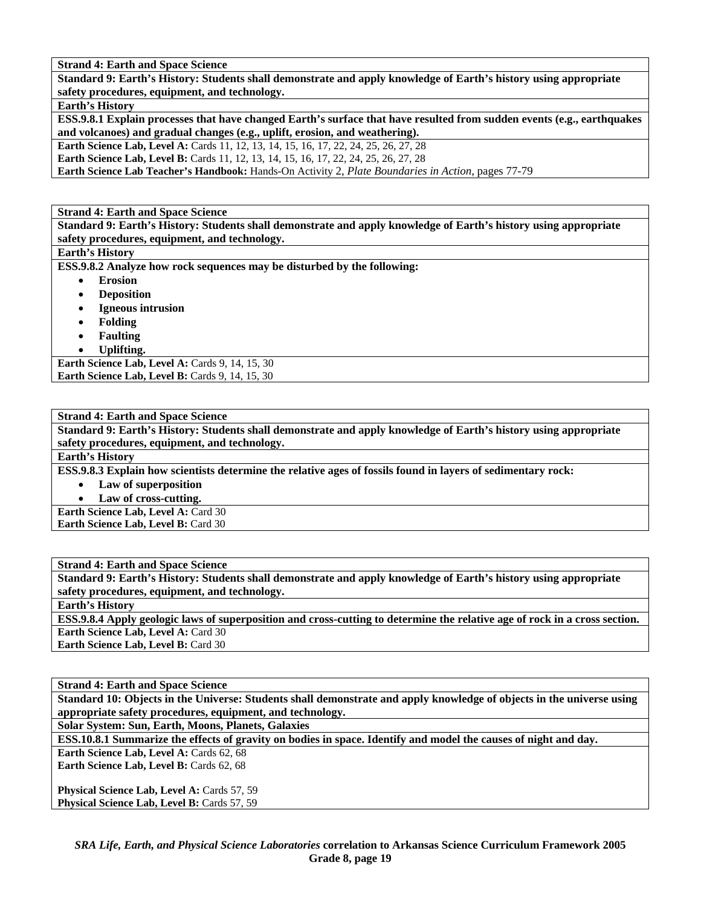**Standard 9: Earth's History: Students shall demonstrate and apply knowledge of Earth's history using appropriate safety procedures, equipment, and technology.** 

**Earth's History** 

**ESS.9.8.1 Explain processes that have changed Earth's surface that have resulted from sudden events (e.g., earthquakes and volcanoes) and gradual changes (e.g., uplift, erosion, and weathering).** 

**Earth Science Lab, Level A: Cards 11, 12, 13, 14, 15, 16, 17, 22, 24, 25, 26, 27, 28** 

**Earth Science Lab, Level B:** Cards 11, 12, 13, 14, 15, 16, 17, 22, 24, 25, 26, 27, 28

**Earth Science Lab Teacher's Handbook:** Hands-On Activity 2, *Plate Boundaries in Action,* pages 77-79

**Strand 4: Earth and Space Science** 

**Standard 9: Earth's History: Students shall demonstrate and apply knowledge of Earth's history using appropriate safety procedures, equipment, and technology.** 

**Earth's History** 

**ESS.9.8.2 Analyze how rock sequences may be disturbed by the following:** 

- **Erosion**
- **Deposition**
- **Igneous intrusion**
- **Folding**
- **Faulting**
- **Uplifting.**

**Earth Science Lab, Level A: Cards 9, 14, 15, 30 Earth Science Lab, Level B: Cards 9, 14, 15, 30** 

**Strand 4: Earth and Space Science** 

**Standard 9: Earth's History: Students shall demonstrate and apply knowledge of Earth's history using appropriate safety procedures, equipment, and technology.** 

**Earth's History** 

**ESS.9.8.3 Explain how scientists determine the relative ages of fossils found in layers of sedimentary rock:** 

• **Law of superposition** 

Law of cross-cutting.

**Earth Science Lab, Level A: Card 30 Earth Science Lab, Level B: Card 30** 

**Strand 4: Earth and Space Science Standard 9: Earth's History: Students shall demonstrate and apply knowledge of Earth's history using appropriate safety procedures, equipment, and technology. Earth's History ESS.9.8.4 Apply geologic laws of superposition and cross-cutting to determine the relative age of rock in a cross section. Earth Science Lab, Level A: Card 30** 

**Earth Science Lab, Level B:** Card 30

**Strand 4: Earth and Space Science** 

**Standard 10: Objects in the Universe: Students shall demonstrate and apply knowledge of objects in the universe using appropriate safety procedures, equipment, and technology.** 

**Solar System: Sun, Earth, Moons, Planets, Galaxies** 

**ESS.10.8.1 Summarize the effects of gravity on bodies in space. Identify and model the causes of night and day.** 

Earth Science Lab, Level A: Cards 62, 68 Earth Science Lab, Level B: Cards 62, 68

Physical Science Lab, Level A: Cards 57, 59 Physical Science Lab, Level B: Cards 57, 59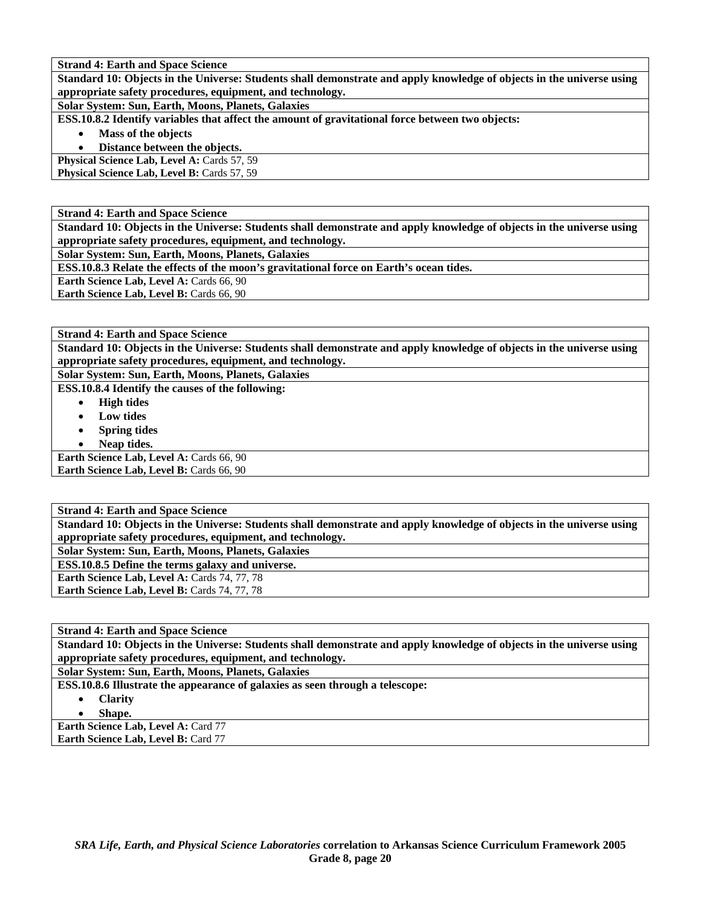**Standard 10: Objects in the Universe: Students shall demonstrate and apply knowledge of objects in the universe using appropriate safety procedures, equipment, and technology.** 

**Solar System: Sun, Earth, Moons, Planets, Galaxies** 

**ESS.10.8.2 Identify variables that affect the amount of gravitational force between two objects:** 

• **Mass of the objects** 

• **Distance between the objects.** 

**Physical Science Lab, Level A: Cards 57, 59** 

**Physical Science Lab, Level B: Cards 57, 59** 

**Strand 4: Earth and Space Science** 

**Standard 10: Objects in the Universe: Students shall demonstrate and apply knowledge of objects in the universe using appropriate safety procedures, equipment, and technology.** 

**Solar System: Sun, Earth, Moons, Planets, Galaxies** 

**ESS.10.8.3 Relate the effects of the moon's gravitational force on Earth's ocean tides.** 

**Earth Science Lab, Level A: Cards 66, 90** 

**Earth Science Lab, Level B: Cards 66, 90** 

**Strand 4: Earth and Space Science** 

**Standard 10: Objects in the Universe: Students shall demonstrate and apply knowledge of objects in the universe using appropriate safety procedures, equipment, and technology.** 

**Solar System: Sun, Earth, Moons, Planets, Galaxies ESS.10.8.4 Identify the causes of the following:** 

- **High tides**
- **Low tides**
- **Spring tides**
- **Neap tides.**

Earth Science Lab, Level A: Cards 66, 90 **Earth Science Lab, Level B: Cards 66, 90** 

**Strand 4: Earth and Space Science Standard 10: Objects in the Universe: Students shall demonstrate and apply knowledge of objects in the universe using appropriate safety procedures, equipment, and technology. Solar System: Sun, Earth, Moons, Planets, Galaxies ESS.10.8.5 Define the terms galaxy and universe. Earth Science Lab, Level A: Cards 74, 77, 78** Earth Science Lab, Level B: Cards 74, 77, 78

**Strand 4: Earth and Space Science** 

**Standard 10: Objects in the Universe: Students shall demonstrate and apply knowledge of objects in the universe using appropriate safety procedures, equipment, and technology.** 

**Solar System: Sun, Earth, Moons, Planets, Galaxies** 

**ESS.10.8.6 Illustrate the appearance of galaxies as seen through a telescope:** 

• **Clarity** 

• **Shape.** 

**Earth Science Lab, Level A: Card 77 Earth Science Lab, Level B: Card 77**